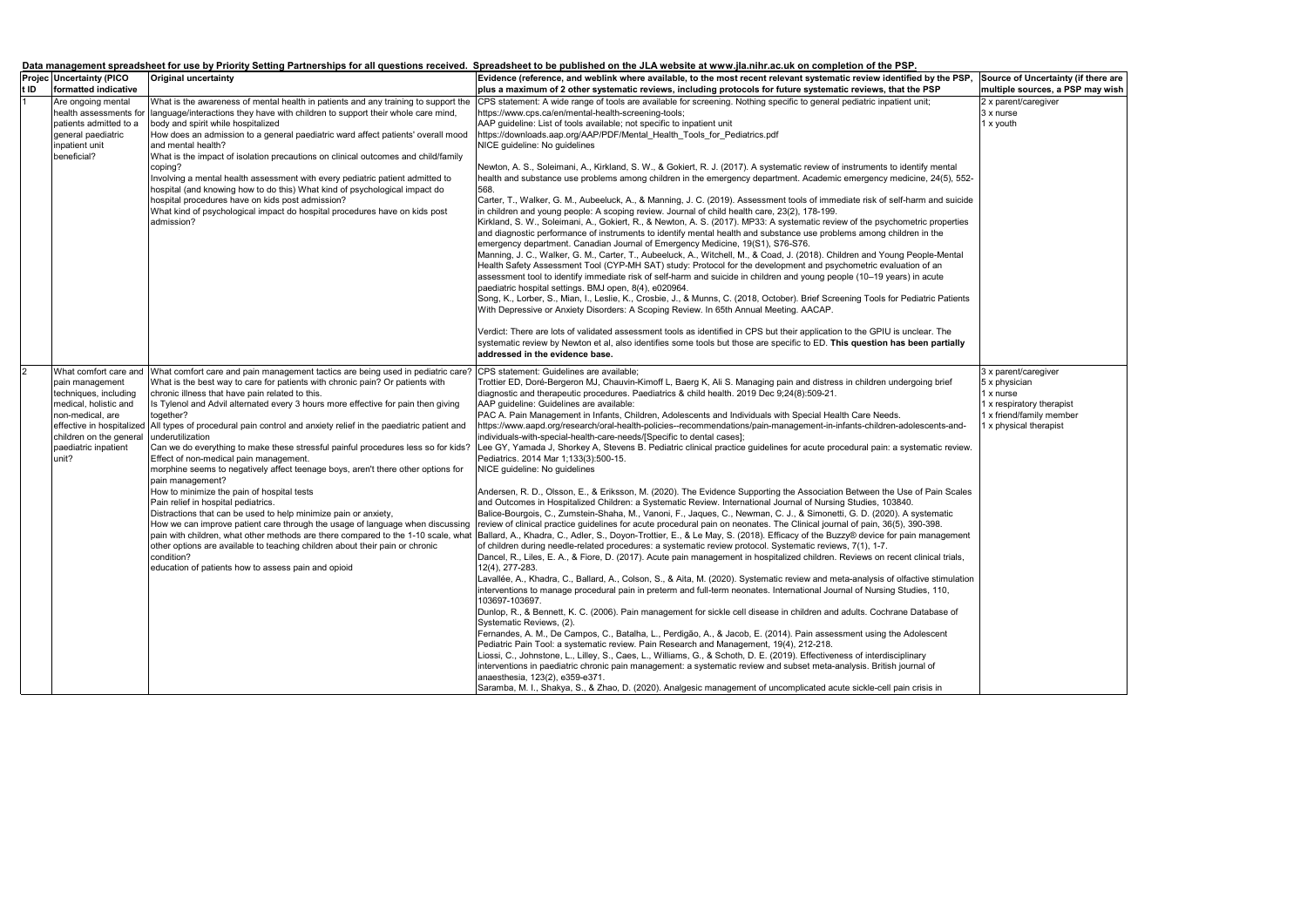|                |                                           |                                                                                                                                                  | Data management spreadsheet for use by Priority Setting Partnerships for all questions received. Spreadsheet to be published on the JLA website at www.jla.nihr.ac.uk on completion of the PSP.                                                        |    |
|----------------|-------------------------------------------|--------------------------------------------------------------------------------------------------------------------------------------------------|--------------------------------------------------------------------------------------------------------------------------------------------------------------------------------------------------------------------------------------------------------|----|
|                | <b>Projec Uncertainty (PICO</b>           | <b>Original uncertainty</b>                                                                                                                      | Evidence (reference, and weblink where available, to the most recent relevant systematic review identified by the PSP, S                                                                                                                               |    |
| t ID           | formatted indicative                      |                                                                                                                                                  | plus a maximum of 2 other systematic reviews, including protocols for future systematic reviews, that the PSP                                                                                                                                          | Im |
|                | Are ongoing mental                        | What is the awareness of mental health in patients and any training to support the                                                               | CPS statement: A wide range of tools are available for screening. Nothing specific to general pediatric inpatient unit;                                                                                                                                |    |
|                |                                           | health assessments for language/interactions they have with children to support their whole care mind,                                           | https://www.cps.ca/en/mental-health-screening-tools;                                                                                                                                                                                                   |    |
|                | patients admitted to a                    | body and spirit while hospitalized                                                                                                               | AAP guideline: List of tools available; not specific to inpatient unit                                                                                                                                                                                 |    |
|                | general paediatric                        | How does an admission to a general paediatric ward affect patients' overall mood                                                                 | https://downloads.aap.org/AAP/PDF/Mental Health Tools for Pediatrics.pdf                                                                                                                                                                               |    |
|                | inpatient unit<br>beneficial?             | and mental health?<br>What is the impact of isolation precautions on clinical outcomes and child/family                                          | NICE guideline: No guidelines                                                                                                                                                                                                                          |    |
|                |                                           | coping?                                                                                                                                          | Newton, A. S., Soleimani, A., Kirkland, S. W., & Gokiert, R. J. (2017). A systematic review of instruments to identify mental                                                                                                                          |    |
|                |                                           | Involving a mental health assessment with every pediatric patient admitted to                                                                    | health and substance use problems among children in the emergency department. Academic emergency medicine, 24(5), 552-                                                                                                                                 |    |
|                |                                           | hospital (and knowing how to do this) What kind of psychological impact do                                                                       | 568.                                                                                                                                                                                                                                                   |    |
|                |                                           | hospital procedures have on kids post admission?                                                                                                 | Carter, T., Walker, G. M., Aubeeluck, A., & Manning, J. C. (2019). Assessment tools of immediate risk of self-harm and suicide                                                                                                                         |    |
|                |                                           | What kind of psychological impact do hospital procedures have on kids post                                                                       | in children and young people: A scoping review. Journal of child health care, 23(2), 178-199.                                                                                                                                                          |    |
|                |                                           | admission?                                                                                                                                       | Kirkland, S. W., Soleimani, A., Gokiert, R., & Newton, A. S. (2017). MP33: A systematic review of the psychometric properties                                                                                                                          |    |
|                |                                           |                                                                                                                                                  | and diagnostic performance of instruments to identify mental health and substance use problems among children in the                                                                                                                                   |    |
|                |                                           |                                                                                                                                                  | emergency department. Canadian Journal of Emergency Medicine, 19(S1), S76-S76.                                                                                                                                                                         |    |
|                |                                           |                                                                                                                                                  | Manning, J. C., Walker, G. M., Carter, T., Aubeeluck, A., Witchell, M., & Coad, J. (2018). Children and Young People-Mental<br>Health Safety Assessment Tool (CYP-MH SAT) study: Protocol for the development and psychometric evaluation of an        |    |
|                |                                           |                                                                                                                                                  | assessment tool to identify immediate risk of self-harm and suicide in children and young people (10-19 years) in acute                                                                                                                                |    |
|                |                                           |                                                                                                                                                  | paediatric hospital settings. BMJ open, 8(4), e020964.                                                                                                                                                                                                 |    |
|                |                                           |                                                                                                                                                  | Song, K., Lorber, S., Mian, I., Leslie, K., Crosbie, J., & Munns, C. (2018, October). Brief Screening Tools for Pediatric Patients                                                                                                                     |    |
|                |                                           |                                                                                                                                                  | With Depressive or Anxiety Disorders: A Scoping Review. In 65th Annual Meeting. AACAP.                                                                                                                                                                 |    |
|                |                                           |                                                                                                                                                  | Verdict: There are lots of validated assessment tools as identified in CPS but their application to the GPIU is unclear. The                                                                                                                           |    |
|                |                                           |                                                                                                                                                  | systematic review by Newton et al, also identifies some tools but those are specific to ED. This question has been partially                                                                                                                           |    |
|                |                                           |                                                                                                                                                  | addressed in the evidence base.                                                                                                                                                                                                                        |    |
| $\overline{2}$ |                                           | What comfort care and What comfort care and pain management tactics are being used in pediatric care?                                            | CPS statement: Guidelines are available;                                                                                                                                                                                                               |    |
|                | pain management                           | What is the best way to care for patients with chronic pain? Or patients with                                                                    | Trottier ED, Doré-Bergeron MJ, Chauvin-Kimoff L, Baerg K, Ali S. Managing pain and distress in children undergoing brief                                                                                                                               |    |
|                | techniques, including                     | chronic illness that have pain related to this.                                                                                                  | diagnostic and therapeutic procedures. Paediatrics & child health. 2019 Dec 9;24(8):509-21.                                                                                                                                                            |    |
|                | medical, holistic and<br>non-medical, are | Is Tylenol and Advil alternated every 3 hours more effective for pain then giving                                                                | AAP guideline: Guidelines are available:                                                                                                                                                                                                               |    |
|                |                                           | together?<br>effective in hospitalized All types of procedural pain control and anxiety relief in the paediatric patient and                     | PAC A. Pain Management in Infants, Children, Adolescents and Individuals with Special Health Care Needs.<br>https://www.aapd.org/research/oral-health-policies--recommendations/pain-management-in-infants-children-adolescents-and-                   |    |
|                | children on the general                   | underutilization                                                                                                                                 | individuals-with-special-health-care-needs/[Specific to dental cases];                                                                                                                                                                                 |    |
|                | paediatric inpatient                      | Can we do everything to make these stressful painful procedures less so for kids?                                                                | Lee GY, Yamada J, Shorkey A, Stevens B. Pediatric clinical practice guidelines for acute procedural pain: a systematic review.                                                                                                                         |    |
|                | unit?                                     | Effect of non-medical pain management.                                                                                                           | Pediatrics. 2014 Mar 1;133(3):500-15.                                                                                                                                                                                                                  |    |
|                |                                           | morphine seems to negatively affect teenage boys, aren't there other options for                                                                 | NICE guideline: No guidelines                                                                                                                                                                                                                          |    |
|                |                                           | pain management?                                                                                                                                 |                                                                                                                                                                                                                                                        |    |
|                |                                           | How to minimize the pain of hospital tests                                                                                                       | Andersen, R. D., Olsson, E., & Eriksson, M. (2020). The Evidence Supporting the Association Between the Use of Pain Scales                                                                                                                             |    |
|                |                                           | Pain relief in hospital pediatrics.                                                                                                              | and Outcomes in Hospitalized Children: a Systematic Review. International Journal of Nursing Studies, 103840.                                                                                                                                          |    |
|                |                                           | Distractions that can be used to help minimize pain or anxiety,<br>How we can improve patient care through the usage of language when discussing | Balice-Bourgois, C., Zumstein-Shaha, M., Vanoni, F., Jaques, C., Newman, C. J., & Simonetti, G. D. (2020). A systematic<br>review of clinical practice guidelines for acute procedural pain on neonates. The Clinical journal of pain, 36(5), 390-398. |    |
|                |                                           | pain with children, what other methods are there compared to the 1-10 scale, what                                                                | Ballard, A., Khadra, C., Adler, S., Doyon-Trottier, E., & Le May, S. (2018). Efficacy of the Buzzy® device for pain management                                                                                                                         |    |
|                |                                           | other options are available to teaching children about their pain or chronic                                                                     | of children during needle-related procedures: a systematic review protocol. Systematic reviews, 7(1), 1-7.                                                                                                                                             |    |
|                |                                           | condition?                                                                                                                                       | Dancel, R., Liles, E. A., & Fiore, D. (2017). Acute pain management in hospitalized children. Reviews on recent clinical trials,                                                                                                                       |    |
|                |                                           | education of patients how to assess pain and opioid                                                                                              | 12(4), 277-283.                                                                                                                                                                                                                                        |    |
|                |                                           |                                                                                                                                                  | Lavallée, A., Khadra, C., Ballard, A., Colson, S., & Aita, M. (2020). Systematic review and meta-analysis of olfactive stimulation                                                                                                                     |    |
|                |                                           |                                                                                                                                                  | interventions to manage procedural pain in preterm and full-term neonates. International Journal of Nursing Studies, 110,<br>103697-103697.                                                                                                            |    |
|                |                                           |                                                                                                                                                  | Dunlop, R., & Bennett, K. C. (2006). Pain management for sickle cell disease in children and adults. Cochrane Database of<br>Systematic Reviews, (2).                                                                                                  |    |
|                |                                           |                                                                                                                                                  | Fernandes, A. M., De Campos, C., Batalha, L., Perdigão, A., & Jacob, E. (2014). Pain assessment using the Adolescent                                                                                                                                   |    |
|                |                                           |                                                                                                                                                  | Pediatric Pain Tool: a systematic review. Pain Research and Management, 19(4), 212-218.                                                                                                                                                                |    |
|                |                                           |                                                                                                                                                  | Liossi, C., Johnstone, L., Lilley, S., Caes, L., Williams, G., & Schoth, D. E. (2019). Effectiveness of interdisciplinary                                                                                                                              |    |
|                |                                           |                                                                                                                                                  | interventions in paediatric chronic pain management: a systematic review and subset meta-analysis. British journal of                                                                                                                                  |    |
|                |                                           |                                                                                                                                                  | anaesthesia, 123(2), e359-e371.                                                                                                                                                                                                                        |    |
|                |                                           |                                                                                                                                                  | Saramba, M. I., Shakya, S., & Zhao, D. (2020). Analgesic management of uncomplicated acute sickle-cell pain crisis in                                                                                                                                  |    |

| Source of Uncertainty (if there are |                                  |                           |  |  |  |  |
|-------------------------------------|----------------------------------|---------------------------|--|--|--|--|
|                                     | multiple sources, a PSP may wish |                           |  |  |  |  |
|                                     |                                  | 2 x parent/caregiver      |  |  |  |  |
|                                     |                                  | 3 x nurse                 |  |  |  |  |
|                                     |                                  |                           |  |  |  |  |
|                                     |                                  | 1 x youth                 |  |  |  |  |
|                                     |                                  |                           |  |  |  |  |
|                                     |                                  |                           |  |  |  |  |
|                                     |                                  |                           |  |  |  |  |
|                                     |                                  |                           |  |  |  |  |
|                                     |                                  |                           |  |  |  |  |
|                                     |                                  |                           |  |  |  |  |
|                                     |                                  |                           |  |  |  |  |
|                                     |                                  |                           |  |  |  |  |
|                                     |                                  |                           |  |  |  |  |
|                                     |                                  |                           |  |  |  |  |
|                                     |                                  |                           |  |  |  |  |
|                                     |                                  |                           |  |  |  |  |
|                                     |                                  |                           |  |  |  |  |
|                                     |                                  |                           |  |  |  |  |
|                                     |                                  |                           |  |  |  |  |
|                                     |                                  |                           |  |  |  |  |
|                                     |                                  |                           |  |  |  |  |
|                                     |                                  |                           |  |  |  |  |
|                                     |                                  |                           |  |  |  |  |
|                                     |                                  |                           |  |  |  |  |
|                                     |                                  |                           |  |  |  |  |
|                                     |                                  |                           |  |  |  |  |
|                                     |                                  |                           |  |  |  |  |
|                                     |                                  | 3 x parent/caregiver      |  |  |  |  |
|                                     |                                  | 5 x physician             |  |  |  |  |
|                                     |                                  |                           |  |  |  |  |
|                                     |                                  | 1 x nurse                 |  |  |  |  |
|                                     |                                  | 1 x respiratory therapist |  |  |  |  |
|                                     |                                  | 1 x friend/family member  |  |  |  |  |
|                                     |                                  | 1 x physical therapist    |  |  |  |  |
|                                     |                                  |                           |  |  |  |  |
|                                     |                                  |                           |  |  |  |  |
|                                     |                                  |                           |  |  |  |  |
|                                     |                                  |                           |  |  |  |  |
|                                     |                                  |                           |  |  |  |  |
|                                     |                                  |                           |  |  |  |  |
|                                     |                                  |                           |  |  |  |  |
|                                     |                                  |                           |  |  |  |  |
|                                     |                                  |                           |  |  |  |  |
|                                     |                                  |                           |  |  |  |  |
|                                     |                                  |                           |  |  |  |  |
|                                     |                                  |                           |  |  |  |  |
|                                     |                                  |                           |  |  |  |  |
|                                     |                                  |                           |  |  |  |  |
|                                     |                                  |                           |  |  |  |  |
|                                     |                                  |                           |  |  |  |  |
|                                     |                                  |                           |  |  |  |  |
|                                     |                                  |                           |  |  |  |  |
|                                     |                                  |                           |  |  |  |  |
|                                     |                                  |                           |  |  |  |  |
|                                     |                                  |                           |  |  |  |  |
|                                     |                                  |                           |  |  |  |  |
|                                     |                                  |                           |  |  |  |  |
|                                     |                                  |                           |  |  |  |  |
|                                     |                                  |                           |  |  |  |  |
|                                     |                                  |                           |  |  |  |  |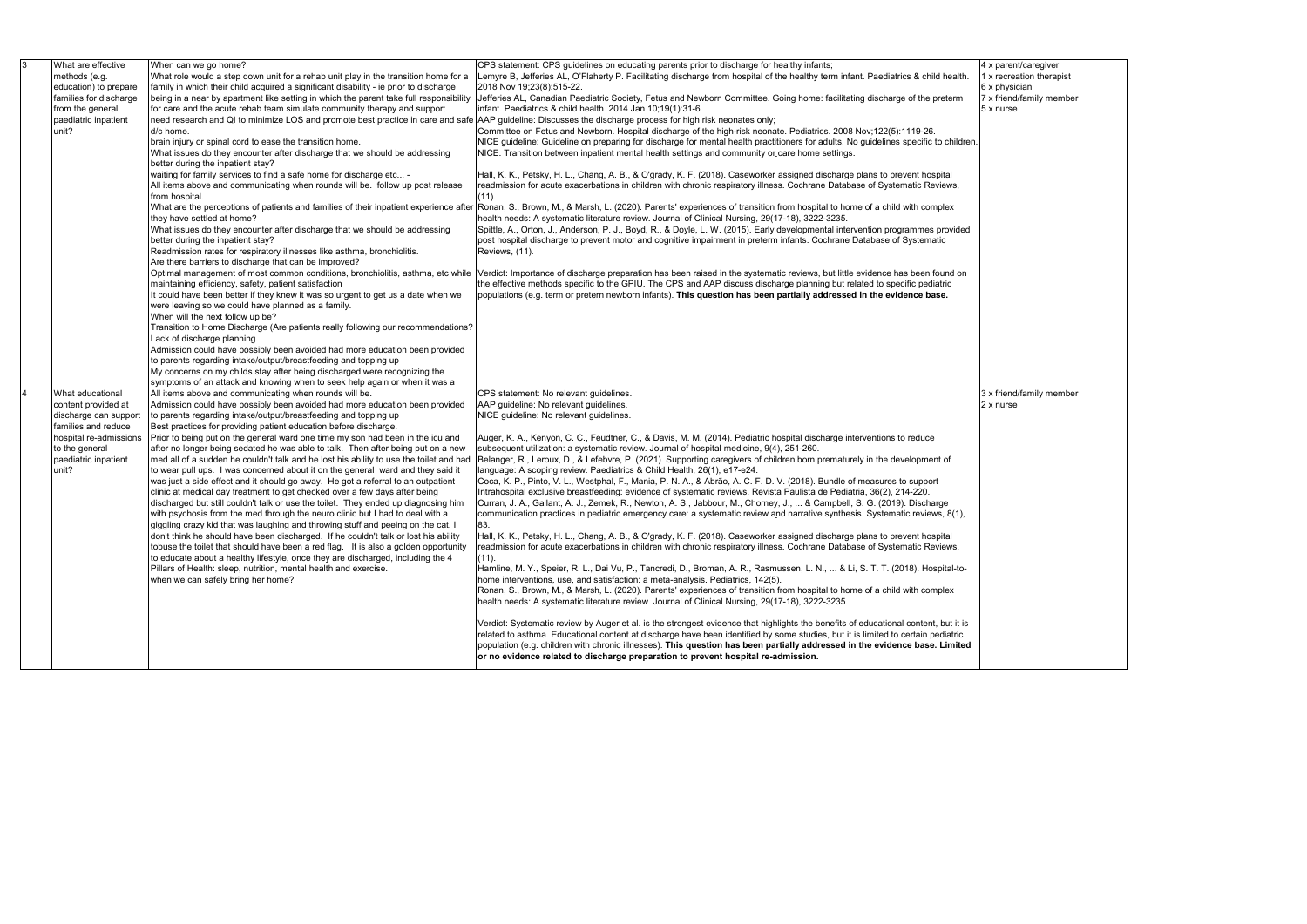| <u>3</u> | What are effective     | When can we go home?                                                                                                                                                    | CPS statement: CPS guidelines on educating parents prior to discharge for healthy infants;                                                                                                                       |
|----------|------------------------|-------------------------------------------------------------------------------------------------------------------------------------------------------------------------|------------------------------------------------------------------------------------------------------------------------------------------------------------------------------------------------------------------|
|          | methods (e.g.          | What role would a step down unit for a rehab unit play in the transition home for a                                                                                     | Lemyre B, Jefferies AL, O'Flaherty P. Facilitating discharge from hospital of the healthy term infant. Paediatrics & child health.                                                                               |
|          | education) to prepare  | family in which their child acquired a significant disability - ie prior to discharge                                                                                   | 2018 Nov 19;23(8):515-22.                                                                                                                                                                                        |
|          | families for discharge | being in a near by apartment like setting in which the parent take full responsibility                                                                                  | Jefferies AL, Canadian Paediatric Society, Fetus and Newborn Committee. Going home: facilitating discharge of the preterm                                                                                        |
|          | from the general       | for care and the acute rehab team simulate community therapy and support.                                                                                               | infant. Paediatrics & child health. 2014 Jan 10;19(1):31-6.                                                                                                                                                      |
|          | paediatric inpatient   | need research and QI to minimize LOS and promote best practice in care and safe AAP guideline: Discusses the discharge process for high risk neonates only;             |                                                                                                                                                                                                                  |
|          | unit?                  | d/c home.                                                                                                                                                               | Committee on Fetus and Newborn. Hospital discharge of the high-risk neonate. Pediatrics. 2008 Nov;122(5):1119-26.                                                                                                |
|          |                        | brain injury or spinal cord to ease the transition home.                                                                                                                | NICE guideline: Guideline on preparing for discharge for mental health practitioners for adults. No guidelines specific to children.                                                                             |
|          |                        | What issues do they encounter after discharge that we should be addressing                                                                                              | NICE. Transition between inpatient mental health settings and community or care home settings.                                                                                                                   |
|          |                        | better during the inpatient stay?                                                                                                                                       |                                                                                                                                                                                                                  |
|          |                        | waiting for family services to find a safe home for discharge etc -                                                                                                     | Hall, K. K., Petsky, H. L., Chang, A. B., & O'grady, K. F. (2018). Caseworker assigned discharge plans to prevent hospital                                                                                       |
|          |                        | All items above and communicating when rounds will be. follow up post release                                                                                           | readmission for acute exacerbations in children with chronic respiratory illness. Cochrane Database of Systematic Reviews,                                                                                       |
|          |                        | from hospital.                                                                                                                                                          | (11).                                                                                                                                                                                                            |
|          |                        |                                                                                                                                                                         | What are the perceptions of patients and families of their inpatient experience after Ronan, S., Brown, M., & Marsh, L. (2020). Parents' experiences of transition from hospital to home of a child with complex |
|          |                        | they have settled at home?                                                                                                                                              | health needs: A systematic literature review. Journal of Clinical Nursing, 29(17-18), 3222-3235.                                                                                                                 |
|          |                        | What issues do they encounter after discharge that we should be addressing                                                                                              | Spittle, A., Orton, J., Anderson, P. J., Boyd, R., & Doyle, L. W. (2015). Early developmental intervention programmes provided                                                                                   |
|          |                        | better during the inpatient stay?                                                                                                                                       | post hospital discharge to prevent motor and cognitive impairment in preterm infants. Cochrane Database of Systematic                                                                                            |
|          |                        | Readmission rates for respiratory illnesses like asthma, bronchiolitis.                                                                                                 | Reviews, (11).                                                                                                                                                                                                   |
|          |                        | Are there barriers to discharge that can be improved?                                                                                                                   |                                                                                                                                                                                                                  |
|          |                        | Optimal management of most common conditions, bronchiolitis, asthma, etc while                                                                                          | Verdict: Importance of discharge preparation has been raised in the systematic reviews, but little evidence has been found on                                                                                    |
|          |                        | maintaining efficiency, safety, patient satisfaction                                                                                                                    | the effective methods specific to the GPIU. The CPS and AAP discuss discharge planning but related to specific pediatric                                                                                         |
|          |                        | It could have been better if they knew it was so urgent to get us a date when we                                                                                        | populations (e.g. term or pretern newborn infants). This question has been partially addressed in the evidence base.                                                                                             |
|          |                        | were leaving so we could have planned as a family.                                                                                                                      |                                                                                                                                                                                                                  |
|          |                        | When will the next follow up be?                                                                                                                                        |                                                                                                                                                                                                                  |
|          |                        | Transition to Home Discharge (Are patients really following our recommendations?                                                                                        |                                                                                                                                                                                                                  |
|          |                        | Lack of discharge planning.                                                                                                                                             |                                                                                                                                                                                                                  |
|          |                        | Admission could have possibly been avoided had more education been provided                                                                                             |                                                                                                                                                                                                                  |
|          |                        | to parents regarding intake/output/breastfeeding and topping up                                                                                                         |                                                                                                                                                                                                                  |
|          |                        | My concerns on my childs stay after being discharged were recognizing the                                                                                               |                                                                                                                                                                                                                  |
|          |                        | symptoms of an attack and knowing when to seek help again or when it was a                                                                                              |                                                                                                                                                                                                                  |
|          | What educational       | All items above and communicating when rounds will be.                                                                                                                  | CPS statement: No relevant guidelines.                                                                                                                                                                           |
|          | content provided at    | Admission could have possibly been avoided had more education been provided                                                                                             | AAP guideline: No relevant guidelines.                                                                                                                                                                           |
|          | discharge can support  | to parents regarding intake/output/breastfeeding and topping up                                                                                                         | NICE guideline: No relevant guidelines.                                                                                                                                                                          |
|          | families and reduce    | Best practices for providing patient education before discharge.                                                                                                        |                                                                                                                                                                                                                  |
|          | hospital re-admissions | Prior to being put on the general ward one time my son had been in the icu and                                                                                          | Auger, K. A., Kenyon, C. C., Feudtner, C., & Davis, M. M. (2014). Pediatric hospital discharge interventions to reduce                                                                                           |
|          | to the general         | after no longer being sedated he was able to talk. Then after being put on a new                                                                                        | subsequent utilization: a systematic review. Journal of hospital medicine, 9(4), 251-260.                                                                                                                        |
|          | paediatric inpatient   | med all of a sudden he couldn't talk and he lost his ability to use the toilet and had                                                                                  | Belanger, R., Leroux, D., & Lefebvre, P. (2021). Supporting caregivers of children born prematurely in the development of                                                                                        |
|          | unit?                  | to wear pull ups. I was concerned about it on the general ward and they said it                                                                                         | language: A scoping review. Paediatrics & Child Health, 26(1), e17-e24.                                                                                                                                          |
|          |                        | was just a side effect and it should go away. He got a referral to an outpatient                                                                                        | Coca, K. P., Pinto, V. L., Westphal, F., Mania, P. N. A., & Abrão, A. C. F. D. V. (2018). Bundle of measures to support                                                                                          |
|          |                        | clinic at medical day treatment to get checked over a few days after being                                                                                              | Intrahospital exclusive breastfeeding: evidence of systematic reviews. Revista Paulista de Pediatria, 36(2), 214-220.                                                                                            |
|          |                        | discharged but still couldn't talk or use the toilet. They ended up diagnosing him                                                                                      | Curran, J. A., Gallant, A. J., Zemek, R., Newton, A. S., Jabbour, M., Chorney, J.,  & Campbell, S. G. (2019). Discharge                                                                                          |
|          |                        | with psychosis from the med through the neuro clinic but I had to deal with a                                                                                           | communication practices in pediatric emergency care: a systematic review and narrative synthesis. Systematic reviews, 8(1),                                                                                      |
|          |                        |                                                                                                                                                                         | 83.                                                                                                                                                                                                              |
|          |                        | giggling crazy kid that was laughing and throwing stuff and peeing on the cat. I<br>don't think he should have been discharged. If he couldn't talk or lost his ability | Hall, K. K., Petsky, H. L., Chang, A. B., & O'grady, K. F. (2018). Caseworker assigned discharge plans to prevent hospital                                                                                       |
|          |                        |                                                                                                                                                                         |                                                                                                                                                                                                                  |
|          |                        | tobuse the toilet that should have been a red flag. It is also a golden opportunity                                                                                     | readmission for acute exacerbations in children with chronic respiratory illness. Cochrane Database of Systematic Reviews,                                                                                       |
|          |                        | to educate about a healthy lifestyle, once they are discharged, including the 4                                                                                         | $(11)$ .                                                                                                                                                                                                         |
|          |                        | Pillars of Health: sleep, nutrition, mental health and exercise.                                                                                                        | Hamline, M. Y., Speier, R. L., Dai Vu, P., Tancredi, D., Broman, A. R., Rasmussen, L. N.,  & Li, S. T. T. (2018). Hospital-to-                                                                                   |
|          |                        | when we can safely bring her home?                                                                                                                                      | home interventions, use, and satisfaction: a meta-analysis. Pediatrics, 142(5).                                                                                                                                  |
|          |                        |                                                                                                                                                                         | Ronan, S., Brown, M., & Marsh, L. (2020). Parents' experiences of transition from hospital to home of a child with complex                                                                                       |
|          |                        |                                                                                                                                                                         | health needs: A systematic literature review. Journal of Clinical Nursing, 29(17-18), 3222-3235.                                                                                                                 |
|          |                        |                                                                                                                                                                         |                                                                                                                                                                                                                  |
|          |                        |                                                                                                                                                                         | Verdict: Systematic review by Auger et al. is the strongest evidence that highlights the benefits of educational content, but it is                                                                              |
|          |                        |                                                                                                                                                                         | related to asthma. Educational content at discharge have been identified by some studies, but it is limited to certain pediatric                                                                                 |
|          |                        |                                                                                                                                                                         | population (e.g. children with chronic illnesses). This question has been partially addressed in the evidence base. Limited                                                                                      |
|          |                        |                                                                                                                                                                         | or no evidence related to discharge preparation to prevent hospital re-admission.                                                                                                                                |

4 x parent/caregiver 1 x recreation therapist 6 x physician 7 x friend/family member 5 x nurse 3 x friend/family member 2 x nurse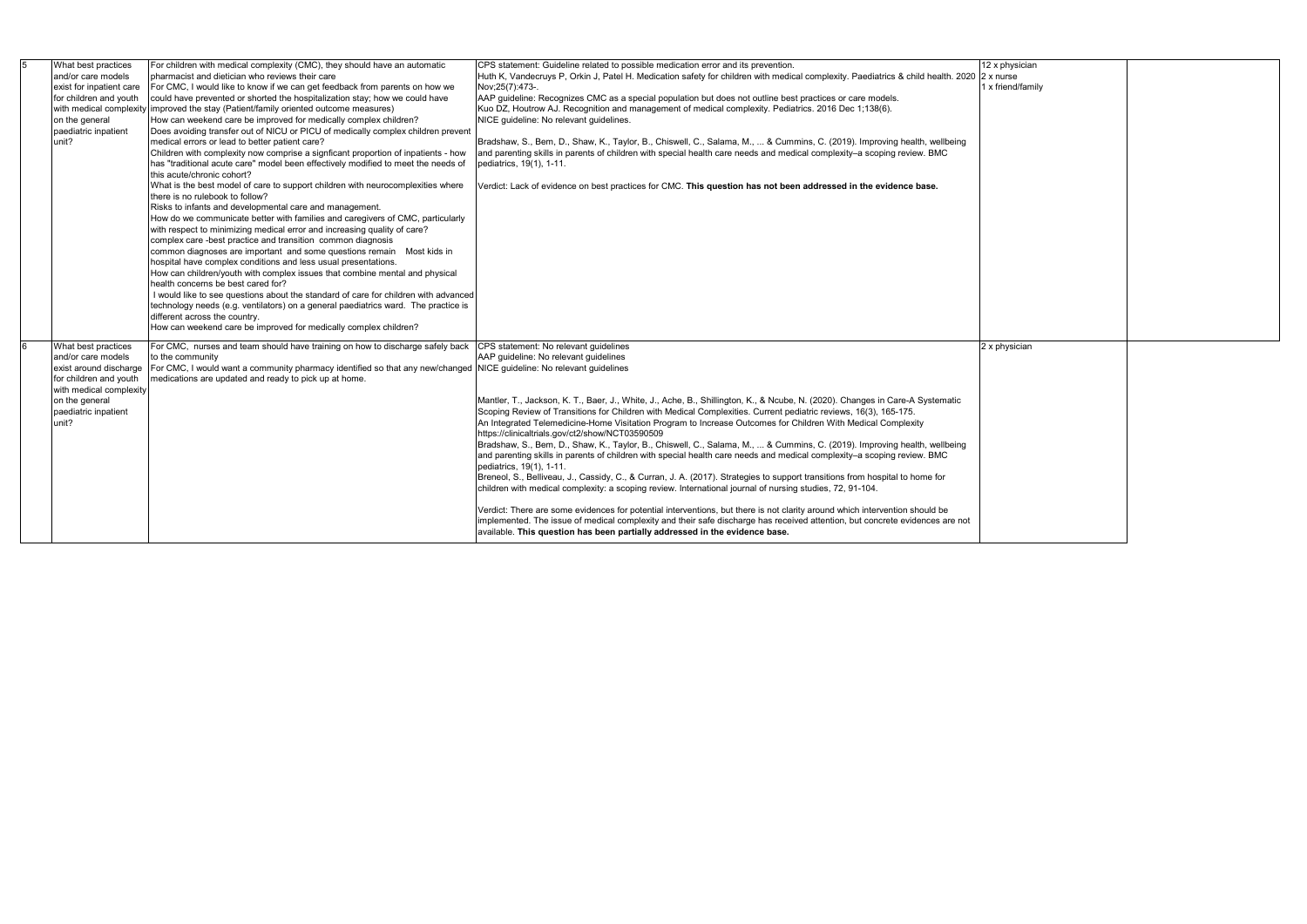|   | What best practices<br>and/or care models<br>exist for inpatient care<br>for children and youth<br>on the general<br>paediatric inpatient<br>unit?                          | For children with medical complexity (CMC), they should have an automatic<br>Ipharmacist and dietician who reviews their care<br>For CMC, I would like to know if we can get feedback from parents on how we<br>could have prevented or shorted the hospitalization stay; how we could have<br>with medical complexity improved the stay (Patient/family oriented outcome measures)<br>How can weekend care be improved for medically complex children?<br>Does avoiding transfer out of NICU or PICU of medically complex children prevent<br>medical errors or lead to better patient care?<br>Children with complexity now comprise a signficant proportion of inpatients - how<br>has "traditional acute care" model been effectively modified to meet the needs of<br>this acute/chronic cohort?<br>What is the best model of care to support children with neurocomplexities where<br>there is no rulebook to follow?<br>Risks to infants and developmental care and management.<br>How do we communicate better with families and caregivers of CMC, particularly<br>with respect to minimizing medical error and increasing quality of care?<br>complex care -best practice and transition common diagnosis<br>common diagnoses are important and some questions remain Most kids in<br>hospital have complex conditions and less usual presentations.<br>How can children/youth with complex issues that combine mental and physical<br>health concerns be best cared for?<br>I would like to see questions about the standard of care for children with advanced<br>technology needs (e.g. ventilators) on a general paediatrics ward. The practice is<br>different across the country.<br>How can weekend care be improved for medically complex children? | CPS statement: Guideline related to possible medication error and its prevention.<br>Huth K, Vandecruys P, Orkin J, Patel H. Medication safety for children with medical complexity. Paediatrics & child health. 2020 2 x nurse<br>Nov; 25(7): 473-.<br>AAP quideline: Recognizes CMC as a special population but does not outline best practices or care models.<br>Kuo DZ, Houtrow AJ. Recognition and management of medical complexity. Pediatrics. 2016 Dec 1;138(6).<br>NICE quideline: No relevant quidelines.<br>Bradshaw, S., Bem, D., Shaw, K., Taylor, B., Chiswell, C., Salama, M.,  & Cummins, C. (2019). Improving health, wellbeing<br>and parenting skills in parents of children with special health care needs and medical complexity-a scoping review. BMC<br>pediatrics, 19(1), 1-11.<br>Verdict: Lack of evidence on best practices for CMC. This question has not been addressed in the evidence base.                                                                                                                                                                                                                                                                                                                                                                                                                                                           | 12 x physician<br>1 x friend/family |
|---|-----------------------------------------------------------------------------------------------------------------------------------------------------------------------------|-----------------------------------------------------------------------------------------------------------------------------------------------------------------------------------------------------------------------------------------------------------------------------------------------------------------------------------------------------------------------------------------------------------------------------------------------------------------------------------------------------------------------------------------------------------------------------------------------------------------------------------------------------------------------------------------------------------------------------------------------------------------------------------------------------------------------------------------------------------------------------------------------------------------------------------------------------------------------------------------------------------------------------------------------------------------------------------------------------------------------------------------------------------------------------------------------------------------------------------------------------------------------------------------------------------------------------------------------------------------------------------------------------------------------------------------------------------------------------------------------------------------------------------------------------------------------------------------------------------------------------------------------------------------------------------------------------------------------------------------------------------------------|---------------------------------------------------------------------------------------------------------------------------------------------------------------------------------------------------------------------------------------------------------------------------------------------------------------------------------------------------------------------------------------------------------------------------------------------------------------------------------------------------------------------------------------------------------------------------------------------------------------------------------------------------------------------------------------------------------------------------------------------------------------------------------------------------------------------------------------------------------------------------------------------------------------------------------------------------------------------------------------------------------------------------------------------------------------------------------------------------------------------------------------------------------------------------------------------------------------------------------------------------------------------------------------------------------------------------------------------------------------------------------------|-------------------------------------|
| 6 | What best practices<br>and/or care models<br>exist around discharge<br>for children and youth<br>with medical complexity<br>on the general<br>paediatric inpatient<br>unit? | For CMC, nurses and team should have training on how to discharge safely back<br>to the community<br>For CMC, I would want a community pharmacy identified so that any new/changed NICE quideline: No relevant quidelines<br>medications are updated and ready to pick up at home.                                                                                                                                                                                                                                                                                                                                                                                                                                                                                                                                                                                                                                                                                                                                                                                                                                                                                                                                                                                                                                                                                                                                                                                                                                                                                                                                                                                                                                                                                    | CPS statement: No relevant quidelines<br>AAP guideline: No relevant guidelines<br>Mantler, T., Jackson, K. T., Baer, J., White, J., Ache, B., Shillington, K., & Ncube, N. (2020). Changes in Care-A Systematic<br>Scoping Review of Transitions for Children with Medical Complexities. Current pediatric reviews, 16(3), 165-175.<br>An Integrated Telemedicine-Home Visitation Program to Increase Outcomes for Children With Medical Complexity<br>https://clinicaltrials.gov/ct2/show/NCT03590509<br>Bradshaw, S., Bem, D., Shaw, K., Taylor, B., Chiswell, C., Salama, M.,  & Cummins, C. (2019). Improving health, wellbeing<br>and parenting skills in parents of children with special health care needs and medical complexity-a scoping review. BMC<br>pediatrics, 19(1), 1-11.<br>Breneol, S., Belliveau, J., Cassidy, C., & Curran, J. A. (2017). Strategies to support transitions from hospital to home for<br>children with medical complexity: a scoping review. International journal of nursing studies, 72, 91-104.<br>Verdict: There are some evidences for potential interventions, but there is not clarity around which intervention should be<br>implemented. The issue of medical complexity and their safe discharge has received attention, but concrete evidences are not<br>available. This question has been partially addressed in the evidence base. | 2 x physician                       |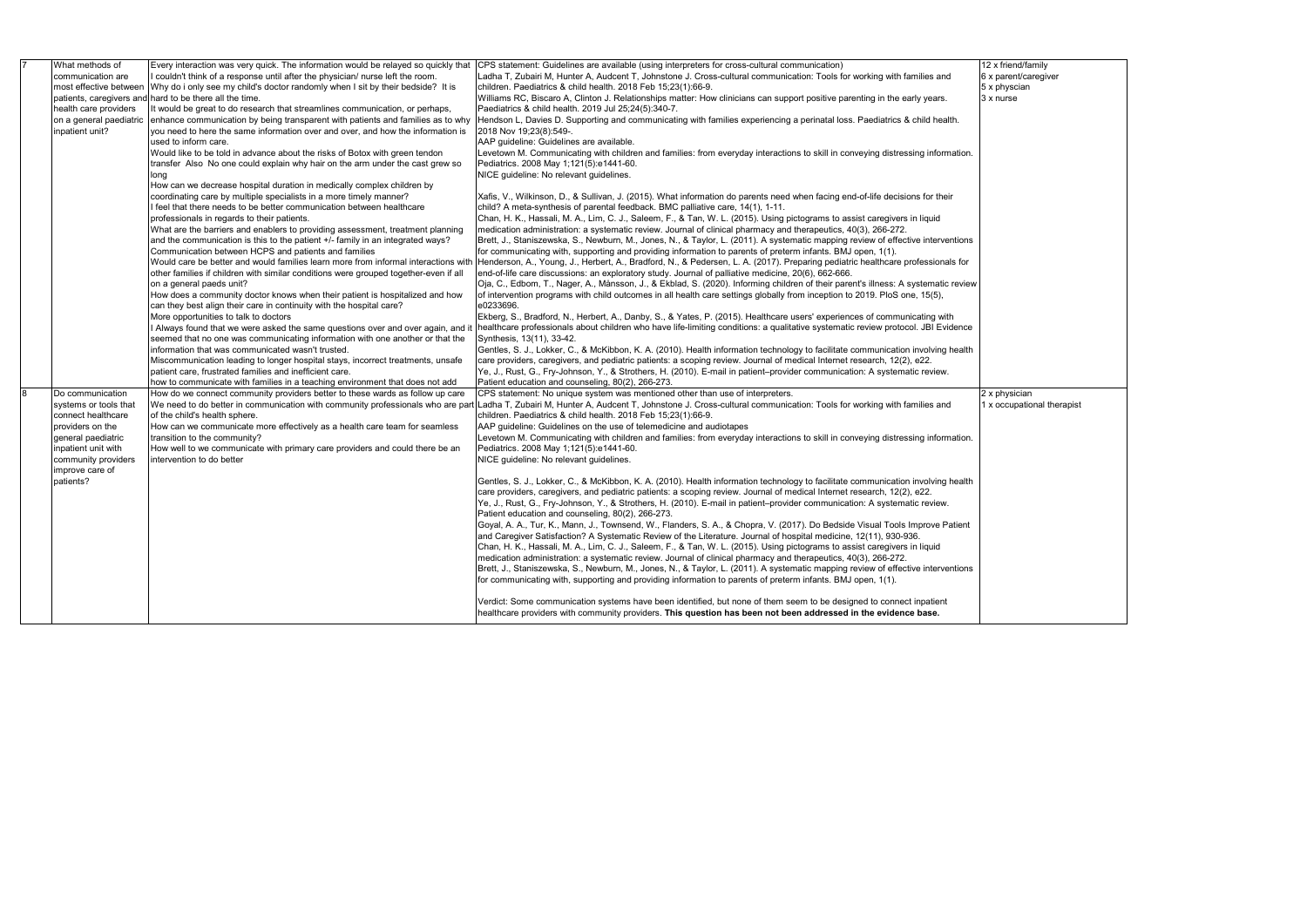|   | What methods of          | Every interaction was very quick. The information would be relayed so quickly that   | CPS statement: Guidelines are available (using interpreters for cross-cultural communication)                                      |
|---|--------------------------|--------------------------------------------------------------------------------------|------------------------------------------------------------------------------------------------------------------------------------|
|   | communication are        | I couldn't think of a response until after the physician/ nurse left the room.       | Ladha T, Zubairi M, Hunter A, Audcent T, Johnstone J. Cross-cultural communication: Tools for working with families and            |
|   | most effective between   | Why do i only see my child's doctor randomly when I sit by their bedside? It is      | children. Paediatrics & child health. 2018 Feb 15;23(1):66-9.                                                                      |
|   | patients, caregivers and | hard to be there all the time.                                                       | Williams RC, Biscaro A, Clinton J. Relationships matter: How clinicians can support positive parenting in the early years.         |
|   | health care providers    | It would be great to do research that streamlines communication, or perhaps,         | Paediatrics & child health. 2019 Jul 25:24(5):340-7.                                                                               |
|   | on a general paediatric  | enhance communication by being transparent with patients and families as to why      | Hendson L, Davies D. Supporting and communicating with families experiencing a perinatal loss. Paediatrics & child health.         |
|   | inpatient unit?          | you need to here the same information over and over, and how the information is      | 2018 Nov 19;23(8):549-.                                                                                                            |
|   |                          | used to inform care.                                                                 | AAP quideline: Guidelines are available.                                                                                           |
|   |                          | Would like to be told in advance about the risks of Botox with green tendon          | Levetown M. Communicating with children and families: from everyday interactions to skill in conveying distressing information.    |
|   |                          | transfer Also No one could explain why hair on the arm under the cast grew so        | Pediatrics. 2008 May 1;121(5):e1441-60.                                                                                            |
|   |                          | long                                                                                 | NICE quideline: No relevant quidelines.                                                                                            |
|   |                          | How can we decrease hospital duration in medically complex children by               |                                                                                                                                    |
|   |                          |                                                                                      |                                                                                                                                    |
|   |                          | coordinating care by multiple specialists in a more timely manner?                   | Xafis, V., Wilkinson, D., & Sullivan, J. (2015). What information do parents need when facing end-of-life decisions for their      |
|   |                          | feel that there needs to be better communication between healthcare                  | child? A meta-synthesis of parental feedback. BMC palliative care, 14(1), 1-11.                                                    |
|   |                          | professionals in regards to their patients.                                          | Chan, H. K., Hassali, M. A., Lim, C. J., Saleem, F., & Tan, W. L. (2015). Using pictograms to assist caregivers in liquid          |
|   |                          | What are the barriers and enablers to providing assessment, treatment planning       | medication administration: a systematic review. Journal of clinical pharmacy and therapeutics, 40(3), 266-272.                     |
|   |                          | and the communication is this to the patient +/- family in an integrated ways?       | Brett, J., Staniszewska, S., Newburn, M., Jones, N., & Taylor, L. (2011). A systematic mapping review of effective interventions   |
|   |                          | Communication between HCPS and patients and families                                 | for communicating with, supporting and providing information to parents of preterm infants. BMJ open, 1(1).                        |
|   |                          | Would care be better and would families learn more from informal interactions with   | Henderson, A., Young, J., Herbert, A., Bradford, N., & Pedersen, L. A. (2017). Preparing pediatric healthcare professionals for    |
|   |                          | other families if children with similar conditions were grouped together-even if all | end-of-life care discussions: an exploratory study. Journal of palliative medicine, 20(6), 662-666.                                |
|   |                          | on a general paeds unit?                                                             | Oja, C., Edbom, T., Nager, A., Månsson, J., & Ekblad, S. (2020). Informing children of their parent's illness: A systematic review |
|   |                          | How does a community doctor knows when their patient is hospitalized and how         | of intervention programs with child outcomes in all health care settings globally from inception to 2019. PloS one, 15(5),         |
|   |                          | can they best align their care in continuity with the hospital care?                 | e0233696.                                                                                                                          |
|   |                          | More opportunities to talk to doctors                                                | Ekberg, S., Bradford, N., Herbert, A., Danby, S., & Yates, P. (2015). Healthcare users' experiences of communicating with          |
|   |                          | l Always found that we were asked the same questions over and over again, and it     | healthcare professionals about children who have life-limiting conditions: a qualitative systematic review protocol. JBI Evidence  |
|   |                          | seemed that no one was communicating information with one another or that the        | Synthesis, 13(11), 33-42.                                                                                                          |
|   |                          | information that was communicated wasn't trusted.                                    | Gentles, S. J., Lokker, C., & McKibbon, K. A. (2010). Health information technology to facilitate communication involving health   |
|   |                          | Miscommunication leading to longer hospital stays, incorrect treatments, unsafe      | care providers, caregivers, and pediatric patients: a scoping review. Journal of medical Internet research, 12(2), e22.            |
|   |                          | patient care, frustrated families and inefficient care.                              | Ye, J., Rust, G., Fry-Johnson, Y., & Strothers, H. (2010). E-mail in patient–provider communication: A systematic review.          |
|   |                          | how to communicate with families in a teaching environment that does not add         | Patient education and counseling, 80(2), 266-273.                                                                                  |
| 8 | Do communication         | How do we connect community providers better to these wards as follow up care        | CPS statement: No unique system was mentioned other than use of interpreters.                                                      |
|   | systems or tools that    | We need to do better in communication with community professionals who are par       | Ladha T, Zubairi M, Hunter A, Audcent T, Johnstone J. Cross-cultural communication: Tools for working with families and            |
|   | connect healthcare       | of the child's health sphere.                                                        | children. Paediatrics & child health. 2018 Feb 15;23(1):66-9.                                                                      |
|   | providers on the         | How can we communicate more effectively as a health care team for seamless           | AAP guideline: Guidelines on the use of telemedicine and audiotapes                                                                |
|   | general paediatric       | transition to the community?                                                         | Levetown M. Communicating with children and families: from everyday interactions to skill in conveying distressing information.    |
|   | inpatient unit with      | How well to we communicate with primary care providers and could there be an         | Pediatrics. 2008 May 1;121(5):e1441-60.                                                                                            |
|   | community providers      | intervention to do better                                                            | NICE guideline: No relevant guidelines.                                                                                            |
|   | improve care of          |                                                                                      |                                                                                                                                    |
|   | patients?                |                                                                                      | Gentles, S. J., Lokker, C., & McKibbon, K. A. (2010). Health information technology to facilitate communication involving health   |
|   |                          |                                                                                      | care providers, caregivers, and pediatric patients: a scoping review. Journal of medical Internet research, 12(2), e22.            |
|   |                          |                                                                                      | Ye, J., Rust, G., Fry-Johnson, Y., & Strothers, H. (2010). E-mail in patient-provider communication: A systematic review.          |
|   |                          |                                                                                      | Patient education and counseling, 80(2), 266-273.                                                                                  |
|   |                          |                                                                                      |                                                                                                                                    |
|   |                          |                                                                                      | Goyal, A. A., Tur, K., Mann, J., Townsend, W., Flanders, S. A., & Chopra, V. (2017). Do Bedside Visual Tools Improve Patient       |
|   |                          |                                                                                      | and Caregiver Satisfaction? A Systematic Review of the Literature. Journal of hospital medicine, 12(11), 930-936.                  |
|   |                          |                                                                                      | Chan, H. K., Hassali, M. A., Lim, C. J., Saleem, F., & Tan, W. L. (2015). Using pictograms to assist caregivers in liquid          |
|   |                          |                                                                                      | medication administration: a systematic review. Journal of clinical pharmacy and therapeutics, 40(3), 266-272.                     |
|   |                          |                                                                                      | Brett, J., Staniszewska, S., Newburn, M., Jones, N., & Taylor, L. (2011). A systematic mapping review of effective interventions   |
|   |                          |                                                                                      | for communicating with, supporting and providing information to parents of preterm infants. BMJ open, 1(1).                        |
|   |                          |                                                                                      |                                                                                                                                    |
|   |                          |                                                                                      | Verdict: Some communication systems have been identified, but none of them seem to be designed to connect inpatient                |
|   |                          |                                                                                      | healthcare providers with community providers. This question has been not been addressed in the evidence base.                     |

12 x friend/family 6 x parent/caregiver 5 x physcian 3 x nurse

2 x physician 1 x occupational therapist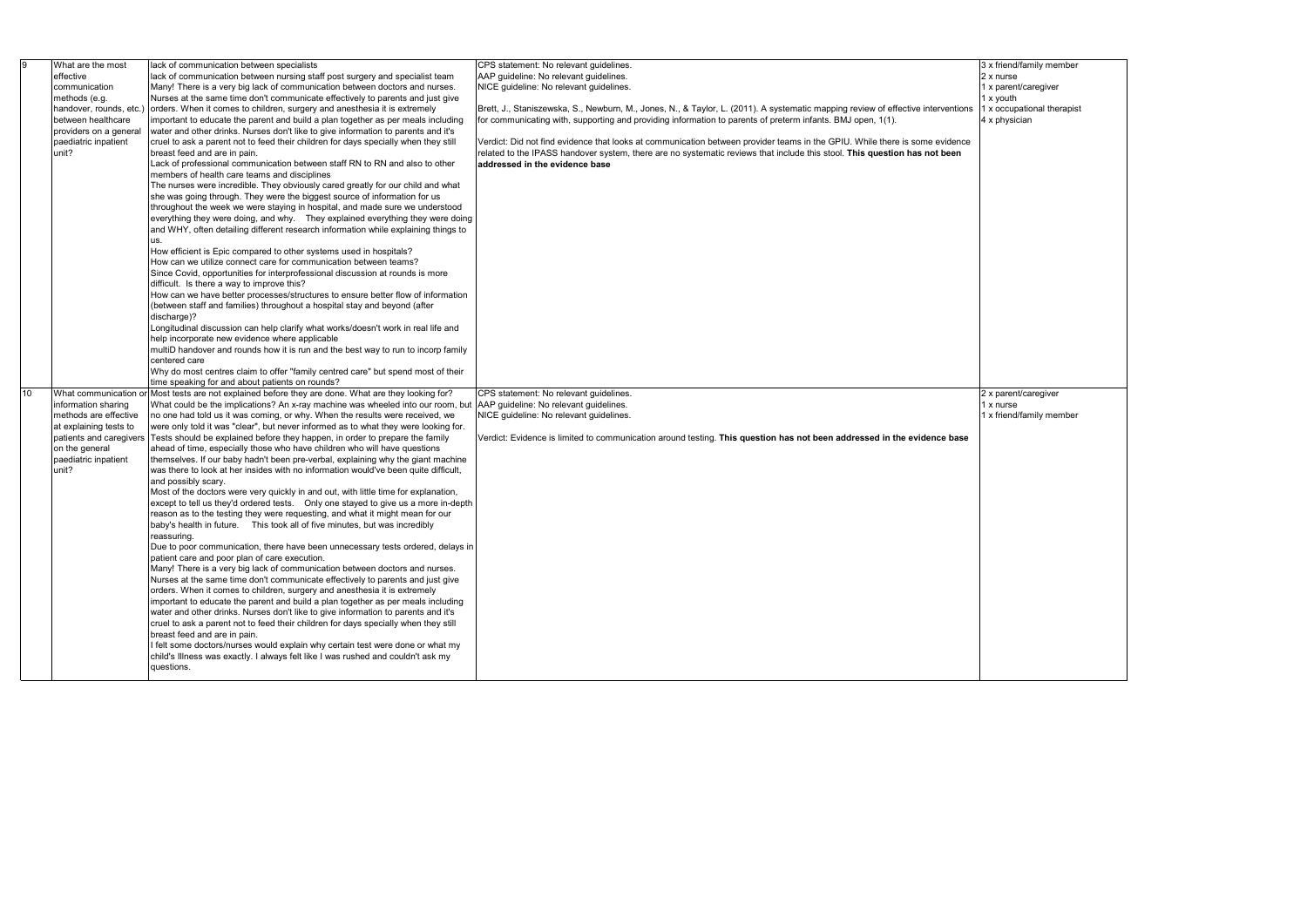| 9  | What are the most       | lack of communication between specialists                                                                              | CPS statement: No relevant quidelines.                                                                                           |  |
|----|-------------------------|------------------------------------------------------------------------------------------------------------------------|----------------------------------------------------------------------------------------------------------------------------------|--|
|    | effective               | lack of communication between nursing staff post surgery and specialist team                                           | AAP guideline: No relevant guidelines.                                                                                           |  |
|    | communication           | Many! There is a very big lack of communication between doctors and nurses.                                            | NICE guideline: No relevant guidelines.                                                                                          |  |
|    | methods (e.g.           | Nurses at the same time don't communicate effectively to parents and just give                                         |                                                                                                                                  |  |
|    | handover, rounds, etc.) | orders. When it comes to children, surgery and anesthesia it is extremely                                              | Brett, J., Staniszewska, S., Newburn, M., Jones, N., & Taylor, L. (2011). A systematic mapping review of effective interventions |  |
|    | between healthcare      | important to educate the parent and build a plan together as per meals including                                       | for communicating with, supporting and providing information to parents of preterm infants. BMJ open, 1(1).                      |  |
|    | providers on a general  | water and other drinks. Nurses don't like to give information to parents and it's                                      |                                                                                                                                  |  |
|    | paediatric inpatient    | cruel to ask a parent not to feed their children for days specially when they still                                    | Verdict: Did not find evidence that looks at communication between provider teams in the GPIU. While there is some evidence      |  |
|    | unit?                   | breast feed and are in pain.                                                                                           | related to the IPASS handover system, there are no systematic reviews that include this stool. This question has not been        |  |
|    |                         |                                                                                                                        |                                                                                                                                  |  |
|    |                         | Lack of professional communication between staff RN to RN and also to other                                            | addressed in the evidence base                                                                                                   |  |
|    |                         | members of health care teams and disciplines                                                                           |                                                                                                                                  |  |
|    |                         | The nurses were incredible. They obviously cared greatly for our child and what                                        |                                                                                                                                  |  |
|    |                         | she was going through. They were the biggest source of information for us                                              |                                                                                                                                  |  |
|    |                         | throughout the week we were staying in hospital, and made sure we understood                                           |                                                                                                                                  |  |
|    |                         | everything they were doing, and why.  They explained everything they were doing                                        |                                                                                                                                  |  |
|    |                         | and WHY, often detailing different research information while explaining things to                                     |                                                                                                                                  |  |
|    |                         | us.                                                                                                                    |                                                                                                                                  |  |
|    |                         | How efficient is Epic compared to other systems used in hospitals?                                                     |                                                                                                                                  |  |
|    |                         | How can we utilize connect care for communication between teams?                                                       |                                                                                                                                  |  |
|    |                         | Since Covid, opportunities for interprofessional discussion at rounds is more                                          |                                                                                                                                  |  |
|    |                         | difficult. Is there a way to improve this?                                                                             |                                                                                                                                  |  |
|    |                         |                                                                                                                        |                                                                                                                                  |  |
|    |                         | How can we have better processes/structures to ensure better flow of information                                       |                                                                                                                                  |  |
|    |                         | (between staff and families) throughout a hospital stay and beyond (after                                              |                                                                                                                                  |  |
|    |                         | discharge)?                                                                                                            |                                                                                                                                  |  |
|    |                         | Longitudinal discussion can help clarify what works/doesn't work in real life and                                      |                                                                                                                                  |  |
|    |                         | help incorporate new evidence where applicable                                                                         |                                                                                                                                  |  |
|    |                         | multiD handover and rounds how it is run and the best way to run to incorp family                                      |                                                                                                                                  |  |
|    |                         | centered care                                                                                                          |                                                                                                                                  |  |
|    |                         | Why do most centres claim to offer "family centred care" but spend most of their                                       |                                                                                                                                  |  |
|    |                         | time speaking for and about patients on rounds?                                                                        |                                                                                                                                  |  |
| 10 |                         | What communication or Most tests are not explained before they are done. What are they looking for?                    | CPS statement: No relevant guidelines.                                                                                           |  |
|    | information sharing     | What could be the implications? An x-ray machine was wheeled into our room, but AAP guideline: No relevant guidelines. |                                                                                                                                  |  |
|    | methods are effective   | no one had told us it was coming, or why. When the results were received, we                                           | NICE guideline: No relevant guidelines.                                                                                          |  |
|    | at explaining tests to  | were only told it was "clear", but never informed as to what they were looking for.                                    |                                                                                                                                  |  |
|    | patients and caregivers | Tests should be explained before they happen, in order to prepare the family                                           | Verdict: Evidence is limited to communication around testing. This question has not been addressed in the evidence base          |  |
|    |                         |                                                                                                                        |                                                                                                                                  |  |
|    | on the general          | ahead of time, especially those who have children who will have questions                                              |                                                                                                                                  |  |
|    | paediatric inpatient    | themselves. If our baby hadn't been pre-verbal, explaining why the giant machine                                       |                                                                                                                                  |  |
|    | unit?                   | was there to look at her insides with no information would've been quite difficult,                                    |                                                                                                                                  |  |
|    |                         | and possibly scary.                                                                                                    |                                                                                                                                  |  |
|    |                         | Most of the doctors were very quickly in and out, with little time for explanation,                                    |                                                                                                                                  |  |
|    |                         | except to tell us they'd ordered tests.  Only one stayed to give us a more in-depth                                    |                                                                                                                                  |  |
|    |                         | reason as to the testing they were requesting, and what it might mean for our                                          |                                                                                                                                  |  |
|    |                         | baby's health in future.  This took all of five minutes, but was incredibly                                            |                                                                                                                                  |  |
|    |                         | reassuring.                                                                                                            |                                                                                                                                  |  |
|    |                         | Due to poor communication, there have been unnecessary tests ordered, delays in                                        |                                                                                                                                  |  |
|    |                         | patient care and poor plan of care execution.                                                                          |                                                                                                                                  |  |
|    |                         | Many! There is a very big lack of communication between doctors and nurses.                                            |                                                                                                                                  |  |
|    |                         | Nurses at the same time don't communicate effectively to parents and just give                                         |                                                                                                                                  |  |
|    |                         | orders. When it comes to children, surgery and anesthesia it is extremely                                              |                                                                                                                                  |  |
|    |                         |                                                                                                                        |                                                                                                                                  |  |
|    |                         | important to educate the parent and build a plan together as per meals including                                       |                                                                                                                                  |  |
|    |                         | water and other drinks. Nurses don't like to give information to parents and it's                                      |                                                                                                                                  |  |
|    |                         | cruel to ask a parent not to feed their children for days specially when they still                                    |                                                                                                                                  |  |
|    |                         | breast feed and are in pain.                                                                                           |                                                                                                                                  |  |
|    |                         | I felt some doctors/nurses would explain why certain test were done or what my                                         |                                                                                                                                  |  |
|    |                         | child's Illness was exactly. I always felt like I was rushed and couldn't ask my                                       |                                                                                                                                  |  |
|    |                         | questions.                                                                                                             |                                                                                                                                  |  |
|    |                         |                                                                                                                        |                                                                                                                                  |  |

3 x friend/family member

- 2 x nurse
- 1 x parent/caregiver
- 1 x youth
- 1 x occupational therapist
- 4 x physician

2 x parent/caregiver 1 x nurse

1 x friend/family member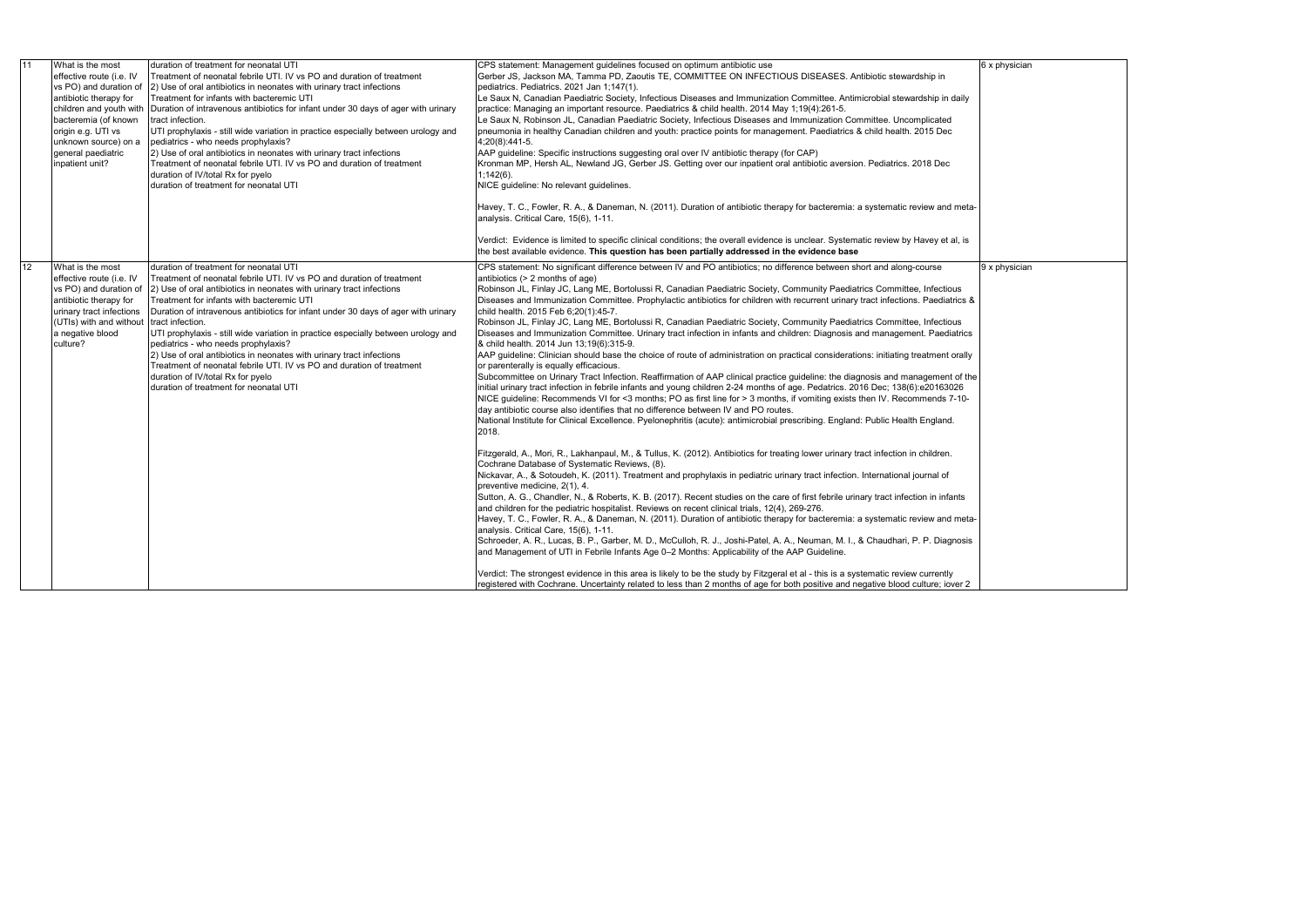| 11              | What is the most<br>effective route (i.e. IV<br>vs PO) and duration of<br>antibiotic therapy for<br>bacteremia (of known<br>origin e.g. UTI vs<br>unknown source) on a<br>general paediatric<br>inpatient unit? | duration of treatment for neonatal UTI<br>Treatment of neonatal febrile UTI. IV vs PO and duration of treatment<br>2) Use of oral antibiotics in neonates with urinary tract infections<br>Treatment for infants with bacteremic UTI<br>children and youth with Duration of intravenous antibiotics for infant under 30 days of ager with urinary<br>tract infection.<br>UTI prophylaxis - still wide variation in practice especially between urology and<br>pediatrics - who needs prophylaxis?<br>2) Use of oral antibiotics in neonates with urinary tract infections<br>Treatment of neonatal febrile UTI. IV vs PO and duration of treatment<br>duration of IV/total Rx for pyelo<br>duration of treatment for neonatal UTI | CPS statement: Management guidelines focused on optimum antibiotic use<br>Gerber JS, Jackson MA, Tamma PD, Zaoutis TE, COMMITTEE ON INFECTIOUS DISEASES. Antibiotic stewardship in<br>pediatrics. Pediatrics. 2021 Jan 1:147(1).<br>Le Saux N, Canadian Paediatric Society, Infectious Diseases and Immunization Committee. Antimicrobial stewardship in daily<br>practice: Managing an important resource. Paediatrics & child health. 2014 May 1;19(4):261-5.<br>Le Saux N, Robinson JL, Canadian Paediatric Society, Infectious Diseases and Immunization Committee. Uncomplicated<br>pneumonia in healthy Canadian children and youth: practice points for management. Paediatrics & child health. 2015 Dec<br>4;20(8):441-5.<br>AAP guideline: Specific instructions suggesting oral over IV antibiotic therapy (for CAP)<br>Kronman MP, Hersh AL, Newland JG, Gerber JS. Getting over our inpatient oral antibiotic aversion. Pediatrics. 2018 Dec<br>$1:142(6)$ .<br>NICE guideline: No relevant guidelines.<br>Havey, T. C., Fowler, R. A., & Daneman, N. (2011). Duration of antibiotic therapy for bacteremia: a systematic review and meta-<br>analysis. Critical Care, 15(6), 1-11.<br>Verdict: Evidence is limited to specific clinical conditions; the overall evidence is unclear. Systematic review by Havey et al, is<br>the best available evidence. This question has been partially addressed in the evidence base                                                                                                                                                                                                                                                                                                                                                                                                                                                                                                                                                                                                                                                                                                                                                                                                                                                                                                                                                                                                                                                                                                                                                                                                                                                                                                                                                                                                                                                   |
|-----------------|-----------------------------------------------------------------------------------------------------------------------------------------------------------------------------------------------------------------|-----------------------------------------------------------------------------------------------------------------------------------------------------------------------------------------------------------------------------------------------------------------------------------------------------------------------------------------------------------------------------------------------------------------------------------------------------------------------------------------------------------------------------------------------------------------------------------------------------------------------------------------------------------------------------------------------------------------------------------|------------------------------------------------------------------------------------------------------------------------------------------------------------------------------------------------------------------------------------------------------------------------------------------------------------------------------------------------------------------------------------------------------------------------------------------------------------------------------------------------------------------------------------------------------------------------------------------------------------------------------------------------------------------------------------------------------------------------------------------------------------------------------------------------------------------------------------------------------------------------------------------------------------------------------------------------------------------------------------------------------------------------------------------------------------------------------------------------------------------------------------------------------------------------------------------------------------------------------------------------------------------------------------------------------------------------------------------------------------------------------------------------------------------------------------------------------------------------------------------------------------------------------------------------------------------------------------------------------------------------------------------------------------------------------------------------------------------------------------------------------------------------------------------------------------------------------------------------------------------------------------------------------------------------------------------------------------------------------------------------------------------------------------------------------------------------------------------------------------------------------------------------------------------------------------------------------------------------------------------------------------------------------------------------------------------------------------------------------------------------------------------------------------------------------------------------------------------------------------------------------------------------------------------------------------------------------------------------------------------------------------------------------------------------------------------------------------------------------------------------------------------------------------------------------------------------------------------------------------------------------------------|
| 12 <sup>2</sup> | What is the most<br>effective route (i.e. IV<br>vs PO) and duration of<br>antibiotic therapy for<br>urinary tract infections<br>(UTIs) with and without tract infection.<br>a negative blood<br>culture?        | duration of treatment for neonatal UTI<br>Treatment of neonatal febrile UTI. IV vs PO and duration of treatment<br>2) Use of oral antibiotics in neonates with urinary tract infections<br>Treatment for infants with bacteremic UTI<br>Duration of intravenous antibiotics for infant under 30 days of ager with urinary<br>UTI prophylaxis - still wide variation in practice especially between urology and<br>pediatrics - who needs prophylaxis?<br>2) Use of oral antibiotics in neonates with urinary tract infections<br>Treatment of neonatal febrile UTI. IV vs PO and duration of treatment<br>duration of IV/total Rx for pyelo<br>duration of treatment for neonatal UTI                                             | CPS statement: No significant difference between IV and PO antibiotics; no difference between short and along-course<br>antibiotics $(> 2$ months of age)<br>Robinson JL, Finlay JC, Lang ME, Bortolussi R, Canadian Paediatric Society, Community Paediatrics Committee, Infectious<br>Diseases and Immunization Committee. Prophylactic antibiotics for children with recurrent urinary tract infections. Paediatrics &<br>child health. 2015 Feb 6;20(1):45-7.<br>Robinson JL, Finlay JC, Lang ME, Bortolussi R, Canadian Paediatric Society, Community Paediatrics Committee, Infectious<br>Diseases and Immunization Committee. Urinary tract infection in infants and children: Diagnosis and management. Paediatrics<br>& child health. 2014 Jun 13;19(6):315-9.<br>AAP guideline: Clinician should base the choice of route of administration on practical considerations: initiating treatment orally<br>or parenterally is equally efficacious.<br>Subcommittee on Urinary Tract Infection. Reaffirmation of AAP clinical practice guideline: the diagnosis and management of the<br>initial urinary tract infection in febrile infants and young children 2-24 months of age. Pedatrics. 2016 Dec; 138(6):e20163026<br>NICE guideline: Recommends VI for <3 months; PO as first line for > 3 months, if vomiting exists then IV. Recommends 7-10-<br>day antibiotic course also identifies that no difference between IV and PO routes.<br>National Institute for Clinical Excellence. Pyelonephritis (acute): antimicrobial prescribing. England: Public Health England.<br>2018.<br>Fitzgerald, A., Mori, R., Lakhanpaul, M., & Tullus, K. (2012). Antibiotics for treating lower urinary tract infection in children.<br>Cochrane Database of Systematic Reviews, (8).<br>Nickavar, A., & Sotoudeh, K. (2011). Treatment and prophylaxis in pediatric urinary tract infection. International journal of<br>preventive medicine, 2(1), 4.<br>Sutton, A. G., Chandler, N., & Roberts, K. B. (2017). Recent studies on the care of first febrile urinary tract infection in infants<br>and children for the pediatric hospitalist. Reviews on recent clinical trials, 12(4), 269-276.<br>Havey, T. C., Fowler, R. A., & Daneman, N. (2011). Duration of antibiotic therapy for bacteremia: a systematic review and meta-<br>analysis. Critical Care, 15(6), 1-11.<br>Schroeder, A. R., Lucas, B. P., Garber, M. D., McCulloh, R. J., Joshi-Patel, A. A., Neuman, M. I., & Chaudhari, P. P. Diagnosis<br>and Management of UTI in Febrile Infants Age 0-2 Months: Applicability of the AAP Guideline.<br>Verdict: The strongest evidence in this area is likely to be the study by Fitzgeral et al - this is a systematic review currently<br>registered with Cochrane. Uncertainty related to less than 2 months of age for both positive and negative blood culture; iover 2 |

6 x physician 9 x physician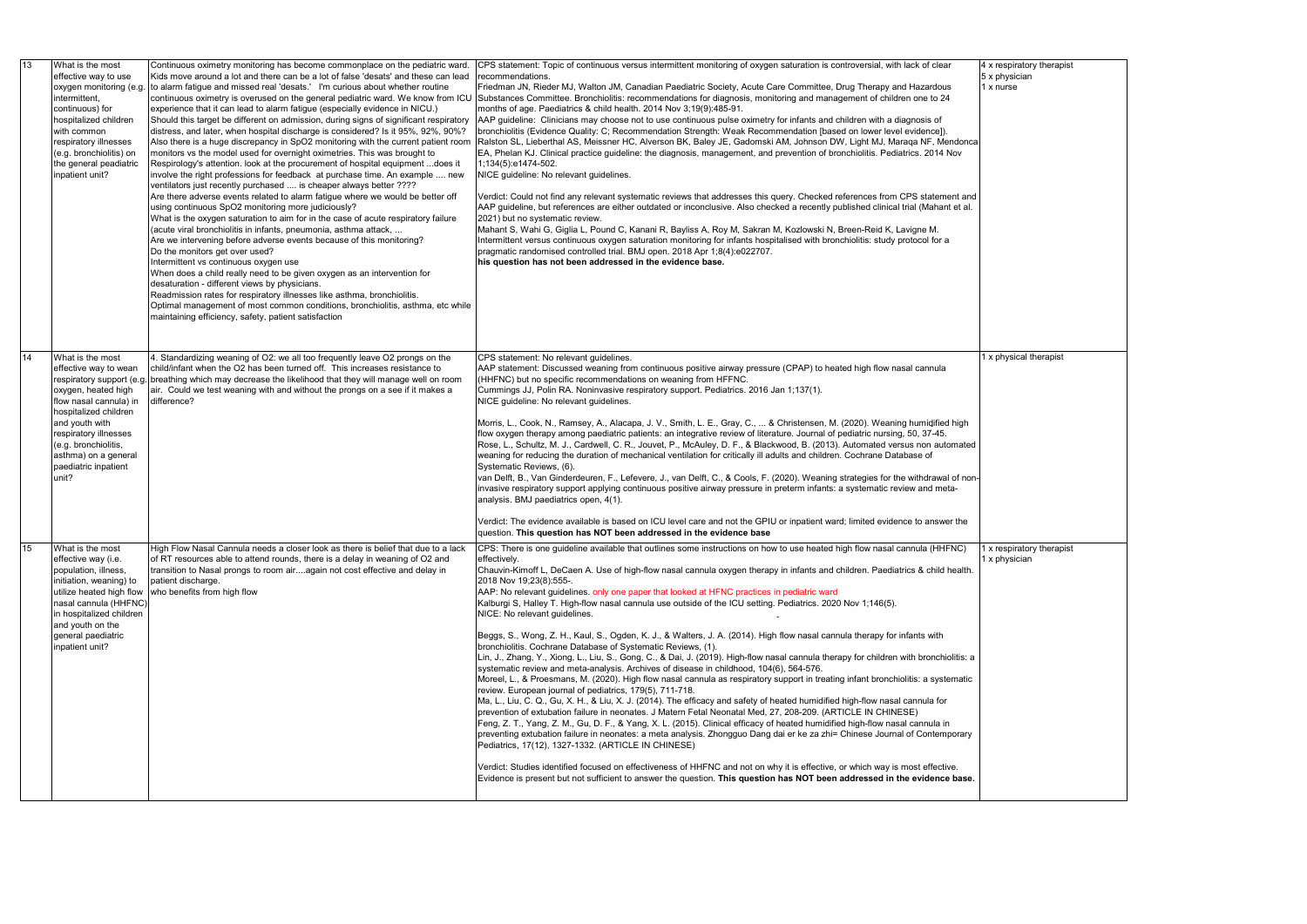| 13 | What is the most<br>effective way to use<br>oxygen monitoring (e.g.<br>intermittent,<br>continuous) for<br>hospitalized children<br>with common<br>respiratory illnesses<br>(e.g. bronchiolitis) on<br>the general peadiatric<br>inpatient unit?                             | Continuous oximetry monitoring has become commonplace on the pediatric ward.<br>Kids move around a lot and there can be a lot of false 'desats' and these can lead<br>to alarm fatigue and missed real 'desats.' I'm curious about whether routine<br>continuous oximetry is overused on the general pediatric ward. We know from ICU<br>experience that it can lead to alarm fatigue (especially evidence in NICU.)<br>Should this target be different on admission, during signs of significant respiratory<br>distress, and later, when hospital discharge is considered? Is it 95%, 92%, 90%?<br>Also there is a huge discrepancy in SpO2 monitoring with the current patient room<br>monitors vs the model used for overnight oximetries. This was brought to<br>Respirology's attention. look at the procurement of hospital equipment  does it<br>involve the right professions for feedback at purchase time. An example  new<br>ventilators just recently purchased  is cheaper always better ????<br>Are there adverse events related to alarm fatigue where we would be better off<br>using continuous SpO2 monitoring more judiciously?<br>What is the oxygen saturation to aim for in the case of acute respiratory failure<br>(acute viral bronchiolitis in infants, pneumonia, asthma attack,<br>Are we intervening before adverse events because of this monitoring?<br>Do the monitors get over used?<br>Intermittent vs continuous oxygen use<br>When does a child really need to be given oxygen as an intervention for<br>desaturation - different views by physicians.<br>Readmission rates for respiratory illnesses like asthma, bronchiolitis.<br>Optimal management of most common conditions, bronchiolitis, asthma, etc while<br>maintaining efficiency, safety, patient satisfaction | CPS statement: Topic of continuous versus intermittent monitoring of oxygen saturation is controversial, with lack of clear<br>recommendations.<br>Friedman JN, Rieder MJ, Walton JM, Canadian Paediatric Society, Acute Care Committee, Drug Therapy and Hazardous<br>Substances Committee. Bronchiolitis: recommendations for diagnosis, monitoring and management of children one to 24<br>months of age. Paediatrics & child health. 2014 Nov 3,19(9):485-91.<br>AAP guideline: Clinicians may choose not to use continuous pulse oximetry for infants and children with a diagnosis of<br>bronchiolitis (Evidence Quality: C; Recommendation Strength: Weak Recommendation [based on lower level evidence]).<br>Ralston SL, Lieberthal AS, Meissner HC, Alverson BK, Baley JE, Gadomski AM, Johnson DW, Light MJ, Maraqa NF, Mendonca<br>EA, Phelan KJ. Clinical practice guideline: the diagnosis, management, and prevention of bronchiolitis. Pediatrics. 2014 Nov<br>1;134(5):e1474-502.<br>NICE guideline: No relevant guidelines.<br>Verdict: Could not find any relevant systematic reviews that addresses this query. Checked references from CPS statement and<br>AAP guideline, but references are either outdated or inconclusive. Also checked a recently published clinical trial (Mahant et al.<br>2021) but no systematic review.<br>Mahant S, Wahi G, Giglia L, Pound C, Kanani R, Bayliss A, Roy M, Sakran M, Kozlowski N, Breen-Reid K, Lavigne M.<br>Intermittent versus continuous oxygen saturation monitoring for infants hospitalised with bronchiolitis: study protocol for a<br>pragmatic randomised controlled trial. BMJ open. 2018 Apr 1;8(4):e022707.<br>his question has not been addressed in the evidence base.                                                                                                                                                                                                                                                                           |
|----|------------------------------------------------------------------------------------------------------------------------------------------------------------------------------------------------------------------------------------------------------------------------------|------------------------------------------------------------------------------------------------------------------------------------------------------------------------------------------------------------------------------------------------------------------------------------------------------------------------------------------------------------------------------------------------------------------------------------------------------------------------------------------------------------------------------------------------------------------------------------------------------------------------------------------------------------------------------------------------------------------------------------------------------------------------------------------------------------------------------------------------------------------------------------------------------------------------------------------------------------------------------------------------------------------------------------------------------------------------------------------------------------------------------------------------------------------------------------------------------------------------------------------------------------------------------------------------------------------------------------------------------------------------------------------------------------------------------------------------------------------------------------------------------------------------------------------------------------------------------------------------------------------------------------------------------------------------------------------------------------------------------------------------------------------------------------------------------------------|--------------------------------------------------------------------------------------------------------------------------------------------------------------------------------------------------------------------------------------------------------------------------------------------------------------------------------------------------------------------------------------------------------------------------------------------------------------------------------------------------------------------------------------------------------------------------------------------------------------------------------------------------------------------------------------------------------------------------------------------------------------------------------------------------------------------------------------------------------------------------------------------------------------------------------------------------------------------------------------------------------------------------------------------------------------------------------------------------------------------------------------------------------------------------------------------------------------------------------------------------------------------------------------------------------------------------------------------------------------------------------------------------------------------------------------------------------------------------------------------------------------------------------------------------------------------------------------------------------------------------------------------------------------------------------------------------------------------------------------------------------------------------------------------------------------------------------------------------------------------------------------------------------------------------------------------------------------------------------------------------------------------------------|
| 14 | What is the most<br>effective way to wean<br>respiratory support (e.g.<br>oxygen, heated high<br>flow nasal cannula) in<br>hospitalized children<br>and youth with<br>respiratory illnesses<br>(e.g. bronchiolitis,<br>asthma) on a general<br>paediatric inpatient<br>unit? | 4. Standardizing weaning of O2: we all too frequently leave O2 prongs on the<br>child/infant when the O2 has been turned off. This increases resistance to<br>breathing which may decrease the likelihood that they will manage well on room<br>air. Could we test weaning with and without the prongs on a see if it makes a<br>difference?                                                                                                                                                                                                                                                                                                                                                                                                                                                                                                                                                                                                                                                                                                                                                                                                                                                                                                                                                                                                                                                                                                                                                                                                                                                                                                                                                                                                                                                                     | CPS statement: No relevant guidelines.<br>AAP statement: Discussed weaning from continuous positive airway pressure (CPAP) to heated high flow nasal cannula<br>(HHFNC) but no specific recommendations on weaning from HFFNC.<br>Cummings JJ, Polin RA. Noninvasive respiratory support. Pediatrics. 2016 Jan 1;137(1).<br>NICE guideline: No relevant guidelines.<br>Morris, L., Cook, N., Ramsey, A., Alacapa, J. V., Smith, L. E., Gray, C.,  & Christensen, M. (2020). Weaning humidified high<br>flow oxygen therapy among paediatric patients: an integrative review of literature. Journal of pediatric nursing, 50, 37-45.<br>Rose, L., Schultz, M. J., Cardwell, C. R., Jouvet, P., McAuley, D. F., & Blackwood, B. (2013). Automated versus non automated<br>weaning for reducing the duration of mechanical ventilation for critically ill adults and children. Cochrane Database of<br>Systematic Reviews, (6).<br>van Delft, B., Van Ginderdeuren, F., Lefevere, J., van Delft, C., & Cools, F. (2020). Weaning strategies for the withdrawal of non-<br>invasive respiratory support applying continuous positive airway pressure in preterm infants: a systematic review and meta-<br>analysis. BMJ paediatrics open, 4(1).<br>Verdict: The evidence available is based on ICU level care and not the GPIU or inpatient ward; limited evidence to answer the<br>question. This question has NOT been addressed in the evidence base                                                                                                                                                                                                                                                                                                                                                                                                                                                                                                                                                                            |
| 15 | What is the most<br>effective way (i.e.<br>population, illness,<br>initiation, weaning) to<br>utilize heated high flow<br>nasal cannula (HHFNC)<br>in hospitalized children<br>and youth on the<br>general paediatric<br>inpatient unit?                                     | High Flow Nasal Cannula needs a closer look as there is belief that due to a lack<br>of RT resources able to attend rounds, there is a delay in weaning of O2 and<br>transition to Nasal prongs to room airagain not cost effective and delay in<br>patient discharge.<br>who benefits from high flow                                                                                                                                                                                                                                                                                                                                                                                                                                                                                                                                                                                                                                                                                                                                                                                                                                                                                                                                                                                                                                                                                                                                                                                                                                                                                                                                                                                                                                                                                                            | CPS: There is one guideline available that outlines some instructions on how to use heated high flow nasal cannula (HHFNC)<br>effectively.<br>Chauvin-Kimoff L, DeCaen A. Use of high-flow nasal cannula oxygen therapy in infants and children. Paediatrics & child health.<br>2018 Nov 19;23(8):555-.<br>AAP: No relevant guidelines. only one paper that looked at HFNC practices in pediatric ward<br>Kalburgi S, Halley T. High-flow nasal cannula use outside of the ICU setting. Pediatrics. 2020 Nov 1;146(5).<br>NICE: No relevant quidelines.<br>Beggs, S., Wong, Z. H., Kaul, S., Ogden, K. J., & Walters, J. A. (2014). High flow nasal cannula therapy for infants with<br>bronchiolitis. Cochrane Database of Systematic Reviews, (1).<br>Lin, J., Zhang, Y., Xiong, L., Liu, S., Gong, C., & Dai, J. (2019). High-flow nasal cannula therapy for children with bronchiolitis: a<br>systematic review and meta-analysis. Archives of disease in childhood, 104(6), 564-576.<br>Moreel, L., & Proesmans, M. (2020). High flow nasal cannula as respiratory support in treating infant bronchiolitis: a systematic<br>review. European journal of pediatrics, 179(5), 711-718.<br>Ma, L., Liu, C. Q., Gu, X. H., & Liu, X. J. (2014). The efficacy and safety of heated humidified high-flow nasal cannula for<br>prevention of extubation failure in neonates. J Matern Fetal Neonatal Med, 27, 208-209. (ARTICLE IN CHINESE)<br>Feng, Z. T., Yang, Z. M., Gu, D. F., & Yang, X. L. (2015). Clinical efficacy of heated humidified high-flow nasal cannula in<br>preventing extubation failure in neonates: a meta analysis. Zhongguo Dang dai er ke za zhi= Chinese Journal of Contemporary<br>Pediatrics, 17(12), 1327-1332. (ARTICLE IN CHINESE)<br>Verdict: Studies identified focused on effectiveness of HHFNC and not on why it is effective, or which way is most effective.<br>Evidence is present but not sufficient to answer the question. This question has NOT been addressed in the evidence base. |

|  | 4 x respiratory therapist<br>5 x physician<br>1 x nurse |
|--|---------------------------------------------------------|
|  |                                                         |
|  |                                                         |
|  |                                                         |
|  |                                                         |
|  |                                                         |
|  |                                                         |
|  |                                                         |
|  |                                                         |
|  |                                                         |
|  |                                                         |
|  | 1 x physical therapist                                  |
|  |                                                         |
|  |                                                         |
|  |                                                         |
|  |                                                         |
|  |                                                         |
|  |                                                         |
|  | 1 x respiratory therapist                               |
|  | 1 x physician                                           |
|  |                                                         |
|  |                                                         |
|  |                                                         |
|  |                                                         |
|  |                                                         |
|  |                                                         |
|  |                                                         |
|  |                                                         |
|  |                                                         |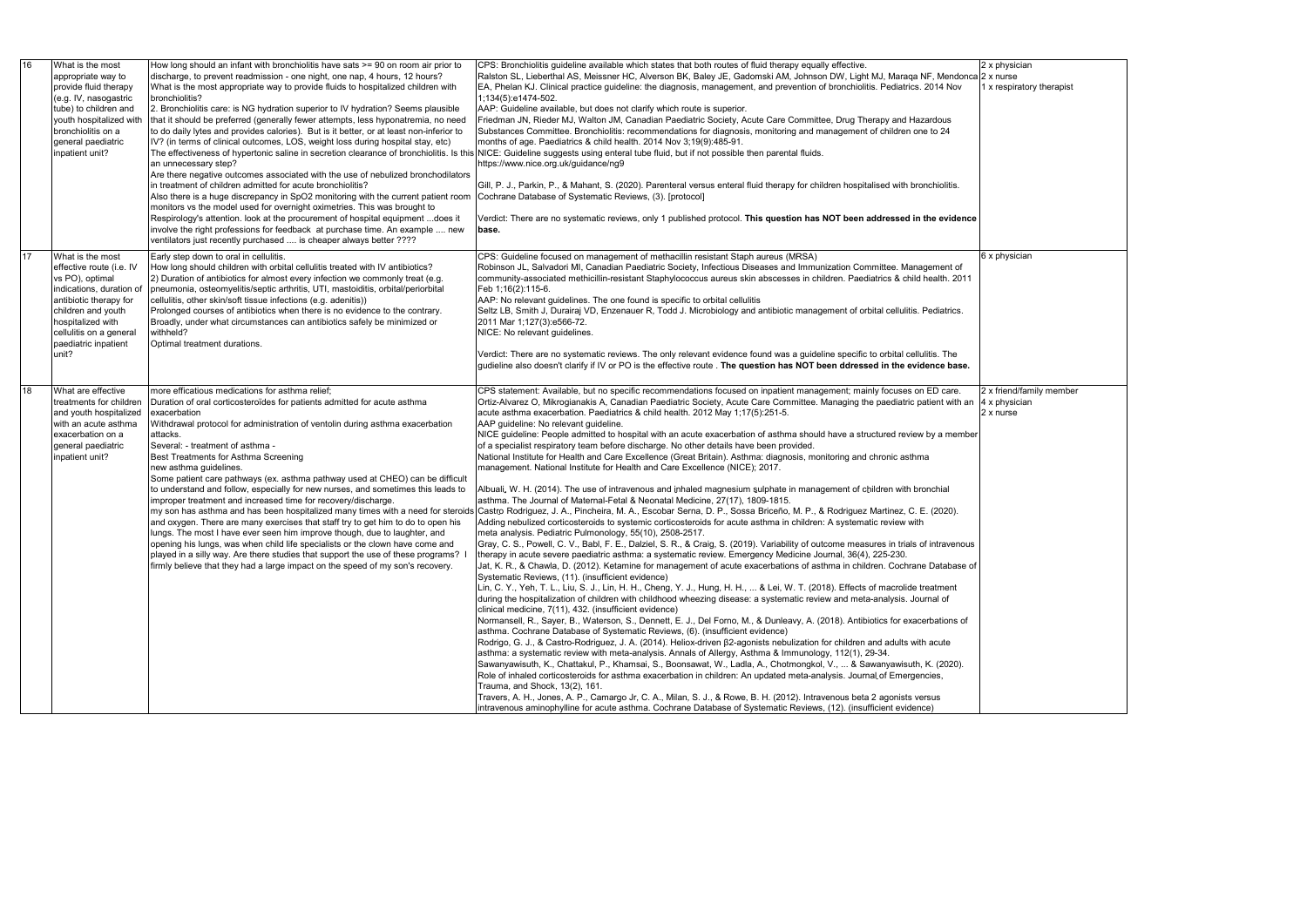| 16 | What is the most<br>appropriate way to<br>provide fluid therapy<br>(e.g. IV, nasogastric<br>tube) to children and<br>youth hospitalized with<br>bronchiolitis on a<br>general paediatric<br>inpatient unit?                  | How long should an infant with bronchiolitis have sats >= 90 on room air prior to<br>discharge, to prevent readmission - one night, one nap, 4 hours, 12 hours?<br>What is the most appropriate way to provide fluids to hospitalized children with<br>bronchiolitis?<br>2. Bronchiolitis care: is NG hydration superior to IV hydration? Seems plausible<br>that it should be preferred (generally fewer attempts, less hyponatremia, no need<br>to do daily lytes and provides calories). But is it better, or at least non-inferior to<br>IV? (in terms of clinical outcomes, LOS, weight loss during hospital stay, etc)<br>an unnecessary step?<br>Are there negative outcomes associated with the use of nebulized bronchodilators<br>in treatment of children admitted for acute bronchiolitis?<br>Also there is a huge discrepancy in SpO2 monitoring with the current patient room  Cochrane Database of Systematic Reviews, (3). [protocol]<br>monitors vs the model used for overnight oximetries. This was brought to<br>Respirology's attention. look at the procurement of hospital equipment does it<br>involve the right professions for feedback at purchase time. An example  new<br>ventilators just recently purchased  is cheaper always better ???? | CPS: Bronchiolitis quideline available which states that both routes of fluid therapy equally effective.<br>Ralston SL, Lieberthal AS, Meissner HC, Alverson BK, Baley JE, Gadomski AM, Johnson DW, Light MJ, Maraqa NF, Mendonca<br>EA, Phelan KJ. Clinical practice guideline: the diagnosis, management, and prevention of bronchiolitis. Pediatrics. 2014 Nov<br>1;134(5):e1474-502.<br>AAP: Guideline available, but does not clarify which route is superior.<br>Friedman JN, Rieder MJ, Walton JM, Canadian Paediatric Society, Acute Care Committee, Drug Therapy and Hazardous<br>Substances Committee. Bronchiolitis: recommendations for diagnosis, monitoring and management of children one to 24<br>months of age. Paediatrics & child health. 2014 Nov 3, 19(9): 485-91.<br>The effectiveness of hypertonic saline in secretion clearance of bronchiolitis. Is this NICE: Guideline suggests using enteral tube fluid, but if not possible then parental fluids.<br>https://www.nice.org.uk/guidance/ng9<br>Gill, P. J., Parkin, P., & Mahant, S. (2020). Parenteral versus enteral fluid therapy for children hospitalised with bronchiolitis.<br>Verdict: There are no systematic reviews, only 1 published protocol. This question has NOT been addressed in the evidence<br>base.                                                                                                                                                                                                                                                                                                                                                                                                                                                                                                                                                                                                                                                                                                                                                                                                                                                                                                                                                                                                                                                                                                                                                                                                                                                                                                                                                                                                                                                                                                                                                                                                                                                                                                                                                                                                                                                                                                   |
|----|------------------------------------------------------------------------------------------------------------------------------------------------------------------------------------------------------------------------------|---------------------------------------------------------------------------------------------------------------------------------------------------------------------------------------------------------------------------------------------------------------------------------------------------------------------------------------------------------------------------------------------------------------------------------------------------------------------------------------------------------------------------------------------------------------------------------------------------------------------------------------------------------------------------------------------------------------------------------------------------------------------------------------------------------------------------------------------------------------------------------------------------------------------------------------------------------------------------------------------------------------------------------------------------------------------------------------------------------------------------------------------------------------------------------------------------------------------------------------------------------------------------|--------------------------------------------------------------------------------------------------------------------------------------------------------------------------------------------------------------------------------------------------------------------------------------------------------------------------------------------------------------------------------------------------------------------------------------------------------------------------------------------------------------------------------------------------------------------------------------------------------------------------------------------------------------------------------------------------------------------------------------------------------------------------------------------------------------------------------------------------------------------------------------------------------------------------------------------------------------------------------------------------------------------------------------------------------------------------------------------------------------------------------------------------------------------------------------------------------------------------------------------------------------------------------------------------------------------------------------------------------------------------------------------------------------------------------------------------------------------------------------------------------------------------------------------------------------------------------------------------------------------------------------------------------------------------------------------------------------------------------------------------------------------------------------------------------------------------------------------------------------------------------------------------------------------------------------------------------------------------------------------------------------------------------------------------------------------------------------------------------------------------------------------------------------------------------------------------------------------------------------------------------------------------------------------------------------------------------------------------------------------------------------------------------------------------------------------------------------------------------------------------------------------------------------------------------------------------------------------------------------------------------------------------------------------------------------------------------------------------------------------------------------------------------------------------------------------------------------------------------------------------------------------------------------------------------------------------------------------------------------------------------------------------------------------------------------------------------------------------------------------------------------------------------------------------------------------------------|
| 17 | What is the most<br>effective route (i.e. IV<br>vs PO), optimal<br>indications, duration of<br>antibiotic therapy for<br>children and youth<br>hospitalized with<br>cellulitis on a general<br>paediatric inpatient<br>unit? | Early step down to oral in cellulitis.<br>How long should children with orbital cellulitis treated with IV antibiotics?<br>2) Duration of antibiotics for almost every infection we commonly treat (e.g.<br>pneumonia, osteomyelitis/septic arthritis, UTI, mastoiditis, orbital/periorbital<br>cellulitis, other skin/soft tissue infections (e.g. adenitis))<br>Prolonged courses of antibiotics when there is no evidence to the contrary.<br>Broadly, under what circumstances can antibiotics safely be minimized or<br>withheld?<br>Optimal treatment durations.                                                                                                                                                                                                                                                                                                                                                                                                                                                                                                                                                                                                                                                                                                    | CPS: Guideline focused on management of methacillin resistant Staph aureus (MRSA)<br>Robinson JL, Salvadori MI, Canadian Paediatric Society, Infectious Diseases and Immunization Committee. Management of<br>community-associated methicillin-resistant Staphylococcus aureus skin abscesses in children. Paediatrics & child health. 2011<br>Feb 1:16(2):115-6.<br>AAP: No relevant guidelines. The one found is specific to orbital cellulitis<br>Seltz LB, Smith J, Durairaj VD, Enzenauer R, Todd J. Microbiology and antibiotic management of orbital cellulitis. Pediatrics.<br>2011 Mar 1;127(3):e566-72.<br>NICE: No relevant quidelines.<br>Verdict: There are no systematic reviews. The only relevant evidence found was a guideline specific to orbital cellulitis. The<br>gudieline also doesn't clarify if IV or PO is the effective route . The question has NOT been ddressed in the evidence base.                                                                                                                                                                                                                                                                                                                                                                                                                                                                                                                                                                                                                                                                                                                                                                                                                                                                                                                                                                                                                                                                                                                                                                                                                                                                                                                                                                                                                                                                                                                                                                                                                                                                                                                                                                                                                                                                                                                                                                                                                                                                                                                                                                                                                                                                                   |
| 18 | What are effective<br>treatments for children<br>and youth hospitalized<br>with an acute asthma<br>exacerbation on a<br>general paediatric<br>inpatient unit?                                                                | more efficatious medications for asthma relief;<br>Duration of oral corticosteroïdes for patients admitted for acute asthma<br>exacerbation<br>Withdrawal protocol for administration of ventolin during asthma exacerbation<br>attacks.<br>Several: - treatment of asthma -<br>Best Treatments for Asthma Screening<br>new asthma guidelines.<br>Some patient care pathways (ex. asthma pathway used at CHEO) can be difficult<br>to understand and follow, especially for new nurses, and sometimes this leads to<br>improper treatment and increased time for recovery/discharge.<br>and oxygen. There are many exercises that staff try to get him to do to open his<br>lungs. The most I have ever seen him improve though, due to laughter, and<br>opening his lungs, was when child life specialists or the clown have come and<br>played in a silly way. Are there studies that support the use of these programs? I<br>firmly believe that they had a large impact on the speed of my son's recovery.                                                                                                                                                                                                                                                            | CPS statement: Available, but no specific recommendations focused on inpatient management; mainly focuses on ED care.<br>Ortiz-Alvarez O, Mikrogianakis A, Canadian Paediatric Society, Acute Care Committee. Managing the paediatric patient with an<br>acute asthma exacerbation. Paediatrics & child health. 2012 May 1;17(5):251-5.<br>AAP guideline: No relevant guideline.<br>NICE guideline: People admitted to hospital with an acute exacerbation of asthma should have a structured review by a member<br>of a specialist respiratory team before discharge. No other details have been provided.<br>National Institute for Health and Care Excellence (Great Britain). Asthma: diagnosis, monitoring and chronic asthma<br>management. National Institute for Health and Care Excellence (NICE); 2017.<br>Albuali, W. H. (2014). The use of intravenous and inhaled magnesium sulphate in management of children with bronchial<br>asthma. The Journal of Maternal-Fetal & Neonatal Medicine, 27(17), 1809-1815.<br>my son has asthma and has been hospitalized many times with a need for steroids Castro Rodriguez, J. A., Pincheira, M. A., Escobar Serna, D. P., Sossa Briceño, M. P., & Rodriguez Martinez, C. E. (2020).<br>Adding nebulized corticosteroids to systemic corticosteroids for acute asthma in children: A systematic review with<br>meta analysis. Pediatric Pulmonology, 55(10), 2508-2517.<br>Gray, C. S., Powell, C. V., Babl, F. E., Dalziel, S. R., & Craig, S. (2019). Variability of outcome measures in trials of intravenous<br>therapy in acute severe paediatric asthma: a systematic review. Emergency Medicine Journal, 36(4), 225-230.<br>Jat, K. R., & Chawla, D. (2012). Ketamine for management of acute exacerbations of asthma in children. Cochrane Database of<br>Systematic Reviews, (11). (insufficient evidence)<br>Lin, C. Y., Yeh, T. L., Liu, S. J., Lin, H. H., Cheng, Y. J., Hung, H. H.,  & Lei, W. T. (2018). Effects of macrolide treatment<br>during the hospitalization of children with childhood wheezing disease: a systematic review and meta-analysis. Journal of<br>clinical medicine, 7(11), 432. (insufficient evidence)<br>Normansell, R., Sayer, B., Waterson, S., Dennett, E. J., Del Forno, M., & Dunleavy, A. (2018). Antibiotics for exacerbations of<br>asthma. Cochrane Database of Systematic Reviews, (6). (insufficient evidence)<br>Rodrigo, G. J., & Castro-Rodriguez, J. A. (2014). Heliox-driven β2-agonists nebulization for children and adults with acute<br>asthma: a systematic review with meta-analysis. Annals of Allergy, Asthma & Immunology, 112(1), 29-34.<br>Sawanyawisuth, K., Chattakul, P., Khamsai, S., Boonsawat, W., Ladla, A., Chotmongkol, V.,  & Sawanyawisuth, K. (2020).<br>Role of inhaled corticosteroids for asthma exacerbation in children: An updated meta-analysis. Journal of Emergencies,<br>Trauma, and Shock, 13(2), 161.<br>Travers, A. H., Jones, A. P., Camargo Jr, C. A., Milan, S. J., & Rowe, B. H. (2012). Intravenous beta 2 agonists versus<br>intravenous aminophylline for acute asthma. Cochrane Database of Systematic Reviews, (12). (insufficient evidence) |

|   | 2 x physician                             |  |
|---|-------------------------------------------|--|
| a | 2 x nurse<br>1 x respiratory therapist    |  |
|   |                                           |  |
|   |                                           |  |
|   |                                           |  |
|   |                                           |  |
|   |                                           |  |
|   |                                           |  |
|   |                                           |  |
|   |                                           |  |
| e |                                           |  |
|   |                                           |  |
|   |                                           |  |
|   | 6 x physician                             |  |
|   |                                           |  |
|   |                                           |  |
|   |                                           |  |
|   |                                           |  |
|   |                                           |  |
|   |                                           |  |
|   |                                           |  |
|   |                                           |  |
|   | 2 x friend/family member<br>4 x physician |  |
|   | 2 x nurse                                 |  |
| r |                                           |  |
|   |                                           |  |
|   |                                           |  |
|   |                                           |  |
|   |                                           |  |
|   |                                           |  |
|   |                                           |  |
|   |                                           |  |
|   |                                           |  |
| f |                                           |  |
|   |                                           |  |
|   |                                           |  |
|   |                                           |  |
|   |                                           |  |
|   |                                           |  |
|   |                                           |  |
|   |                                           |  |
|   |                                           |  |
|   |                                           |  |
|   |                                           |  |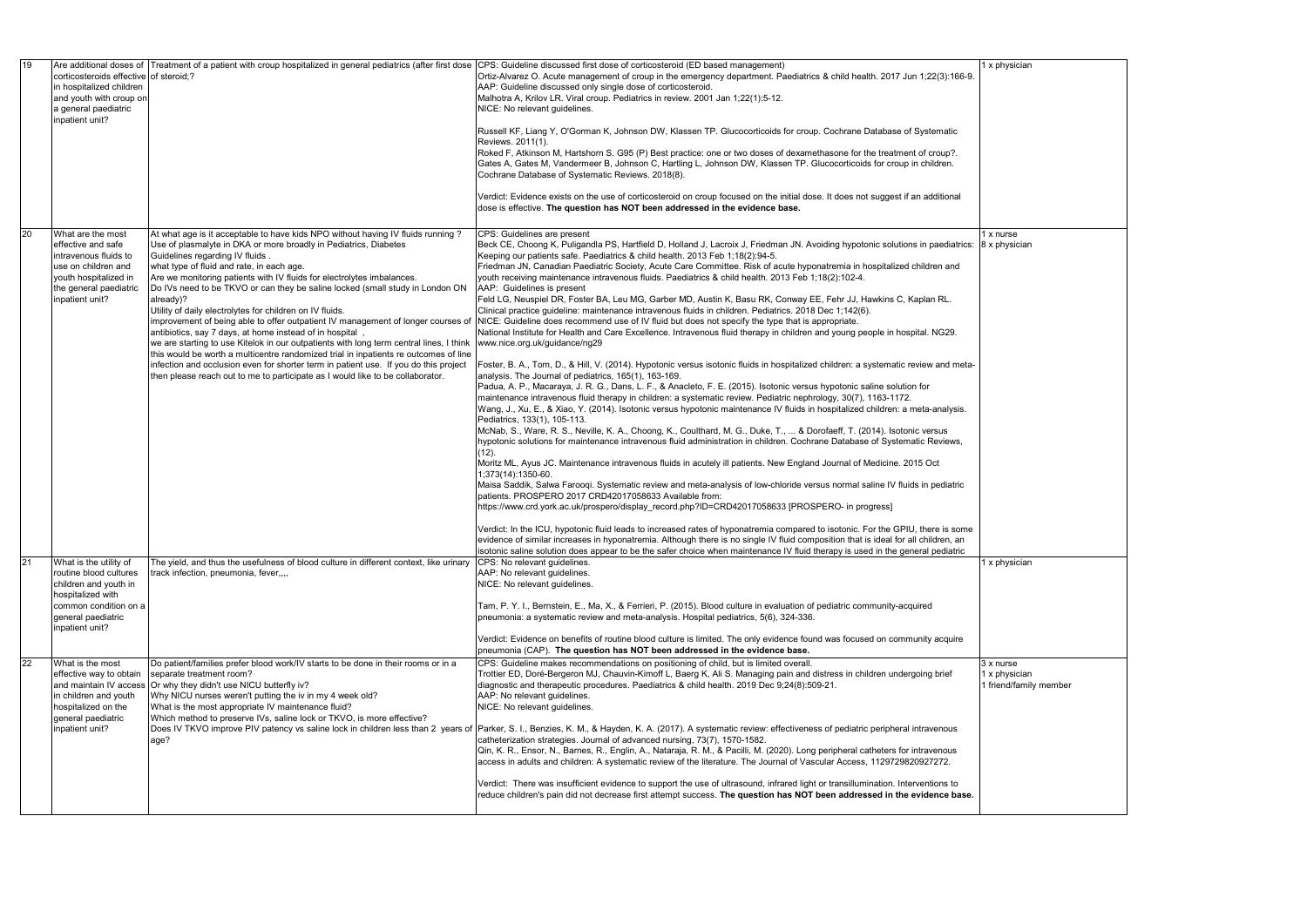| 19 | corticosteroids effective of steroid;?<br>in hospitalized children<br>and youth with croup on<br>a general paediatric<br>inpatient unit?                         | Are additional doses of Treatment of a patient with croup hospitalized in general pediatrics (after first dose                                                                                                                                                                                                                                                                                                                                                                                                                                                                                                                                                                                                                                                                                                                                                                                                                                                                                                      | CPS: Guideline discussed first dose of corticosteroid (ED based management)<br>Ortiz-Alvarez O. Acute management of croup in the emergency department. Paediatrics & child health. 2017 Jun 1;22(3):166-9.<br>AAP: Guideline discussed only single dose of corticosteroid.<br>Malhotra A, Krilov LR. Viral croup. Pediatrics in review. 2001 Jan 1;22(1):5-12.<br>NICE: No relevant guidelines.<br>Russell KF, Liang Y, O'Gorman K, Johnson DW, Klassen TP. Glucocorticoids for croup. Cochrane Database of Systematic<br>Reviews. 2011(1).<br>Roked F, Atkinson M, Hartshorn S. G95 (P) Best practice: one or two doses of dexamethasone for the treatment of croup?.<br>Gates A, Gates M, Vandermeer B, Johnson C, Hartling L, Johnson DW, Klassen TP. Glucocorticoids for croup in children.<br>Cochrane Database of Systematic Reviews. 2018(8).<br>Verdict: Evidence exists on the use of corticosteroid on croup focused on the initial dose. It does not suggest if an additional<br>dose is effective. The question has NOT been addressed in the evidence base.                                                                                                                                                                                                                                                                                                                                                                                                                                                                                                                                                                                                                                                                                                                                                                                                                                                                                                                                                                                                                                                                                                                                                                                                                                                                                                                                                                                                                                                                                                                                                                                                                                                         |
|----|------------------------------------------------------------------------------------------------------------------------------------------------------------------|---------------------------------------------------------------------------------------------------------------------------------------------------------------------------------------------------------------------------------------------------------------------------------------------------------------------------------------------------------------------------------------------------------------------------------------------------------------------------------------------------------------------------------------------------------------------------------------------------------------------------------------------------------------------------------------------------------------------------------------------------------------------------------------------------------------------------------------------------------------------------------------------------------------------------------------------------------------------------------------------------------------------|----------------------------------------------------------------------------------------------------------------------------------------------------------------------------------------------------------------------------------------------------------------------------------------------------------------------------------------------------------------------------------------------------------------------------------------------------------------------------------------------------------------------------------------------------------------------------------------------------------------------------------------------------------------------------------------------------------------------------------------------------------------------------------------------------------------------------------------------------------------------------------------------------------------------------------------------------------------------------------------------------------------------------------------------------------------------------------------------------------------------------------------------------------------------------------------------------------------------------------------------------------------------------------------------------------------------------------------------------------------------------------------------------------------------------------------------------------------------------------------------------------------------------------------------------------------------------------------------------------------------------------------------------------------------------------------------------------------------------------------------------------------------------------------------------------------------------------------------------------------------------------------------------------------------------------------------------------------------------------------------------------------------------------------------------------------------------------------------------------------------------------------------------------------------------------------------------------------------------------------------------------------------------------------------------------------------------------------------------------------------------------------------------------------------------------------------------------------------------------------------------------------------------------------------------------------------------------------------------------------------------------------------------------------------------------------------------------------------------------|
| 20 | What are the most<br>effective and safe<br>intravenous fluids to<br>use on children and<br>youth hospitalized in<br>the general paediatric<br>inpatient unit?    | At what age is it acceptable to have kids NPO without having IV fluids running ?<br>Use of plasmalyte in DKA or more broadly in Pediatrics, Diabetes<br>Guidelines regarding IV fluids.<br>what type of fluid and rate, in each age.<br>Are we monitoring patients with IV fluids for electrolytes imbalances.<br>Do IVs need to be TKVO or can they be saline locked (small study in London ON<br>already)?<br>Utility of daily electrolytes for children on IV fluids.<br>improvement of being able to offer outpatient IV management of longer courses of<br>antibiotics, say 7 days, at home instead of in hospital,<br>we are starting to use Kitelok in our outpatients with long term central lines, I think www.nice.org.uk/guidance/ng29<br>this would be worth a multicentre randomized trial in inpatients re outcomes of line<br>infection and occlusion even for shorter term in patient use. If you do this project<br>then please reach out to me to participate as I would like to be collaborator. | CPS: Guidelines are present<br>Beck CE, Choong K, Puligandla PS, Hartfield D, Holland J, Lacroix J, Friedman JN. Avoiding hypotonic solutions in paediatrics:<br>Keeping our patients safe. Paediatrics & child health. 2013 Feb 1,18(2):94-5.<br>Friedman JN, Canadian Paediatric Society, Acute Care Committee. Risk of acute hyponatremia in hospitalized children and<br>youth receiving maintenance intravenous fluids. Paediatrics & child health. 2013 Feb 1;18(2):102-4.<br>AAP: Guidelines is present<br>Feld LG, Neuspiel DR, Foster BA, Leu MG, Garber MD, Austin K, Basu RK, Conway EE, Fehr JJ, Hawkins C, Kaplan RL.<br>Clinical practice guideline: maintenance intravenous fluids in children. Pediatrics. 2018 Dec 1;142(6).<br>NICE: Guideline does recommend use of IV fluid but does not specify the type that is appropriate.<br>National Institute for Health and Care Excellence. Intravenous fluid therapy in children and young people in hospital. NG29.<br>Foster, B. A., Tom, D., & Hill, V. (2014). Hypotonic versus isotonic fluids in hospitalized children: a systematic review and meta-<br>analysis. The Journal of pediatrics, 165(1), 163-169.<br>Padua, A. P., Macaraya, J. R. G., Dans, L. F., & Anacleto, F. E. (2015). Isotonic versus hypotonic saline solution for<br>maintenance intravenous fluid therapy in children: a systematic review. Pediatric nephrology, 30(7), 1163-1172.<br>Wang, J., Xu, E., & Xiao, Y. (2014). Isotonic versus hypotonic maintenance IV fluids in hospitalized children: a meta-analysis.<br>Pediatrics, 133(1), 105-113.<br>McNab, S., Ware, R. S., Neville, K. A., Choong, K., Coulthard, M. G., Duke, T.,  & Dorofaeff, T. (2014). Isotonic versus<br>hypotonic solutions for maintenance intravenous fluid administration in children. Cochrane Database of Systematic Reviews,<br>$(12)$ .<br>Moritz ML, Ayus JC. Maintenance intravenous fluids in acutely ill patients. New England Journal of Medicine. 2015 Oct<br>1;373(14):1350-60.<br>Maisa Saddik, Salwa Farooqi. Systematic review and meta-analysis of low-chloride versus normal saline IV fluids in pediatric<br>patients. PROSPERO 2017 CRD42017058633 Available from:<br>https://www.crd.york.ac.uk/prospero/display_record.php?ID=CRD42017058633 [PROSPERO- in progress]<br>Verdict: In the ICU, hypotonic fluid leads to increased rates of hyponatremia compared to isotonic. For the GPIU, there is some<br>evidence of similar increases in hyponatremia. Although there is no single IV fluid composition that is ideal for all children, an<br>isotonic saline solution does appear to be the safer choice when maintenance IV fluid therapy is used in the general pediatric |
| 21 | What is the utility of<br>routine blood cultures<br>children and youth in<br>hospitalized with<br>common condition on a<br>general paediatric<br>inpatient unit? | The yield, and thus the usefulness of blood culture in different context, like urinary<br>track infection, pneumonia, fever,,,,                                                                                                                                                                                                                                                                                                                                                                                                                                                                                                                                                                                                                                                                                                                                                                                                                                                                                     | CPS: No relevant guidelines.<br>AAP: No relevant guidelines.<br>NICE: No relevant guidelines.<br>Tam, P. Y. I., Bernstein, E., Ma, X., & Ferrieri, P. (2015). Blood culture in evaluation of pediatric community-acquired<br>pneumonia: a systematic review and meta-analysis. Hospital pediatrics, 5(6), 324-336.<br>Verdict: Evidence on benefits of routine blood culture is limited. The only evidence found was focused on community acquire<br>pneumonia (CAP). The question has NOT been addressed in the evidence base.                                                                                                                                                                                                                                                                                                                                                                                                                                                                                                                                                                                                                                                                                                                                                                                                                                                                                                                                                                                                                                                                                                                                                                                                                                                                                                                                                                                                                                                                                                                                                                                                                                                                                                                                                                                                                                                                                                                                                                                                                                                                                                                                                                                                  |
| 22 | What is the most<br>effective way to obtain<br>and maintain IV access<br>in children and youth<br>hospitalized on the<br>general paediatric<br>inpatient unit?   | Do patient/families prefer blood work/IV starts to be done in their rooms or in a<br>separate treatment room?<br>Or why they didn't use NICU butterfly iv?<br>Why NICU nurses weren't putting the iv in my 4 week old?<br>What is the most appropriate IV maintenance fluid?<br>Which method to preserve IVs, saline lock or TKVO, is more effective?<br>age?                                                                                                                                                                                                                                                                                                                                                                                                                                                                                                                                                                                                                                                       | CPS: Guideline makes recommendations on positioning of child, but is limited overall.<br>Trottier ED, Doré-Bergeron MJ, Chauvin-Kimoff L, Baerg K, Ali S. Managing pain and distress in children undergoing brief<br>diagnostic and therapeutic procedures. Paediatrics & child health. 2019 Dec 9;24(8):509-21.<br>AAP: No relevant guidelines.<br>NICE: No relevant guidelines.<br>Does IV TKVO improve PIV patency vs saline lock in children less than 2 years of  Parker, S. I., Benzies, K. M., & Hayden, K. A. (2017). A systematic review: effectiveness of pediatric peripheral intravenous<br>catheterization strategies. Journal of advanced nursing, 73(7), 1570-1582.<br>Qin, K. R., Ensor, N., Barnes, R., Englin, A., Nataraja, R. M., & Pacilli, M. (2020). Long peripheral catheters for intravenous<br>access in adults and children: A systematic review of the literature. The Journal of Vascular Access, 1129729820927272.<br>Verdict: There was insufficient evidence to support the use of ultrasound, infrared light or transillumination. Interventions to<br>reduce children's pain did not decrease first attempt success. The question has NOT been addressed in the evidence base.                                                                                                                                                                                                                                                                                                                                                                                                                                                                                                                                                                                                                                                                                                                                                                                                                                                                                                                                                                                                                                                                                                                                                                                                                                                                                                                                                                                                                                                                                                                 |

|       | 1 x physician                           |
|-------|-----------------------------------------|
| 6-9.  |                                         |
|       |                                         |
|       |                                         |
|       |                                         |
|       |                                         |
|       |                                         |
|       |                                         |
|       |                                         |
|       |                                         |
| I     |                                         |
|       |                                         |
|       |                                         |
|       | $\frac{1}{1}$ x nurse                   |
| rics: | 8 x physician                           |
|       |                                         |
|       |                                         |
|       |                                         |
|       |                                         |
|       |                                         |
|       |                                         |
|       |                                         |
|       |                                         |
| eta-  |                                         |
|       |                                         |
|       |                                         |
|       |                                         |
| is.   |                                         |
|       |                                         |
| ;,    |                                         |
|       |                                         |
|       |                                         |
|       |                                         |
| ic    |                                         |
|       |                                         |
|       |                                         |
| ome   |                                         |
| In    |                                         |
| ic    |                                         |
|       | 1 x physician                           |
|       |                                         |
|       |                                         |
|       |                                         |
|       |                                         |
|       |                                         |
| e     |                                         |
|       |                                         |
|       | 3 x nurse                               |
|       | 1 x physician<br>1 friend/family member |
|       |                                         |
|       |                                         |
|       |                                         |
|       |                                         |
|       |                                         |
|       |                                         |
|       |                                         |
|       |                                         |
| ise.  |                                         |
|       |                                         |
|       |                                         |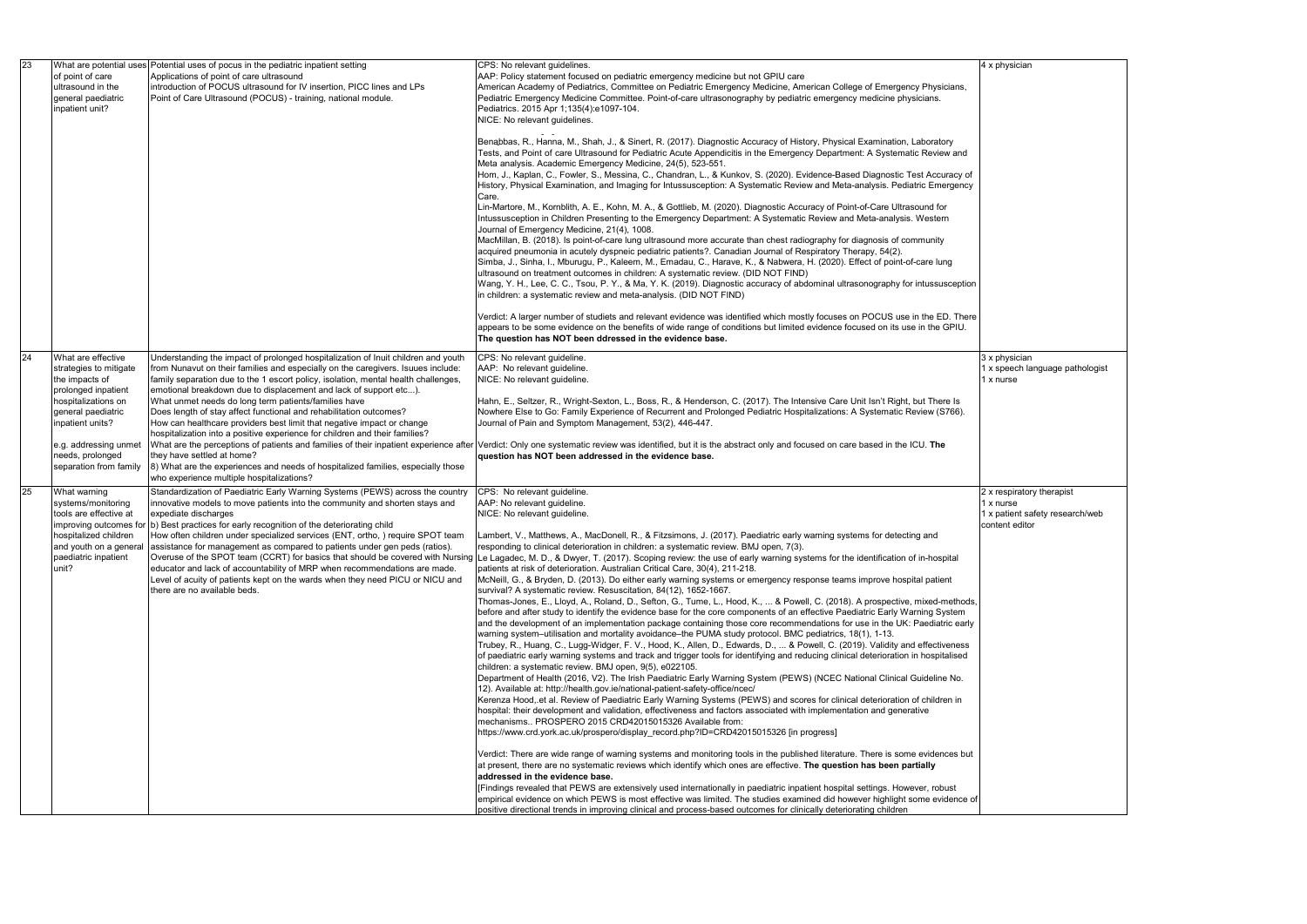| 23 | of point of care<br>ultrasound in the<br>general paediatric<br>inpatient unit? | What are potential uses Potential uses of pocus in the pediatric inpatient setting<br>Applications of point of care ultrasound<br>introduction of POCUS ultrasound for IV insertion, PICC lines and LPs<br>Point of Care Ultrasound (POCUS) - training, national module.            | CPS: No relevant guidelines.<br>AAP: Policy statement focused on pediatric emergency medicine but not GPIU care<br>American Academy of Pediatrics, Committee on Pediatric Emergency Medicine, American College of Emergency Physicians,<br>Pediatric Emergency Medicine Committee. Point-of-care ultrasonography by pediatric emergency medicine physicians.<br>Pediatrics. 2015 Apr 1;135(4):e1097-104.<br>NICE: No relevant guidelines.                                                                                                                                                                                                                                                                                                                                                                                                                                                    |  |
|----|--------------------------------------------------------------------------------|-------------------------------------------------------------------------------------------------------------------------------------------------------------------------------------------------------------------------------------------------------------------------------------|----------------------------------------------------------------------------------------------------------------------------------------------------------------------------------------------------------------------------------------------------------------------------------------------------------------------------------------------------------------------------------------------------------------------------------------------------------------------------------------------------------------------------------------------------------------------------------------------------------------------------------------------------------------------------------------------------------------------------------------------------------------------------------------------------------------------------------------------------------------------------------------------|--|
|    |                                                                                |                                                                                                                                                                                                                                                                                     | Benabbas, R., Hanna, M., Shah, J., & Sinert, R. (2017). Diagnostic Accuracy of History, Physical Examination, Laboratory<br>Tests, and Point of care Ultrasound for Pediatric Acute Appendicitis in the Emergency Department: A Systematic Review and<br>Meta analysis. Academic Emergency Medicine, 24(5), 523-551.<br>Hom, J., Kaplan, C., Fowler, S., Messina, C., Chandran, L., & Kunkov, S. (2020). Evidence-Based Diagnostic Test Accuracy of<br>History, Physical Examination, and Imaging for Intussusception: A Systematic Review and Meta-analysis. Pediatric Emergency<br>Care.                                                                                                                                                                                                                                                                                                   |  |
|    |                                                                                |                                                                                                                                                                                                                                                                                     | Lin-Martore, M., Kornblith, A. E., Kohn, M. A., & Gottlieb, M. (2020). Diagnostic Accuracy of Point-of-Care Ultrasound for<br>Intussusception in Children Presenting to the Emergency Department: A Systematic Review and Meta-analysis. Western<br>Journal of Emergency Medicine, 21(4), 1008.<br>MacMillan, B. (2018). Is point-of-care lung ultrasound more accurate than chest radiography for diagnosis of community<br>acquired pneumonia in acutely dyspneic pediatric patients?. Canadian Journal of Respiratory Therapy, 54(2).<br>Simba, J., Sinha, I., Mburugu, P., Kaleem, M., Emadau, C., Harave, K., & Nabwera, H. (2020). Effect of point-of-care lung<br>ultrasound on treatment outcomes in children: A systematic review. (DID NOT FIND)<br>Wang, Y. H., Lee, C. C., Tsou, P. Y., & Ma, Y. K. (2019). Diagnostic accuracy of abdominal ultrasonography for intussusception |  |
|    |                                                                                |                                                                                                                                                                                                                                                                                     | in children: a systematic review and meta-analysis. (DID NOT FIND)<br>Verdict: A larger number of studiets and relevant evidence was identified which mostly focuses on POCUS use in the ED. There<br>appears to be some evidence on the benefits of wide range of conditions but limited evidence focused on its use in the GPIU.<br>The question has NOT been ddressed in the evidence base.                                                                                                                                                                                                                                                                                                                                                                                                                                                                                               |  |
| 24 | What are effective<br>strategies to mitigate                                   | Understanding the impact of prolonged hospitalization of Inuit children and youth<br>from Nunavut on their families and especially on the caregivers. Isuues include:                                                                                                               | CPS: No relevant guideline.<br>AAP: No relevant guideline.                                                                                                                                                                                                                                                                                                                                                                                                                                                                                                                                                                                                                                                                                                                                                                                                                                   |  |
|    | the impacts of<br>prolonged inpatient                                          | family separation due to the 1 escort policy, isolation, mental health challenges,<br>emotional breakdown due to displacement and lack of support etc).                                                                                                                             | NICE: No relevant guideline.                                                                                                                                                                                                                                                                                                                                                                                                                                                                                                                                                                                                                                                                                                                                                                                                                                                                 |  |
|    | hospitalizations on<br>general paediatric<br>inpatient units?                  | What unmet needs do long term patients/families have<br>Does length of stay affect functional and rehabilitation outcomes?<br>How can healthcare providers best limit that negative impact or change<br>hospitalization into a positive experience for children and their families? | Hahn, E., Seltzer, R., Wright-Sexton, L., Boss, R., & Henderson, C. (2017). The Intensive Care Unit Isn't Right, but There Is<br>Nowhere Else to Go: Family Experience of Recurrent and Prolonged Pediatric Hospitalizations: A Systematic Review (S766).<br>Journal of Pain and Symptom Management, 53(2), 446-447.                                                                                                                                                                                                                                                                                                                                                                                                                                                                                                                                                                         |  |
|    | e.g. addressing unmet<br>needs, prolonged<br>separation from family            | What are the perceptions of patients and families of their inpatient experience after<br>they have settled at home?<br>8) What are the experiences and needs of hospitalized families, especially those                                                                             | Verdict: Only one systematic review was identified, but it is the abstract only and focused on care based in the ICU. The<br>question has NOT been addressed in the evidence base.                                                                                                                                                                                                                                                                                                                                                                                                                                                                                                                                                                                                                                                                                                           |  |
| 25 | What warning                                                                   | who experience multiple hospitalizations?<br>Standardization of Paediatric Early Warning Systems (PEWS) across the country                                                                                                                                                          | CPS: No relevant guideline.                                                                                                                                                                                                                                                                                                                                                                                                                                                                                                                                                                                                                                                                                                                                                                                                                                                                  |  |
|    | systems/monitoring<br>tools are effective at                                   | innovative models to move patients into the community and shorten stays and<br>expediate discharges                                                                                                                                                                                 | AAP: No relevant guideline.<br>NICE: No relevant guideline.                                                                                                                                                                                                                                                                                                                                                                                                                                                                                                                                                                                                                                                                                                                                                                                                                                  |  |
|    | hospitalized children                                                          | improving outcomes for (b) Best practices for early recognition of the deteriorating child<br>How often children under specialized services (ENT, ortho, ) require SPOT team                                                                                                        | Lambert, V., Matthews, A., MacDonell, R., & Fitzsimons, J. (2017). Paediatric early warning systems for detecting and                                                                                                                                                                                                                                                                                                                                                                                                                                                                                                                                                                                                                                                                                                                                                                        |  |
|    |                                                                                | and youth on a general assistance for management as compared to patients under gen peds (ratios).                                                                                                                                                                                   | responding to clinical deterioration in children: a systematic review. BMJ open, 7(3).                                                                                                                                                                                                                                                                                                                                                                                                                                                                                                                                                                                                                                                                                                                                                                                                       |  |
|    | paediatric inpatient<br>unit?                                                  | educator and lack of accountability of MRP when recommendations are made.                                                                                                                                                                                                           | Overuse of the SPOT team (CCRT) for basics that should be covered with Nursing Le Lagadec, M. D., & Dwyer, T. (2017). Scoping review: the use of early warning systems for the identification of in-hospital<br>patients at risk of deterioration. Australian Critical Care, 30(4), 211-218.                                                                                                                                                                                                                                                                                                                                                                                                                                                                                                                                                                                                 |  |
|    |                                                                                | Level of acuity of patients kept on the wards when they need PICU or NICU and<br>there are no available beds.                                                                                                                                                                       | McNeill, G., & Bryden, D. (2013). Do either early warning systems or emergency response teams improve hospital patient<br>survival? A systematic review. Resuscitation, 84(12), 1652-1667.                                                                                                                                                                                                                                                                                                                                                                                                                                                                                                                                                                                                                                                                                                   |  |
|    |                                                                                |                                                                                                                                                                                                                                                                                     | Thomas-Jones, E., Lloyd, A., Roland, D., Sefton, G., Tume, L., Hood, K.,  & Powell, C. (2018). A prospective, mixed-methods,<br>before and after study to identify the evidence base for the core components of an effective Paediatric Early Warning System<br>and the development of an implementation package containing those core recommendations for use in the UK: Paediatric early                                                                                                                                                                                                                                                                                                                                                                                                                                                                                                   |  |
|    |                                                                                |                                                                                                                                                                                                                                                                                     | warning system-utilisation and mortality avoidance-the PUMA study protocol. BMC pediatrics, 18(1), 1-13.<br>Trubey, R., Huang, C., Lugg-Widger, F. V., Hood, K., Allen, D., Edwards, D.,  & Powell, C. (2019). Validity and effectiveness<br>of paediatric early warning systems and track and trigger tools for identifying and reducing clinical deterioration in hospitalised<br>children: a systematic review. BMJ open, 9(5), e022105.                                                                                                                                                                                                                                                                                                                                                                                                                                                  |  |
|    |                                                                                |                                                                                                                                                                                                                                                                                     | Department of Health (2016, V2). The Irish Paediatric Early Warning System (PEWS) (NCEC National Clinical Guideline No.<br>12). Available at: http://health.gov.ie/national-patient-safety-office/ncec/                                                                                                                                                                                                                                                                                                                                                                                                                                                                                                                                                                                                                                                                                      |  |
|    |                                                                                |                                                                                                                                                                                                                                                                                     | Kerenza Hood, et al. Review of Paediatric Early Warning Systems (PEWS) and scores for clinical deterioration of children in<br>hospital: their development and validation, effectiveness and factors associated with implementation and generative<br>mechanisms PROSPERO 2015 CRD42015015326 Available from:                                                                                                                                                                                                                                                                                                                                                                                                                                                                                                                                                                                |  |
|    |                                                                                |                                                                                                                                                                                                                                                                                     | https://www.crd.york.ac.uk/prospero/display_record.php?ID=CRD42015015326 [in progress]                                                                                                                                                                                                                                                                                                                                                                                                                                                                                                                                                                                                                                                                                                                                                                                                       |  |
|    |                                                                                |                                                                                                                                                                                                                                                                                     | Verdict: There are wide range of warning systems and monitoring tools in the published literature. There is some evidences but<br>at present, there are no systematic reviews which identify which ones are effective. The question has been partially                                                                                                                                                                                                                                                                                                                                                                                                                                                                                                                                                                                                                                       |  |
|    |                                                                                |                                                                                                                                                                                                                                                                                     | addressed in the evidence base.<br>[Findings revealed that PEWS are extensively used internationally in paediatric inpatient hospital settings. However, robust                                                                                                                                                                                                                                                                                                                                                                                                                                                                                                                                                                                                                                                                                                                              |  |
|    |                                                                                |                                                                                                                                                                                                                                                                                     | empirical evidence on which PEWS is most effective was limited. The studies examined did however highlight some evidence of<br>positive directional trends in improving clinical and process-based outcomes for clinically deteriorating children                                                                                                                                                                                                                                                                                                                                                                                                                                                                                                                                                                                                                                            |  |

4 x physician 3 x physician 1 x speech language pathologist 1 x nurse 2 x respiratory therapist 1 x nurse 1 x patient safety research/web content editor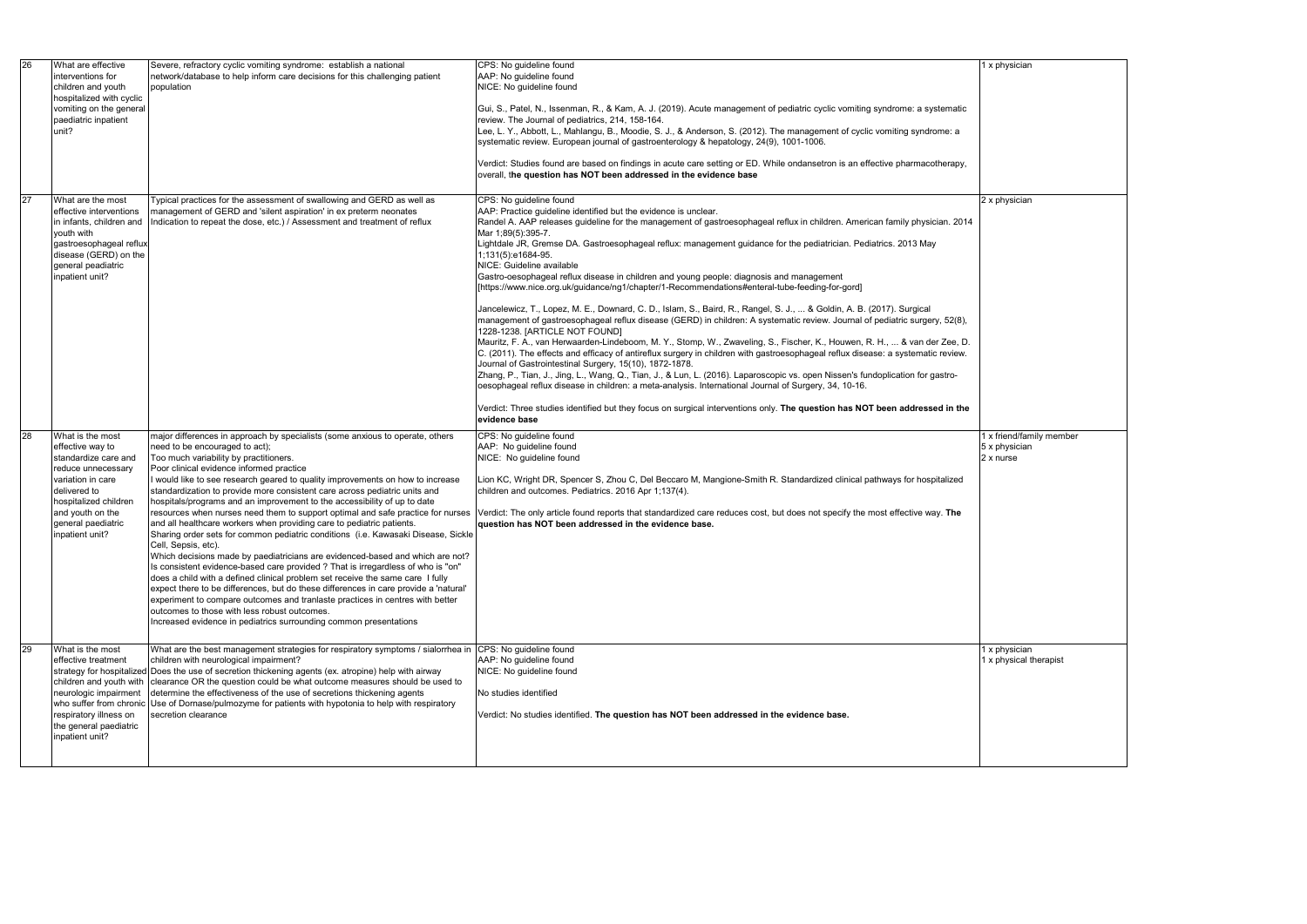| 26<br>What are effective<br>CPS: No guideline found<br>Severe, refractory cyclic vomiting syndrome: establish a national<br>network/database to help inform care decisions for this challenging patient<br>AAP: No guideline found<br>interventions for<br>NICE: No guideline found<br>children and youth<br>population<br>hospitalized with cyclic<br>vomiting on the general<br>paediatric inpatient<br>review. The Journal of pediatrics, 214, 158-164.<br>unit?<br>Lee, L. Y., Abbott, L., Mahlangu, B., Moodie, S. J., & Anderson, S. (2012). The management of cyclic vomiting syndrome: a<br>systematic review. European journal of gastroenterology & hepatology, 24(9), 1001-1006.<br>overall, the question has NOT been addressed in the evidence base<br>27<br>Typical practices for the assessment of swallowing and GERD as well as<br>CPS: No guideline found<br>What are the most<br>management of GERD and 'silent aspiration' in ex preterm neonates<br>AAP: Practice guideline identified but the evidence is unclear.<br>effective interventions<br>Indication to repeat the dose, etc.) / Assessment and treatment of reflux<br>in infants, children and<br>Mar 1;89(5):395-7.<br>youth with<br>Lightdale JR, Gremse DA. Gastroesophageal reflux: management guidance for the pediatrician. Pediatrics. 2013 May<br>gastroesophageal reflux<br>disease (GERD) on the<br>1;131(5):e1684-95.<br>general peadiatric<br>NICE: Guideline available<br>inpatient unit?<br>Gastro-oesophageal reflux disease in children and young people: diagnosis and management<br>[https://www.nice.org.uk/guidance/ng1/chapter/1-Recommendations#enteral-tube-feeding-for-gord]<br>Jancelewicz, T., Lopez, M. E., Downard, C. D., Islam, S., Baird, R., Rangel, S. J.,  & Goldin, A. B. (2017). Surgical<br>1228-1238. [ARTICLE NOT FOUND]<br>Journal of Gastrointestinal Surgery, 15(10), 1872-1878.<br>Zhang, P., Tian, J., Jing, L., Wang, Q., Tian, J., & Lun, L. (2016). Laparoscopic vs. open Nissen's fundoplication for gastro-<br>oesophageal reflux disease in children: a meta-analysis. International Journal of Surgery, 34, 10-16.<br>evidence base<br>28<br>What is the most<br>major differences in approach by specialists (some anxious to operate, others<br>CPS: No guideline found<br>need to be encouraged to act);<br>AAP: No guideline found<br>effective way to<br>Too much variability by practitioners.<br>NICE: No guideline found<br>standardize care and<br>Poor clinical evidence informed practice<br>reduce unnecessary<br>I would like to see research geared to quality improvements on how to increase<br>Lion KC, Wright DR, Spencer S, Zhou C, Del Beccaro M, Mangione-Smith R. Standardized clinical pathways for hospitalized<br>variation in care<br>standardization to provide more consistent care across pediatric units and<br>children and outcomes. Pediatrics. 2016 Apr 1;137(4).<br>delivered to<br>hospitals/programs and an improvement to the accessibility of up to date<br>hospitalized children<br>resources when nurses need them to support optimal and safe practice for nurses<br>and youth on the<br>Verdict: The only article found reports that standardized care reduces cost, but does not specify the most effective way. The<br>and all healthcare workers when providing care to pediatric patients.<br>general paediatric<br>question has NOT been addressed in the evidence base.<br>Sharing order sets for common pediatric conditions (i.e. Kawasaki Disease, Sickle<br>inpatient unit?<br>Cell, Sepsis, etc).<br>Which decisions made by paediatricians are evidenced-based and which are not?<br>Is consistent evidence-based care provided ? That is irregardless of who is "on"<br>does a child with a defined clinical problem set receive the same care I fully<br>expect there to be differences, but do these differences in care provide a 'natural'<br>experiment to compare outcomes and tranlaste practices in centres with better<br>outcomes to those with less robust outcomes.<br>Increased evidence in pediatrics surrounding common presentations<br>29<br>What are the best management strategies for respiratory symptoms / sialorrhea in<br>CPS: No guideline found<br>What is the most<br>children with neurological impairment?<br>AAP: No guideline found<br>effective treatment<br>strategy for hospitalized Does the use of secretion thickening agents (ex. atropine) help with airway<br>NICE: No guideline found<br>clearance OR the question could be what outcome measures should be used to<br>children and youth with<br>neurologic impairment<br>determine the effectiveness of the use of secretions thickening agents<br>No studies identified<br>who suffer from chronic<br>Use of Dornase/pulmozyme for patients with hypotonia to help with respiratory<br>respiratory illness on<br>secretion clearance<br>Verdict: No studies identified. The question has NOT been addressed in the evidence base.<br>the general paediatric<br>inpatient unit? |  |  |                                                                                                                                                                                                                                                                                                                                                                                                                                                                                                                                                                                                                                                            |                         |
|---------------------------------------------------------------------------------------------------------------------------------------------------------------------------------------------------------------------------------------------------------------------------------------------------------------------------------------------------------------------------------------------------------------------------------------------------------------------------------------------------------------------------------------------------------------------------------------------------------------------------------------------------------------------------------------------------------------------------------------------------------------------------------------------------------------------------------------------------------------------------------------------------------------------------------------------------------------------------------------------------------------------------------------------------------------------------------------------------------------------------------------------------------------------------------------------------------------------------------------------------------------------------------------------------------------------------------------------------------------------------------------------------------------------------------------------------------------------------------------------------------------------------------------------------------------------------------------------------------------------------------------------------------------------------------------------------------------------------------------------------------------------------------------------------------------------------------------------------------------------------------------------------------------------------------------------------------------------------------------------------------------------------------------------------------------------------------------------------------------------------------------------------------------------------------------------------------------------------------------------------------------------------------------------------------------------------------------------------------------------------------------------------------------------------------------------------------------------------------------------------------------------------------------------------------------------------------------------------------------------------------------------------------------------------------------------------------------------------------------------------------------------------------------------------------------------------------------------------------------------------------------------------------------------------------------------------------------------------------------------------------------------------------------------------------------------------------------------------------------------------------------------------------------------------------------------------------------------------------------------------------------------------------------------------------------------------------------------------------------------------------------------------------------------------------------------------------------------------------------------------------------------------------------------------------------------------------------------------------------------------------------------------------------------------------------------------------------------------------------------------------------------------------------------------------------------------------------------------------------------------------------------------------------------------------------------------------------------------------------------------------------------------------------------------------------------------------------------------------------------------------------------------------------------------------------------------------------------------------------------------------------------------------------------------------------------------------------------------------------------------------------------------------------------------------------------------------------------------------------------------------------------------------------------------------------------------------------------------------------------------------------------------------------------------------------------------------------------------------------------------------------------------------------------------------------------------------------------------------------------------------------------------------------------------------------------------------------------------------------------------------------------------------------------------------------------|--|--|------------------------------------------------------------------------------------------------------------------------------------------------------------------------------------------------------------------------------------------------------------------------------------------------------------------------------------------------------------------------------------------------------------------------------------------------------------------------------------------------------------------------------------------------------------------------------------------------------------------------------------------------------------|-------------------------|
|                                                                                                                                                                                                                                                                                                                                                                                                                                                                                                                                                                                                                                                                                                                                                                                                                                                                                                                                                                                                                                                                                                                                                                                                                                                                                                                                                                                                                                                                                                                                                                                                                                                                                                                                                                                                                                                                                                                                                                                                                                                                                                                                                                                                                                                                                                                                                                                                                                                                                                                                                                                                                                                                                                                                                                                                                                                                                                                                                                                                                                                                                                                                                                                                                                                                                                                                                                                                                                                                                                                                                                                                                                                                                                                                                                                                                                                                                                                                                                                                                                                                                                                                                                                                                                                                                                                                                                                                                                                                                                                                                                                                                                                                                                                                                                                                                                                                                                                                                                                                                                                                     |  |  | Gui, S., Patel, N., Issenman, R., & Kam, A. J. (2019). Acute management of pediatric cyclic vomiting syndrome: a systematic<br>Verdict: Studies found are based on findings in acute care setting or ED. While ondansetron is an effective pharmacotherapy,                                                                                                                                                                                                                                                                                                                                                                                                |                         |
|                                                                                                                                                                                                                                                                                                                                                                                                                                                                                                                                                                                                                                                                                                                                                                                                                                                                                                                                                                                                                                                                                                                                                                                                                                                                                                                                                                                                                                                                                                                                                                                                                                                                                                                                                                                                                                                                                                                                                                                                                                                                                                                                                                                                                                                                                                                                                                                                                                                                                                                                                                                                                                                                                                                                                                                                                                                                                                                                                                                                                                                                                                                                                                                                                                                                                                                                                                                                                                                                                                                                                                                                                                                                                                                                                                                                                                                                                                                                                                                                                                                                                                                                                                                                                                                                                                                                                                                                                                                                                                                                                                                                                                                                                                                                                                                                                                                                                                                                                                                                                                                                     |  |  | Randel A. AAP releases guideline for the management of gastroesophageal reflux in children. American family physician. 2014<br>management of gastroesophageal reflux disease (GERD) in children: A systematic review. Journal of pediatric surgery, 52(8),<br>Mauritz, F. A., van Herwaarden-Lindeboom, M. Y., Stomp, W., Zwaveling, S., Fischer, K., Houwen, R. H.,  & van der Zee, D.<br>C. (2011). The effects and efficacy of antireflux surgery in children with gastroesophageal reflux disease: a systematic review.<br>Verdict: Three studies identified but they focus on surgical interventions only. The question has NOT been addressed in the |                         |
|                                                                                                                                                                                                                                                                                                                                                                                                                                                                                                                                                                                                                                                                                                                                                                                                                                                                                                                                                                                                                                                                                                                                                                                                                                                                                                                                                                                                                                                                                                                                                                                                                                                                                                                                                                                                                                                                                                                                                                                                                                                                                                                                                                                                                                                                                                                                                                                                                                                                                                                                                                                                                                                                                                                                                                                                                                                                                                                                                                                                                                                                                                                                                                                                                                                                                                                                                                                                                                                                                                                                                                                                                                                                                                                                                                                                                                                                                                                                                                                                                                                                                                                                                                                                                                                                                                                                                                                                                                                                                                                                                                                                                                                                                                                                                                                                                                                                                                                                                                                                                                                                     |  |  |                                                                                                                                                                                                                                                                                                                                                                                                                                                                                                                                                                                                                                                            | $5\,$<br>$\overline{2}$ |
|                                                                                                                                                                                                                                                                                                                                                                                                                                                                                                                                                                                                                                                                                                                                                                                                                                                                                                                                                                                                                                                                                                                                                                                                                                                                                                                                                                                                                                                                                                                                                                                                                                                                                                                                                                                                                                                                                                                                                                                                                                                                                                                                                                                                                                                                                                                                                                                                                                                                                                                                                                                                                                                                                                                                                                                                                                                                                                                                                                                                                                                                                                                                                                                                                                                                                                                                                                                                                                                                                                                                                                                                                                                                                                                                                                                                                                                                                                                                                                                                                                                                                                                                                                                                                                                                                                                                                                                                                                                                                                                                                                                                                                                                                                                                                                                                                                                                                                                                                                                                                                                                     |  |  |                                                                                                                                                                                                                                                                                                                                                                                                                                                                                                                                                                                                                                                            |                         |

|  | 1 x physician            |
|--|--------------------------|
|  |                          |
|  |                          |
|  |                          |
|  |                          |
|  |                          |
|  |                          |
|  |                          |
|  |                          |
|  |                          |
|  |                          |
|  |                          |
|  |                          |
|  |                          |
|  | 2 x physician            |
|  |                          |
|  |                          |
|  |                          |
|  |                          |
|  |                          |
|  |                          |
|  |                          |
|  |                          |
|  |                          |
|  |                          |
|  |                          |
|  |                          |
|  |                          |
|  |                          |
|  |                          |
|  |                          |
|  |                          |
|  |                          |
|  |                          |
|  |                          |
|  |                          |
|  |                          |
|  |                          |
|  | 1 x friend/family member |
|  | 5 x physician            |
|  | 2 x nurse                |
|  |                          |
|  |                          |
|  |                          |
|  |                          |
|  |                          |
|  |                          |
|  |                          |
|  |                          |
|  |                          |
|  |                          |
|  |                          |
|  |                          |
|  |                          |
|  |                          |
|  |                          |
|  |                          |
|  |                          |
|  |                          |
|  |                          |
|  | 1 x physician            |
|  | 1 x physical therapist   |
|  |                          |
|  |                          |
|  |                          |
|  |                          |
|  |                          |
|  |                          |
|  |                          |
|  |                          |
|  |                          |
|  |                          |
|  |                          |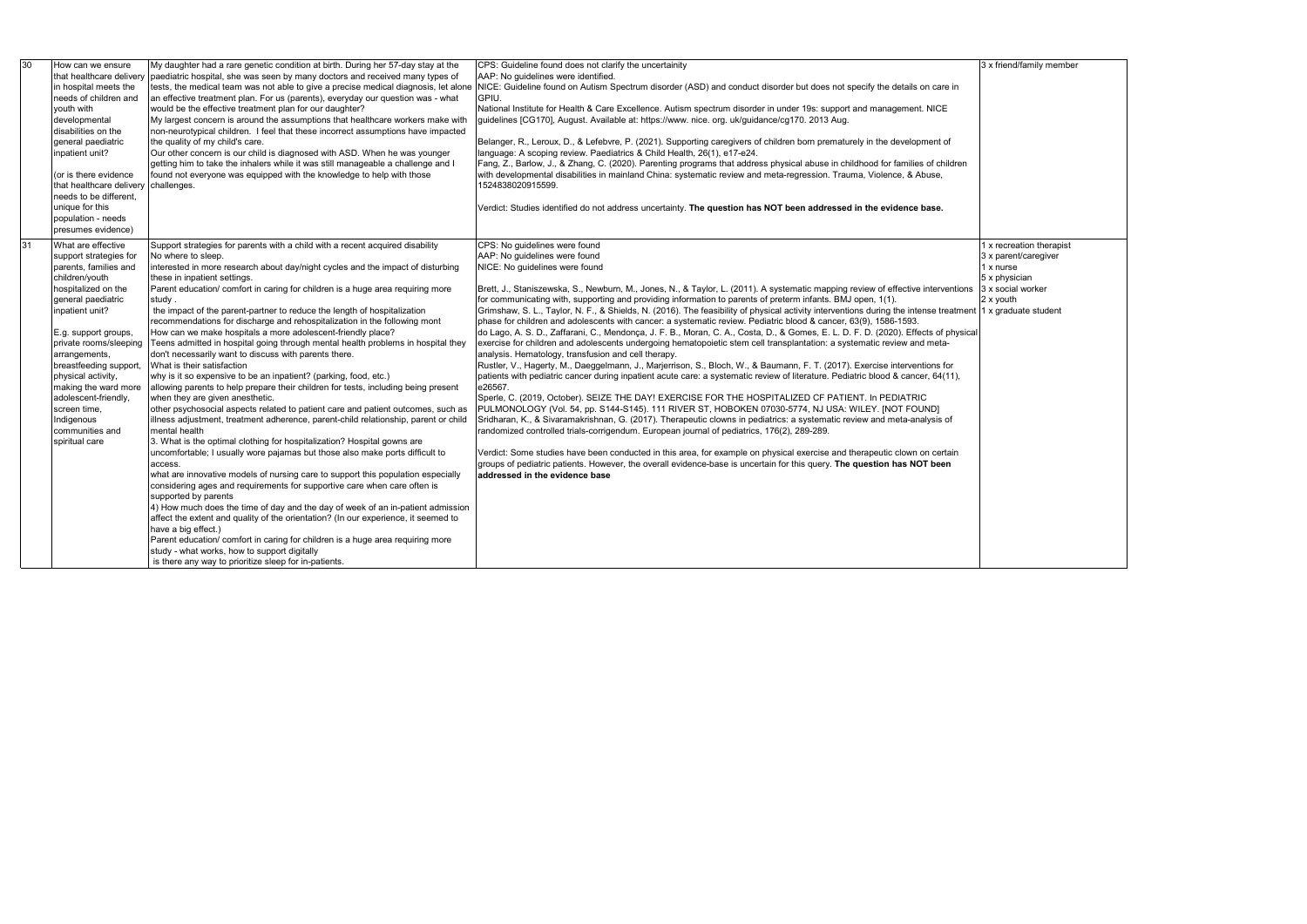## 3 x friend/family member

| 30 | How can we ensure                              | My daughter had a rare genetic condition at birth. During her 57-day stay at the                                                                       | CPS: Guideline found does not clarify the uncertainity                                                                                                                                                                |
|----|------------------------------------------------|--------------------------------------------------------------------------------------------------------------------------------------------------------|-----------------------------------------------------------------------------------------------------------------------------------------------------------------------------------------------------------------------|
|    |                                                | that healthcare delivery paediatric hospital, she was seen by many doctors and received many types of                                                  | AAP: No guidelines were identified.                                                                                                                                                                                   |
|    | in hospital meets the<br>needs of children and | an effective treatment plan. For us (parents), everyday our question was - what                                                                        | tests, the medical team was not able to give a precise medical diagnosis, let alone NICE: Guideline found on Autism Spectrum disorder (ASD) and conduct disorder but does not specify the details on care in<br>GPIU. |
|    | youth with                                     | would be the effective treatment plan for our daughter?                                                                                                | National Institute for Health & Care Excellence. Autism spectrum disorder in under 19s: support and management. NICE                                                                                                  |
|    | developmental                                  | My largest concern is around the assumptions that healthcare workers make with                                                                         | guidelines [CG170], August. Available at: https://www. nice. org. uk/guidance/cg170. 2013 Aug.                                                                                                                        |
|    | disabilities on the                            | non-neurotypical children. I feel that these incorrect assumptions have impacted                                                                       |                                                                                                                                                                                                                       |
|    | general paediatric                             | the quality of my child's care.                                                                                                                        | Belanger, R., Leroux, D., & Lefebvre, P. (2021). Supporting caregivers of children born prematurely in the development of                                                                                             |
|    | inpatient unit?                                | Our other concern is our child is diagnosed with ASD. When he was younger                                                                              | Ianguage: A scoping review. Paediatrics & Child Health, 26(1), e17-e24.                                                                                                                                               |
|    |                                                | getting him to take the inhalers while it was still manageable a challenge and I                                                                       | Fang, Z., Barlow, J., & Zhang, C. (2020). Parenting programs that address physical abuse in childhood for families of children                                                                                        |
|    | (or is there evidence                          | found not everyone was equipped with the knowledge to help with those                                                                                  | with developmental disabilities in mainland China: systematic review and meta-regression. Trauma, Violence, & Abuse,                                                                                                  |
|    | that healthcare delivery challenges.           |                                                                                                                                                        | 1524838020915599.                                                                                                                                                                                                     |
|    | needs to be different,                         |                                                                                                                                                        |                                                                                                                                                                                                                       |
|    | unique for this                                |                                                                                                                                                        | Verdict: Studies identified do not address uncertainty. The question has NOT been addressed in the evidence base.                                                                                                     |
|    | population - needs                             |                                                                                                                                                        |                                                                                                                                                                                                                       |
|    | presumes evidence)                             |                                                                                                                                                        |                                                                                                                                                                                                                       |
| 31 | What are effective                             | Support strategies for parents with a child with a recent acquired disability                                                                          | CPS: No guidelines were found                                                                                                                                                                                         |
|    | support strategies for                         | No where to sleep.                                                                                                                                     | AAP: No guidelines were found                                                                                                                                                                                         |
|    | parents, families and                          | interested in more research about day/night cycles and the impact of disturbing                                                                        | NICE: No guidelines were found                                                                                                                                                                                        |
|    | children/youth                                 | these in inpatient settings.                                                                                                                           |                                                                                                                                                                                                                       |
|    | hospitalized on the                            | Parent education/comfort in caring for children is a huge area requiring more                                                                          | Brett, J., Staniszewska, S., Newburn, M., Jones, N., & Taylor, L. (2011). A systematic mapping review of effective interventions                                                                                      |
|    | general paediatric                             | study.                                                                                                                                                 | for communicating with, supporting and providing information to parents of preterm infants. BMJ open, 1(1).                                                                                                           |
|    | inpatient unit?                                | the impact of the parent-partner to reduce the length of hospitalization                                                                               | Grimshaw, S. L., Taylor, N. F., & Shields, N. (2016). The feasibility of physical activity interventions during the intense treatment                                                                                 |
|    |                                                | recommendations for discharge and rehospitalization in the following mont                                                                              | phase for children and adolescents with cancer: a systematic review. Pediatric blood & cancer, 63(9), 1586-1593.                                                                                                      |
|    | E.g. support groups,                           | How can we make hospitals a more adolescent-friendly place?                                                                                            | do Lago, A. S. D., Zaffarani, C., Mendonça, J. F. B., Moran, C. A., Costa, D., & Gomes, E. L. D. F. D. (2020). Effects of physical                                                                                    |
|    | private rooms/sleeping                         | Teens admitted in hospital going through mental health problems in hospital they                                                                       | exercise for children and adolescents undergoing hematopoietic stem cell transplantation: a systematic review and meta-                                                                                               |
|    | arrangements,                                  | don't necessarily want to discuss with parents there.                                                                                                  | analysis. Hematology, transfusion and cell therapy.                                                                                                                                                                   |
|    | breastfeeding support,                         | What is their satisfaction                                                                                                                             | Rustler, V., Hagerty, M., Daeggelmann, J., Marjerrison, S., Bloch, W., & Baumann, F. T. (2017). Exercise interventions for                                                                                            |
|    | physical activity,<br>making the ward more     | why is it so expensive to be an inpatient? (parking, food, etc.)<br>allowing parents to help prepare their children for tests, including being present | patients with pediatric cancer during inpatient acute care: a systematic review of literature. Pediatric blood & cancer, 64(11),<br>e26567.                                                                           |
|    | adolescent-friendly,                           | when they are given anesthetic.                                                                                                                        | Sperle, C. (2019, October). SEIZE THE DAY! EXERCISE FOR THE HOSPITALIZED CF PATIENT. In PEDIATRIC                                                                                                                     |
|    | screen time,                                   | other psychosocial aspects related to patient care and patient outcomes, such as                                                                       | PULMONOLOGY (Vol. 54, pp. S144-S145). 111 RIVER ST, HOBOKEN 07030-5774, NJ USA: WILEY. [NOT FOUND]                                                                                                                    |
|    | Indigenous                                     | illness adjustment, treatment adherence, parent-child relationship, parent or child                                                                    | Sridharan, K., & Sivaramakrishnan, G. (2017). Therapeutic clowns in pediatrics: a systematic review and meta-analysis of                                                                                              |
|    | communities and                                | mental health                                                                                                                                          | randomized controlled trials-corrigendum. European journal of pediatrics, 176(2), 289-289.                                                                                                                            |
|    | spiritual care                                 | 3. What is the optimal clothing for hospitalization? Hospital gowns are                                                                                |                                                                                                                                                                                                                       |
|    |                                                | uncomfortable; I usually wore pajamas but those also make ports difficult to                                                                           | Verdict: Some studies have been conducted in this area, for example on physical exercise and therapeutic clown on certain                                                                                             |
|    |                                                | access.                                                                                                                                                | groups of pediatric patients. However, the overall evidence-base is uncertain for this query. The question has NOT been                                                                                               |
|    |                                                | what are innovative models of nursing care to support this population especially                                                                       | addressed in the evidence base                                                                                                                                                                                        |
|    |                                                | considering ages and requirements for supportive care when care often is                                                                               |                                                                                                                                                                                                                       |
|    |                                                | supported by parents                                                                                                                                   |                                                                                                                                                                                                                       |
|    |                                                | $\vert$ 4) How much does the time of day and the day of week of an in-patient admission                                                                |                                                                                                                                                                                                                       |
|    |                                                | affect the extent and quality of the orientation? (In our experience, it seemed to                                                                     |                                                                                                                                                                                                                       |
|    |                                                | have a big effect.)                                                                                                                                    |                                                                                                                                                                                                                       |
|    |                                                | Parent education/ comfort in caring for children is a huge area requiring more                                                                         |                                                                                                                                                                                                                       |
|    |                                                | study - what works, how to support digitally                                                                                                           |                                                                                                                                                                                                                       |
|    |                                                | is there any way to prioritize sleep for in-patients.                                                                                                  |                                                                                                                                                                                                                       |

- 1 x recreation therapist
- 3 x parent/caregiver
- 1 x nurse
- 5 x physician 3 x social worker
- 2 x youth
- 1 x graduate student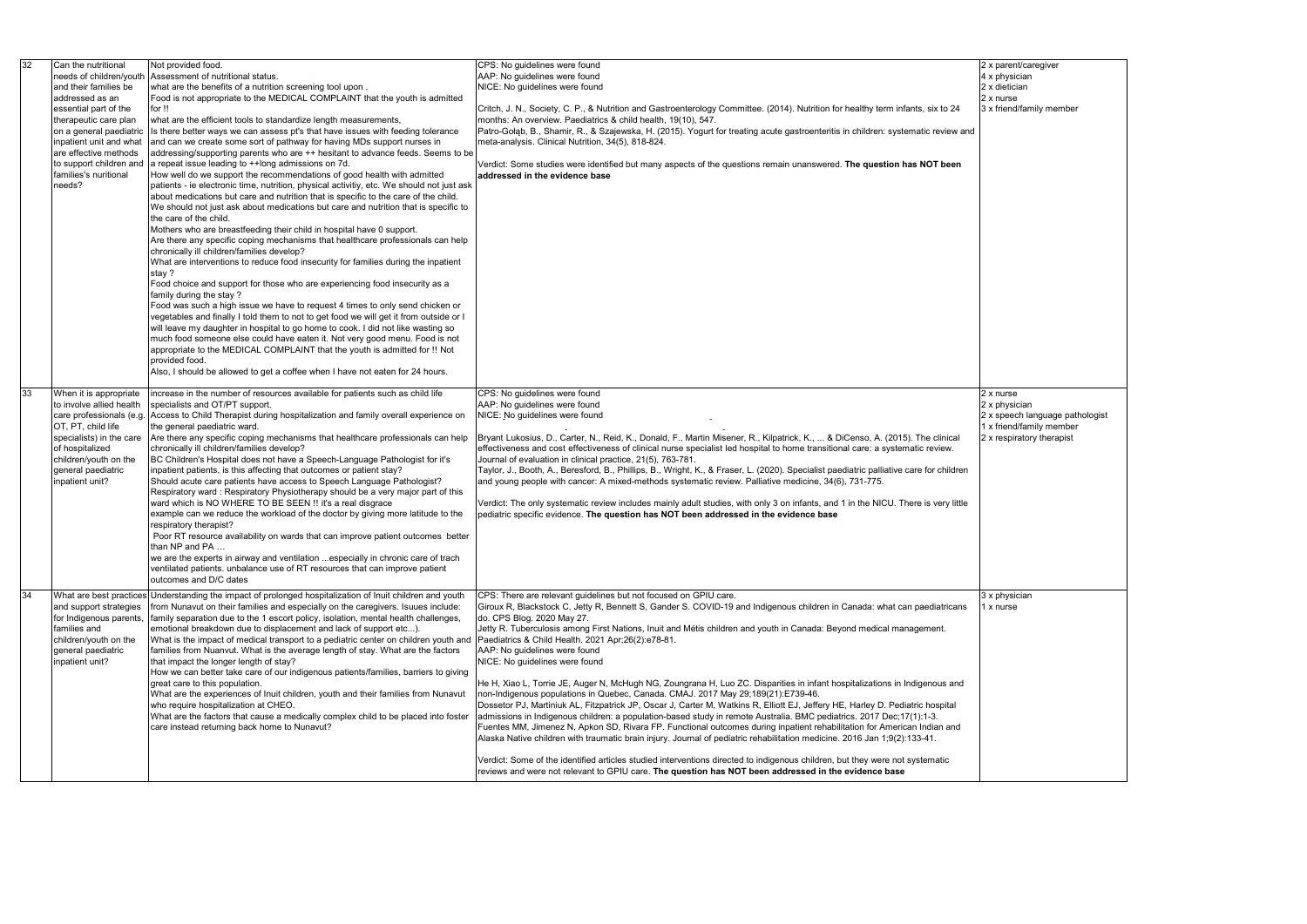| 32 | Can the nutritional      | Not provided food.                                                                                        | CPS: No guidelines were found                                                                                                           |  |
|----|--------------------------|-----------------------------------------------------------------------------------------------------------|-----------------------------------------------------------------------------------------------------------------------------------------|--|
|    | needs of children/youth  | Assessment of nutritional status.                                                                         | AAP: No guidelines were found                                                                                                           |  |
|    | and their families be    | what are the benefits of a nutrition screening tool upon.                                                 | NICE: No guidelines were found                                                                                                          |  |
|    | addressed as an          | Food is not appropriate to the MEDICAL COMPLAINT that the youth is admitted                               |                                                                                                                                         |  |
|    | essential part of the    | for !!                                                                                                    | Critch, J. N., Society, C. P., & Nutrition and Gastroenterology Committee. (2014). Nutrition for healthy term infants, six to 24        |  |
|    | therapeutic care plan    | what are the efficient tools to standardize length measurements,                                          | months: An overview. Paediatrics & child health, 19(10), 547.                                                                           |  |
|    | on a general paediatric  | Is there better ways we can assess pt's that have issues with feeding tolerance                           | Patro-Gołąb, B., Shamir, R., & Szajewska, H. (2015). Yogurt for treating acute gastroenteritis in children: systematic review and       |  |
|    | inpatient unit and what  | and can we create some sort of pathway for having MDs support nurses in                                   | meta-analysis. Clinical Nutrition, 34(5), 818-824.                                                                                      |  |
|    | are effective methods    | addressing/supporting parents who are ++ hesitant to advance feeds. Seems to be                           |                                                                                                                                         |  |
|    | to support children and  | a repeat issue leading to ++long admissions on 7d.                                                        | Verdict: Some studies were identified but many aspects of the questions remain unanswered. The question has NOT been                    |  |
|    | families's nuritional    |                                                                                                           |                                                                                                                                         |  |
|    |                          | How well do we support the recommendations of good health with admitted                                   | addressed in the evidence base                                                                                                          |  |
|    | needs?                   | patients - ie electronic time, nutrition, physical activitiy, etc. We should not just ask                 |                                                                                                                                         |  |
|    |                          | about medications but care and nutrition that is specific to the care of the child.                       |                                                                                                                                         |  |
|    |                          | We should not just ask about medications but care and nutrition that is specific to                       |                                                                                                                                         |  |
|    |                          | the care of the child.                                                                                    |                                                                                                                                         |  |
|    |                          | Mothers who are breastfeeding their child in hospital have 0 support.                                     |                                                                                                                                         |  |
|    |                          | Are there any specific coping mechanisms that healthcare professionals can help                           |                                                                                                                                         |  |
|    |                          | chronically ill children/families develop?                                                                |                                                                                                                                         |  |
|    |                          | What are interventions to reduce food insecurity for families during the inpatient                        |                                                                                                                                         |  |
|    |                          | stay?                                                                                                     |                                                                                                                                         |  |
|    |                          | Food choice and support for those who are experiencing food insecurity as a                               |                                                                                                                                         |  |
|    |                          | family during the stay?                                                                                   |                                                                                                                                         |  |
|    |                          | Food was such a high issue we have to request 4 times to only send chicken or                             |                                                                                                                                         |  |
|    |                          | vegetables and finally I told them to not to get food we will get it from outside or I                    |                                                                                                                                         |  |
|    |                          | will leave my daughter in hospital to go home to cook. I did not like wasting so                          |                                                                                                                                         |  |
|    |                          |                                                                                                           |                                                                                                                                         |  |
|    |                          | much food someone else could have eaten it. Not very good menu. Food is not                               |                                                                                                                                         |  |
|    |                          | appropriate to the MEDICAL COMPLAINT that the youth is admitted for !! Not                                |                                                                                                                                         |  |
|    |                          | provided food.                                                                                            |                                                                                                                                         |  |
|    |                          | Also, I should be allowed to get a coffee when I have not eaten for 24 hours.                             |                                                                                                                                         |  |
|    |                          |                                                                                                           |                                                                                                                                         |  |
| 33 | When it is appropriate   | increase in the number of resources available for patients such as child life                             | CPS: No guidelines were found                                                                                                           |  |
|    | to involve allied health | specialists and OT/PT support.                                                                            | AAP: No guidelines were found                                                                                                           |  |
|    | care professionals (e.g. | Access to Child Therapist during hospitalization and family overall experience on                         | NICE: No guidelines were found                                                                                                          |  |
|    | OT, PT, child life       | the general paediatric ward.                                                                              |                                                                                                                                         |  |
|    | specialists) in the care | Are there any specific coping mechanisms that healthcare professionals can help                           | Bryant Lukosius, D., Carter, N., Reid, K., Donald, F., Martin Misener, R., Kilpatrick, K.,  & DiCenso, A. (2015). The clinical          |  |
|    | of hospitalized          | chronically ill children/families develop?                                                                | effectiveness and cost effectiveness of clinical nurse specialist led hospital to home transitional care: a systematic review.          |  |
|    | children/youth on the    | BC Children's Hospital does not have a Speech-Language Pathologist for it's                               | Journal of evaluation in clinical practice, 21(5), 763-781.                                                                             |  |
|    | general paediatric       | inpatient patients, is this affecting that outcomes or patient stay?                                      | Taylor, J., Booth, A., Beresford, B., Phillips, B., Wright, K., & Fraser, L. (2020). Specialist paediatric palliative care for children |  |
|    |                          |                                                                                                           |                                                                                                                                         |  |
|    | inpatient unit?          | Should acute care patients have access to Speech Language Pathologist?                                    | and young people with cancer: A mixed-methods systematic review. Palliative medicine, 34(6), 731-775.                                   |  |
|    |                          | Respiratory ward: Respiratory Physiotherapy should be a very major part of this                           |                                                                                                                                         |  |
|    |                          | ward which is NO WHERE TO BE SEEN !! it's a real disgrace                                                 | Verdict: The only systematic review includes mainly adult studies, with only 3 on infants, and 1 in the NICU. There is very little      |  |
|    |                          | example can we reduce the workload of the doctor by giving more latitude to the                           | pediatric specific evidence. The question has NOT been addressed in the evidence base                                                   |  |
|    |                          | respiratory therapist?                                                                                    |                                                                                                                                         |  |
|    |                          | Poor RT resource availability on wards that can improve patient outcomes better                           |                                                                                                                                         |  |
|    |                          | than NP and PA …                                                                                          |                                                                                                                                         |  |
|    |                          | we are the experts in airway and ventilation especially in chronic care of trach                          |                                                                                                                                         |  |
|    |                          | ventilated patients. unbalance use of RT resources that can improve patient                               |                                                                                                                                         |  |
|    |                          | outcomes and D/C dates                                                                                    |                                                                                                                                         |  |
|    |                          |                                                                                                           |                                                                                                                                         |  |
| 34 |                          | What are best practices Understanding the impact of prolonged hospitalization of Inuit children and youth | CPS: There are relevant quidelines but not focused on GPIU care.                                                                        |  |
|    | and support strategies   | from Nunavut on their families and especially on the caregivers. Isuues include:                          | Giroux R, Blackstock C, Jetty R, Bennett S, Gander S. COVID-19 and Indigenous children in Canada: what can paediatricans                |  |
|    | for Indigenous parents,  | family separation due to the 1 escort policy, isolation, mental health challenges,                        | do. CPS Blog. 2020 May 27.                                                                                                              |  |
|    | families and             | emotional breakdown due to displacement and lack of support etc).                                         | Jetty R. Tuberculosis among First Nations, Inuit and Métis children and youth in Canada: Beyond medical management.                     |  |
|    | children/youth on the    | What is the impact of medical transport to a pediatric center on children youth and                       | Paediatrics & Child Health. 2021 Apr;26(2):e78-81.                                                                                      |  |
|    | general paediatric       | families from Nuanvut. What is the average length of stay. What are the factors                           | AAP: No guidelines were found                                                                                                           |  |
|    | inpatient unit?          | that impact the longer length of stay?                                                                    | NICE: No guidelines were found                                                                                                          |  |
|    |                          | How we can better take care of our indigenous patients/families, barriers to giving                       |                                                                                                                                         |  |
|    |                          | great care to this population.                                                                            | He H, Xiao L, Torrie JE, Auger N, McHugh NG, Zoungrana H, Luo ZC. Disparities in infant hospitalizations in Indigenous and              |  |
|    |                          | What are the experiences of Inuit children, youth and their families from Nunavut                         | non-Indigenous populations in Quebec, Canada. CMAJ. 2017 May 29;189(21):E739-46.                                                        |  |
|    |                          | who require hospitalization at CHEO.                                                                      | Dossetor PJ, Martiniuk AL, Fitzpatrick JP, Oscar J, Carter M, Watkins R, Elliott EJ, Jeffery HE, Harley D. Pediatric hospital           |  |
|    |                          |                                                                                                           |                                                                                                                                         |  |
|    |                          | What are the factors that cause a medically complex child to be placed into foster                        | admissions in Indigenous children: a population-based study in remote Australia. BMC pediatrics. 2017 Dec;17(1):1-3.                    |  |
|    |                          | care instead returning back home to Nunavut?                                                              | Fuentes MM, Jimenez N, Apkon SD, Rivara FP. Functional outcomes during inpatient rehabilitation for American Indian and                 |  |
|    |                          |                                                                                                           | Alaska Native children with traumatic brain injury. Journal of pediatric rehabilitation medicine. 2016 Jan 1;9(2):133-41.               |  |
|    |                          |                                                                                                           |                                                                                                                                         |  |
|    |                          |                                                                                                           | Verdict: Some of the identified articles studied interventions directed to indigenous children, but they were not systematic            |  |
|    |                          |                                                                                                           | reviews and were not relevant to GPIU care. The question has NOT been addressed in the evidence base                                    |  |

|  | 2 x parent/caregiver            |
|--|---------------------------------|
|  | 4 x physician                   |
|  | 2 x dietician                   |
|  | 2 x nurse                       |
|  | 3 x friend/family member        |
|  |                                 |
|  |                                 |
|  |                                 |
|  |                                 |
|  |                                 |
|  |                                 |
|  |                                 |
|  |                                 |
|  |                                 |
|  |                                 |
|  |                                 |
|  |                                 |
|  |                                 |
|  |                                 |
|  |                                 |
|  |                                 |
|  |                                 |
|  |                                 |
|  |                                 |
|  |                                 |
|  |                                 |
|  |                                 |
|  |                                 |
|  |                                 |
|  |                                 |
|  | 2 x nurse                       |
|  | 2 x physician                   |
|  | 2 x speech language pathologist |
|  |                                 |
|  |                                 |
|  | 1 x friend/family member        |
|  | 2 x respiratory therapist       |
|  |                                 |
|  |                                 |
|  |                                 |
|  |                                 |
|  |                                 |
|  |                                 |
|  |                                 |
|  |                                 |
|  |                                 |
|  |                                 |
|  |                                 |
|  |                                 |
|  |                                 |
|  | 3 x physician                   |
|  | 1 x nurse                       |
|  |                                 |
|  |                                 |
|  |                                 |
|  |                                 |
|  |                                 |
|  |                                 |
|  |                                 |
|  |                                 |
|  |                                 |
|  |                                 |
|  |                                 |
|  |                                 |
|  |                                 |
|  |                                 |
|  |                                 |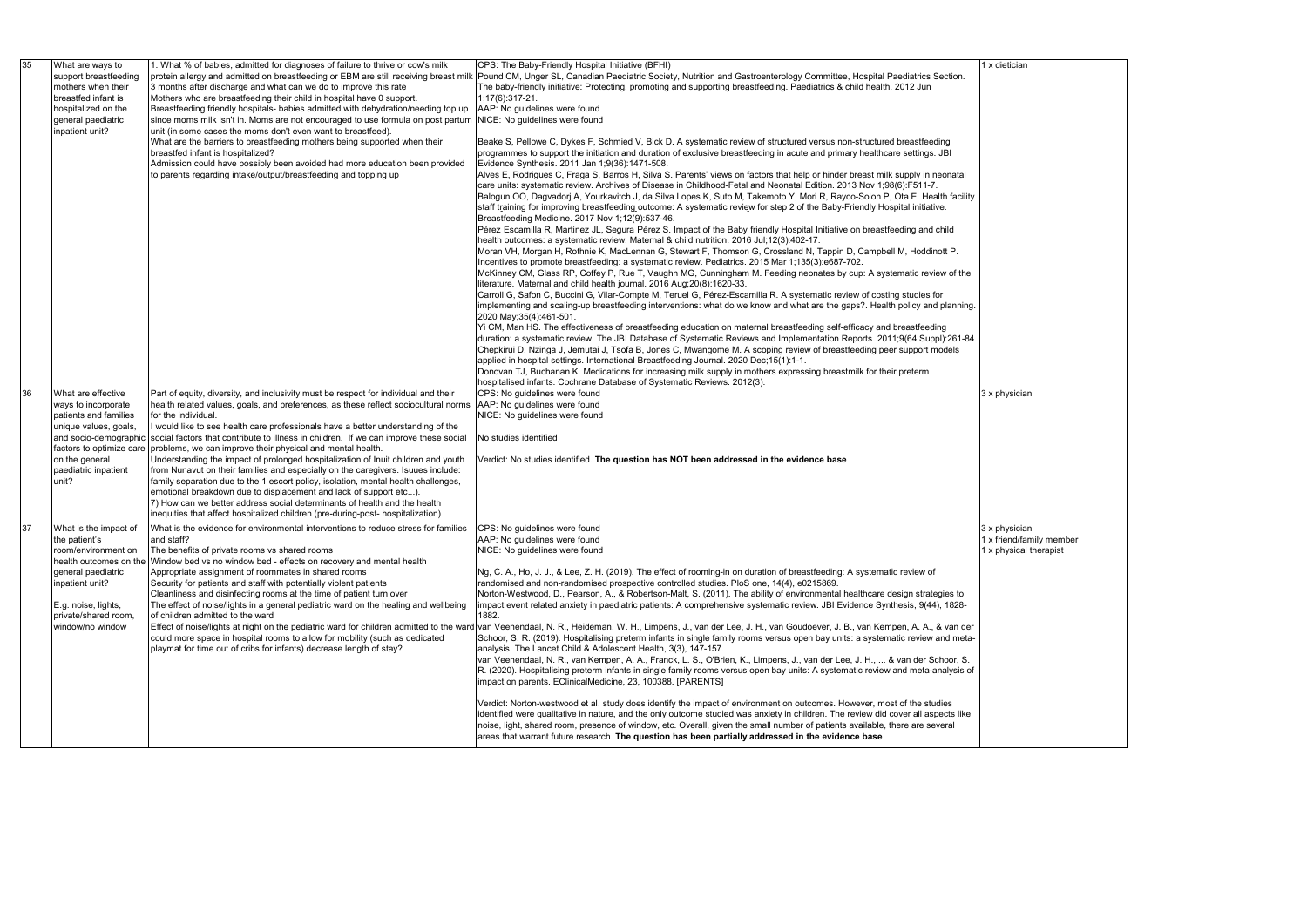|    | 1 x dietician                                      |
|----|----------------------------------------------------|
|    |                                                    |
|    |                                                    |
|    |                                                    |
|    |                                                    |
|    |                                                    |
|    |                                                    |
| Í  |                                                    |
|    |                                                    |
|    |                                                    |
|    |                                                    |
|    |                                                    |
|    |                                                    |
| J. |                                                    |
| 4. |                                                    |
|    |                                                    |
|    |                                                    |
|    | 3 x physician                                      |
|    |                                                    |
|    |                                                    |
|    |                                                    |
|    |                                                    |
|    |                                                    |
|    |                                                    |
|    | 3 x physician                                      |
|    | 1 x friend/family member<br>1 x physical therapist |
|    |                                                    |
|    |                                                    |
|    |                                                    |
|    |                                                    |
|    |                                                    |
|    |                                                    |
| f  |                                                    |
|    |                                                    |
|    |                                                    |
|    |                                                    |
|    |                                                    |

| 35 | What are ways to<br>support breastfeeding<br>mothers when their<br>breastfed infant is<br>hospitalized on the<br>general paediatric<br>inpatient unit? | 1. What % of babies, admitted for diagnoses of failure to thrive or cow's milk<br>protein allergy and admitted on breastfeeding or EBM are still receiving breast milk<br>3 months after discharge and what can we do to improve this rate<br>Mothers who are breastfeeding their child in hospital have 0 support.<br>Breastfeeding friendly hospitals- babies admitted with dehydration/needing top up<br>since moms milk isn't in. Moms are not encouraged to use formula on post partum<br>unit (in some cases the moms don't even want to breastfeed).<br>What are the barriers to breastfeeding mothers being supported when their<br>breastfed infant is hospitalized?<br>Admission could have possibly been avoided had more education been provided<br>to parents regarding intake/output/breastfeeding and topping up | CPS: The Baby-Friendly Hospital Initiative (BFHI)<br>Pound CM, Unger SL, Canadian Paediatric Society, Nutrition and Gastroenterology Committee, Hospital Paediatrics Section.<br>The baby-friendly initiative: Protecting, promoting and supporting breastfeeding. Paediatrics & child health. 2012 Jun<br>1;17(6):317-21.<br>AAP: No guidelines were found<br>NICE: No guidelines were found<br>Beake S, Pellowe C, Dykes F, Schmied V, Bick D. A systematic review of structured versus non-structured breastfeeding<br>programmes to support the initiation and duration of exclusive breastfeeding in acute and primary healthcare settings. JBI<br>Evidence Synthesis. 2011 Jan 1;9(36):1471-508.<br>Alves E, Rodrigues C, Fraga S, Barros H, Silva S. Parents' views on factors that help or hinder breast milk supply in neonatal<br>care units: systematic review. Archives of Disease in Childhood-Fetal and Neonatal Edition. 2013 Nov 1;98(6):F511-7.<br>Balogun OO, Dagvadorj A, Yourkavitch J, da Silva Lopes K, Suto M, Takemoto Y, Mori R, Rayco-Solon P, Ota E. Health facility<br>staff training for improving breastfeeding outcome: A systematic review for step 2 of the Baby-Friendly Hospital initiative.<br>Breastfeeding Medicine. 2017 Nov 1;12(9):537-46.<br>Pérez Escamilla R, Martinez JL, Segura Pérez S. Impact of the Baby friendly Hospital Initiative on breastfeeding and child                                                                      |
|----|--------------------------------------------------------------------------------------------------------------------------------------------------------|---------------------------------------------------------------------------------------------------------------------------------------------------------------------------------------------------------------------------------------------------------------------------------------------------------------------------------------------------------------------------------------------------------------------------------------------------------------------------------------------------------------------------------------------------------------------------------------------------------------------------------------------------------------------------------------------------------------------------------------------------------------------------------------------------------------------------------|----------------------------------------------------------------------------------------------------------------------------------------------------------------------------------------------------------------------------------------------------------------------------------------------------------------------------------------------------------------------------------------------------------------------------------------------------------------------------------------------------------------------------------------------------------------------------------------------------------------------------------------------------------------------------------------------------------------------------------------------------------------------------------------------------------------------------------------------------------------------------------------------------------------------------------------------------------------------------------------------------------------------------------------------------------------------------------------------------------------------------------------------------------------------------------------------------------------------------------------------------------------------------------------------------------------------------------------------------------------------------------------------------------------------------------------------------------------------------------------|
|    |                                                                                                                                                        |                                                                                                                                                                                                                                                                                                                                                                                                                                                                                                                                                                                                                                                                                                                                                                                                                                 | health outcomes: a systematic review. Maternal & child nutrition. 2016 Jul;12(3):402-17.<br>Moran VH, Morgan H, Rothnie K, MacLennan G, Stewart F, Thomson G, Crossland N, Tappin D, Campbell M, Hoddinott P.<br>Incentives to promote breastfeeding: a systematic review. Pediatrics. 2015 Mar 1;135(3):e687-702.<br>McKinney CM, Glass RP, Coffey P, Rue T, Vaughn MG, Cunningham M. Feeding neonates by cup: A systematic review of the<br>literature. Maternal and child health journal. 2016 Aug;20(8):1620-33.<br>Carroll G, Safon C, Buccini G, Vilar-Compte M, Teruel G, Pérez-Escamilla R. A systematic review of costing studies for<br>implementing and scaling-up breastfeeding interventions: what do we know and what are the gaps?. Health policy and planning.<br>2020 May; 35(4): 461-501.<br>Yi CM, Man HS. The effectiveness of breastfeeding education on maternal breastfeeding self-efficacy and breastfeeding<br>duration: a systematic review. The JBI Database of Systematic Reviews and Implementation Reports. 2011;9(64 Suppl):261-84.<br>Chepkirui D, Nzinga J, Jemutai J, Tsofa B, Jones C, Mwangome M. A scoping review of breastfeeding peer support models<br>applied in hospital settings. International Breastfeeding Journal. 2020 Dec; 15(1):1-1.<br>Donovan TJ, Buchanan K. Medications for increasing milk supply in mothers expressing breastmilk for their preterm<br>hospitalised infants. Cochrane Database of Systematic Reviews. 2012(3). |
| 36 | What are effective                                                                                                                                     | Part of equity, diversity, and inclusivity must be respect for individual and their                                                                                                                                                                                                                                                                                                                                                                                                                                                                                                                                                                                                                                                                                                                                             | CPS: No guidelines were found                                                                                                                                                                                                                                                                                                                                                                                                                                                                                                                                                                                                                                                                                                                                                                                                                                                                                                                                                                                                                                                                                                                                                                                                                                                                                                                                                                                                                                                          |
|    | ways to incorporate<br>patients and families                                                                                                           | health related values, goals, and preferences, as these reflect sociocultural norms<br>for the individual.                                                                                                                                                                                                                                                                                                                                                                                                                                                                                                                                                                                                                                                                                                                      | AAP: No guidelines were found<br>NICE: No guidelines were found                                                                                                                                                                                                                                                                                                                                                                                                                                                                                                                                                                                                                                                                                                                                                                                                                                                                                                                                                                                                                                                                                                                                                                                                                                                                                                                                                                                                                        |
|    | unique values, goals,                                                                                                                                  | I would like to see health care professionals have a better understanding of the                                                                                                                                                                                                                                                                                                                                                                                                                                                                                                                                                                                                                                                                                                                                                |                                                                                                                                                                                                                                                                                                                                                                                                                                                                                                                                                                                                                                                                                                                                                                                                                                                                                                                                                                                                                                                                                                                                                                                                                                                                                                                                                                                                                                                                                        |
|    | and socio-demographic                                                                                                                                  | social factors that contribute to illness in children. If we can improve these social                                                                                                                                                                                                                                                                                                                                                                                                                                                                                                                                                                                                                                                                                                                                           | No studies identified                                                                                                                                                                                                                                                                                                                                                                                                                                                                                                                                                                                                                                                                                                                                                                                                                                                                                                                                                                                                                                                                                                                                                                                                                                                                                                                                                                                                                                                                  |
|    | factors to optimize care<br>on the general                                                                                                             | problems, we can improve their physical and mental health.                                                                                                                                                                                                                                                                                                                                                                                                                                                                                                                                                                                                                                                                                                                                                                      |                                                                                                                                                                                                                                                                                                                                                                                                                                                                                                                                                                                                                                                                                                                                                                                                                                                                                                                                                                                                                                                                                                                                                                                                                                                                                                                                                                                                                                                                                        |
|    | paediatric inpatient                                                                                                                                   | Understanding the impact of prolonged hospitalization of Inuit children and youth<br>from Nunavut on their families and especially on the caregivers. Isuues include:                                                                                                                                                                                                                                                                                                                                                                                                                                                                                                                                                                                                                                                           | Verdict: No studies identified. The question has NOT been addressed in the evidence base                                                                                                                                                                                                                                                                                                                                                                                                                                                                                                                                                                                                                                                                                                                                                                                                                                                                                                                                                                                                                                                                                                                                                                                                                                                                                                                                                                                               |
|    | unit?                                                                                                                                                  | family separation due to the 1 escort policy, isolation, mental health challenges,                                                                                                                                                                                                                                                                                                                                                                                                                                                                                                                                                                                                                                                                                                                                              |                                                                                                                                                                                                                                                                                                                                                                                                                                                                                                                                                                                                                                                                                                                                                                                                                                                                                                                                                                                                                                                                                                                                                                                                                                                                                                                                                                                                                                                                                        |
|    |                                                                                                                                                        | emotional breakdown due to displacement and lack of support etc).                                                                                                                                                                                                                                                                                                                                                                                                                                                                                                                                                                                                                                                                                                                                                               |                                                                                                                                                                                                                                                                                                                                                                                                                                                                                                                                                                                                                                                                                                                                                                                                                                                                                                                                                                                                                                                                                                                                                                                                                                                                                                                                                                                                                                                                                        |
|    |                                                                                                                                                        | 7) How can we better address social determinants of health and the health<br>inequities that affect hospitalized children (pre-during-post- hospitalization)                                                                                                                                                                                                                                                                                                                                                                                                                                                                                                                                                                                                                                                                    |                                                                                                                                                                                                                                                                                                                                                                                                                                                                                                                                                                                                                                                                                                                                                                                                                                                                                                                                                                                                                                                                                                                                                                                                                                                                                                                                                                                                                                                                                        |
| 37 | What is the impact of                                                                                                                                  | What is the evidence for environmental interventions to reduce stress for families                                                                                                                                                                                                                                                                                                                                                                                                                                                                                                                                                                                                                                                                                                                                              | CPS: No guidelines were found                                                                                                                                                                                                                                                                                                                                                                                                                                                                                                                                                                                                                                                                                                                                                                                                                                                                                                                                                                                                                                                                                                                                                                                                                                                                                                                                                                                                                                                          |
|    | the patient's                                                                                                                                          | and staff?                                                                                                                                                                                                                                                                                                                                                                                                                                                                                                                                                                                                                                                                                                                                                                                                                      | AAP: No guidelines were found                                                                                                                                                                                                                                                                                                                                                                                                                                                                                                                                                                                                                                                                                                                                                                                                                                                                                                                                                                                                                                                                                                                                                                                                                                                                                                                                                                                                                                                          |
|    | room/environment on                                                                                                                                    | The benefits of private rooms vs shared rooms                                                                                                                                                                                                                                                                                                                                                                                                                                                                                                                                                                                                                                                                                                                                                                                   | NICE: No guidelines were found                                                                                                                                                                                                                                                                                                                                                                                                                                                                                                                                                                                                                                                                                                                                                                                                                                                                                                                                                                                                                                                                                                                                                                                                                                                                                                                                                                                                                                                         |
|    | general paediatric                                                                                                                                     | health outcomes on the Window bed vs no window bed - effects on recovery and mental health<br>Appropriate assignment of roommates in shared rooms                                                                                                                                                                                                                                                                                                                                                                                                                                                                                                                                                                                                                                                                               | Ng, C. A., Ho, J. J., & Lee, Z. H. (2019). The effect of rooming-in on duration of breastfeeding: A systematic review of                                                                                                                                                                                                                                                                                                                                                                                                                                                                                                                                                                                                                                                                                                                                                                                                                                                                                                                                                                                                                                                                                                                                                                                                                                                                                                                                                               |
|    | inpatient unit?                                                                                                                                        | Security for patients and staff with potentially violent patients                                                                                                                                                                                                                                                                                                                                                                                                                                                                                                                                                                                                                                                                                                                                                               | randomised and non-randomised prospective controlled studies. PloS one, 14(4), e0215869.                                                                                                                                                                                                                                                                                                                                                                                                                                                                                                                                                                                                                                                                                                                                                                                                                                                                                                                                                                                                                                                                                                                                                                                                                                                                                                                                                                                               |
|    |                                                                                                                                                        | Cleanliness and disinfecting rooms at the time of patient turn over                                                                                                                                                                                                                                                                                                                                                                                                                                                                                                                                                                                                                                                                                                                                                             | Norton-Westwood, D., Pearson, A., & Robertson-Malt, S. (2011). The ability of environmental healthcare design strategies to                                                                                                                                                                                                                                                                                                                                                                                                                                                                                                                                                                                                                                                                                                                                                                                                                                                                                                                                                                                                                                                                                                                                                                                                                                                                                                                                                            |
|    | E.g. noise, lights,<br>private/shared room,                                                                                                            | The effect of noise/lights in a general pediatric ward on the healing and wellbeing<br>of children admitted to the ward                                                                                                                                                                                                                                                                                                                                                                                                                                                                                                                                                                                                                                                                                                         | impact event related anxiety in paediatric patients: A comprehensive systematic review. JBI Evidence Synthesis, 9(44), 1828-<br>1882.                                                                                                                                                                                                                                                                                                                                                                                                                                                                                                                                                                                                                                                                                                                                                                                                                                                                                                                                                                                                                                                                                                                                                                                                                                                                                                                                                  |
|    | window/no window                                                                                                                                       |                                                                                                                                                                                                                                                                                                                                                                                                                                                                                                                                                                                                                                                                                                                                                                                                                                 | Effect of noise/lights at night on the pediatric ward for children admitted to the ward van Veenendaal, N. R., Heideman, W. H., Limpens, J., van der Lee, J. H., van Goudoever, J. B., van Kempen, A. A., & van der                                                                                                                                                                                                                                                                                                                                                                                                                                                                                                                                                                                                                                                                                                                                                                                                                                                                                                                                                                                                                                                                                                                                                                                                                                                                    |
|    |                                                                                                                                                        | could more space in hospital rooms to allow for mobility (such as dedicated                                                                                                                                                                                                                                                                                                                                                                                                                                                                                                                                                                                                                                                                                                                                                     | Schoor, S. R. (2019). Hospitalising preterm infants in single family rooms versus open bay units: a systematic review and meta-                                                                                                                                                                                                                                                                                                                                                                                                                                                                                                                                                                                                                                                                                                                                                                                                                                                                                                                                                                                                                                                                                                                                                                                                                                                                                                                                                        |
|    |                                                                                                                                                        | playmat for time out of cribs for infants) decrease length of stay?                                                                                                                                                                                                                                                                                                                                                                                                                                                                                                                                                                                                                                                                                                                                                             | analysis. The Lancet Child & Adolescent Health, 3(3), 147-157.<br>van Veenendaal, N. R., van Kempen, A. A., Franck, L. S., O'Brien, K., Limpens, J., van der Lee, J. H.,  & van der Schoor, S.                                                                                                                                                                                                                                                                                                                                                                                                                                                                                                                                                                                                                                                                                                                                                                                                                                                                                                                                                                                                                                                                                                                                                                                                                                                                                         |
|    |                                                                                                                                                        |                                                                                                                                                                                                                                                                                                                                                                                                                                                                                                                                                                                                                                                                                                                                                                                                                                 | R. (2020). Hospitalising preterm infants in single family rooms versus open bay units: A systematic review and meta-analysis of                                                                                                                                                                                                                                                                                                                                                                                                                                                                                                                                                                                                                                                                                                                                                                                                                                                                                                                                                                                                                                                                                                                                                                                                                                                                                                                                                        |
|    |                                                                                                                                                        |                                                                                                                                                                                                                                                                                                                                                                                                                                                                                                                                                                                                                                                                                                                                                                                                                                 | impact on parents. EClinicalMedicine, 23, 100388. [PARENTS]                                                                                                                                                                                                                                                                                                                                                                                                                                                                                                                                                                                                                                                                                                                                                                                                                                                                                                                                                                                                                                                                                                                                                                                                                                                                                                                                                                                                                            |
|    |                                                                                                                                                        |                                                                                                                                                                                                                                                                                                                                                                                                                                                                                                                                                                                                                                                                                                                                                                                                                                 | Verdict: Norton-westwood et al. study does identify the impact of environment on outcomes. However, most of the studies                                                                                                                                                                                                                                                                                                                                                                                                                                                                                                                                                                                                                                                                                                                                                                                                                                                                                                                                                                                                                                                                                                                                                                                                                                                                                                                                                                |
|    |                                                                                                                                                        |                                                                                                                                                                                                                                                                                                                                                                                                                                                                                                                                                                                                                                                                                                                                                                                                                                 | identified were qualitative in nature, and the only outcome studied was anxiety in children. The review did cover all aspects like<br>noise, light, shared room, presence of window, etc. Overall, given the small number of patients available, there are several<br>areas that warrant future research. The question has been partially addressed in the evidence base                                                                                                                                                                                                                                                                                                                                                                                                                                                                                                                                                                                                                                                                                                                                                                                                                                                                                                                                                                                                                                                                                                               |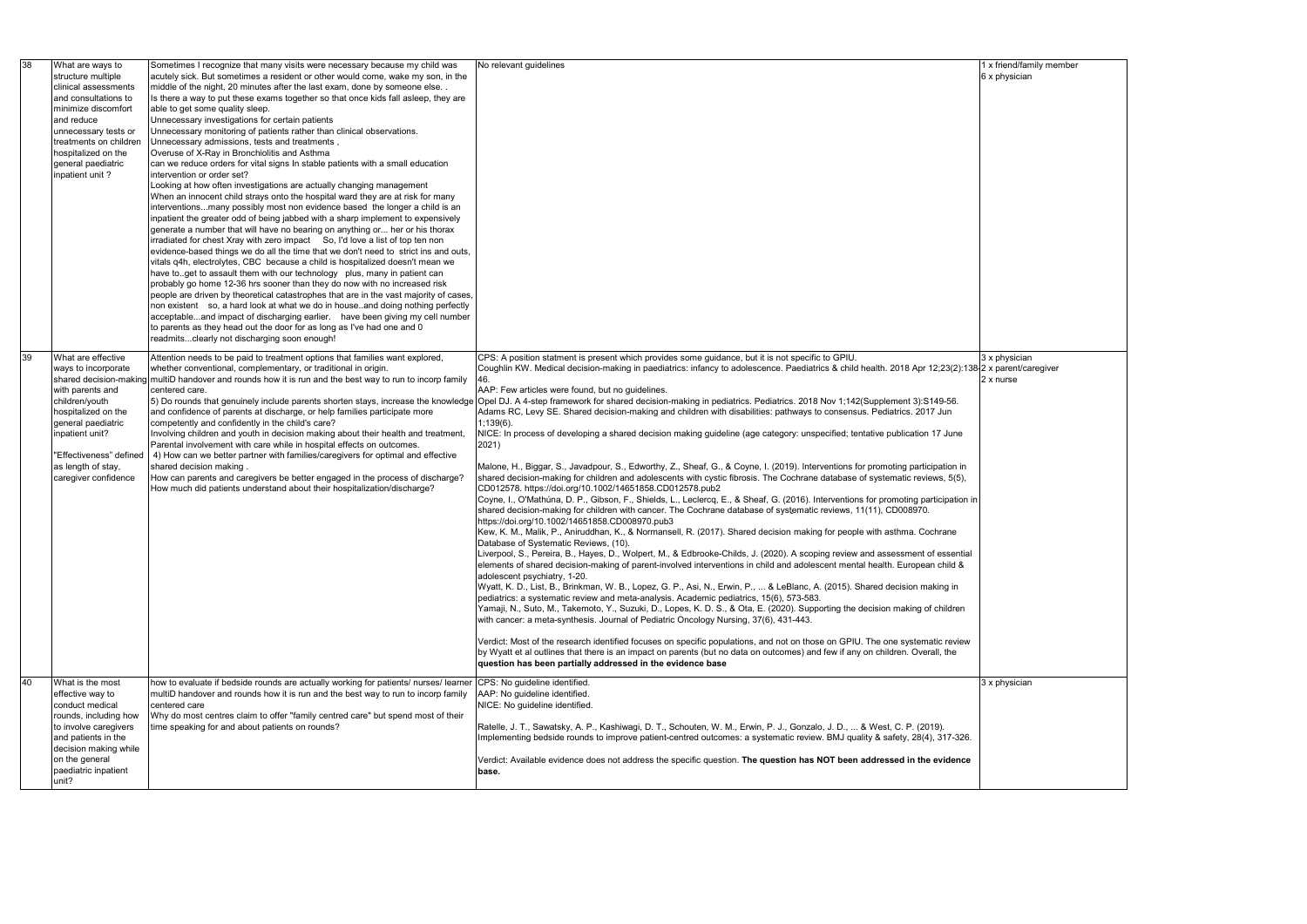| 1 x friend/family member |  |
|--------------------------|--|
| 6 x physician            |  |

| 38 | What are ways to<br>structure multiple<br>clinical assessments<br>and consultations to<br>minimize discomfort<br>and reduce<br>unnecessary tests or<br>treatments on children<br>hospitalized on the<br>general paediatric<br>inpatient unit? | Sometimes I recognize that many visits were necessary because my child was<br>acutely sick. But sometimes a resident or other would come, wake my son, in the<br>middle of the night, 20 minutes after the last exam, done by someone else<br>Is there a way to put these exams together so that once kids fall asleep, they are<br>able to get some quality sleep.<br>Unnecessary investigations for certain patients<br>Unnecessary monitoring of patients rather than clinical observations.<br>Unnecessary admissions, tests and treatments,<br>Overuse of X-Ray in Bronchiolitis and Asthma<br>can we reduce orders for vital signs In stable patients with a small education<br>intervention or order set?<br>Looking at how often investigations are actually changing management<br>When an innocent child strays onto the hospital ward they are at risk for many<br>interventionsmany possibly most non evidence based the longer a child is an<br>inpatient the greater odd of being jabbed with a sharp implement to expensively<br>generate a number that will have no bearing on anything or her or his thorax<br>irradiated for chest Xray with zero impact So, I'd love a list of top ten non<br>evidence-based things we do all the time that we don't need to strict ins and outs,<br>vitals q4h, electrolytes, CBC because a child is hospitalized doesn't mean we<br>have toget to assault them with our technology plus, many in patient can<br>probably go home 12-36 hrs sooner than they do now with no increased risk<br>people are driven by theoretical catastrophes that are in the vast majority of cases,<br>non existent so, a hard look at what we do in houseand doing nothing perfectly<br>acceptableand impact of discharging earlier. have been giving my cell number<br>to parents as they head out the door for as long as I've had one and 0<br>readmitsclearly not discharging soon enough! | No relevant guidelines                                                                                                                                                                                                                                                                                                                                                                                                                                                                                                                                                                                                                                                                                                                                                                                                                                                                                                                                                                                                                                                                                                                                                                                                                                                                                                                                                                                                                                                                                                                                                                                                                                                                                                                                                                                                                                                                                                                                                                                                                                                                                                                                                                                                                                                                                                                                                                                                                                                                                                                                                                                                         | 1 x friend/family member<br>6 x physician |
|----|-----------------------------------------------------------------------------------------------------------------------------------------------------------------------------------------------------------------------------------------------|-------------------------------------------------------------------------------------------------------------------------------------------------------------------------------------------------------------------------------------------------------------------------------------------------------------------------------------------------------------------------------------------------------------------------------------------------------------------------------------------------------------------------------------------------------------------------------------------------------------------------------------------------------------------------------------------------------------------------------------------------------------------------------------------------------------------------------------------------------------------------------------------------------------------------------------------------------------------------------------------------------------------------------------------------------------------------------------------------------------------------------------------------------------------------------------------------------------------------------------------------------------------------------------------------------------------------------------------------------------------------------------------------------------------------------------------------------------------------------------------------------------------------------------------------------------------------------------------------------------------------------------------------------------------------------------------------------------------------------------------------------------------------------------------------------------------------------------------------------------------------------------------------------------------------------------|--------------------------------------------------------------------------------------------------------------------------------------------------------------------------------------------------------------------------------------------------------------------------------------------------------------------------------------------------------------------------------------------------------------------------------------------------------------------------------------------------------------------------------------------------------------------------------------------------------------------------------------------------------------------------------------------------------------------------------------------------------------------------------------------------------------------------------------------------------------------------------------------------------------------------------------------------------------------------------------------------------------------------------------------------------------------------------------------------------------------------------------------------------------------------------------------------------------------------------------------------------------------------------------------------------------------------------------------------------------------------------------------------------------------------------------------------------------------------------------------------------------------------------------------------------------------------------------------------------------------------------------------------------------------------------------------------------------------------------------------------------------------------------------------------------------------------------------------------------------------------------------------------------------------------------------------------------------------------------------------------------------------------------------------------------------------------------------------------------------------------------------------------------------------------------------------------------------------------------------------------------------------------------------------------------------------------------------------------------------------------------------------------------------------------------------------------------------------------------------------------------------------------------------------------------------------------------------------------------------------------------|-------------------------------------------|
| 39 | What are effective<br>ways to incorporate<br>with parents and<br>children/youth<br>hospitalized on the<br>general paediatric<br>inpatient unit?<br>'Effectiveness" defined<br>as length of stay,<br>caregiver confidence                      | Attention needs to be paid to treatment options that families want explored,<br>whether conventional, complementary, or traditional in origin.<br>shared decision-making multiD handover and rounds how it is run and the best way to run to incorp family<br>centered care.<br>[5] Do rounds that genuinely include parents shorten stays, increase the knowledge<br>and confidence of parents at discharge, or help families participate more<br>competently and confidently in the child's care?<br>Involving children and youth in decision making about their health and treatment,<br>Parental involvement with care while in hospital effects on outcomes.<br>4) How can we better partner with families/caregivers for optimal and effective<br>shared decision making.<br>How can parents and caregivers be better engaged in the process of discharge?<br>How much did patients understand about their hospitalization/discharge?                                                                                                                                                                                                                                                                                                                                                                                                                                                                                                                                                                                                                                                                                                                                                                                                                                                                                                                                                                                         | CPS: A position statment is present which provides some guidance, but it is not specific to GPIU.<br>Coughlin KW. Medical decision-making in paediatrics: infancy to adolescence. Paediatrics & child health. 2018 Apr 12;23(2):138 2 x parent/caregiver<br>AAP: Few articles were found, but no guidelines.<br>Opel DJ. A 4-step framework for shared decision-making in pediatrics. Pediatrics. 2018 Nov 1;142(Supplement 3):S149-56.<br>Adams RC, Levy SE. Shared decision-making and children with disabilities: pathways to consensus. Pediatrics. 2017 Jun<br>$1,139(6)$ .<br>NICE: In process of developing a shared decision making guideline (age category: unspecified; tentative publication 17 June<br>2021)<br>Malone, H., Biggar, S., Javadpour, S., Edworthy, Z., Sheaf, G., & Coyne, I. (2019). Interventions for promoting participation in<br>shared decision-making for children and adolescents with cystic fibrosis. The Cochrane database of systematic reviews, 5(5),<br>CD012578. https://doi.org/10.1002/14651858.CD012578.pub2<br>Coyne, I., O'Mathúna, D. P., Gibson, F., Shields, L., Leclercq, E., & Sheaf, G. (2016). Interventions for promoting participation in<br>shared decision-making for children with cancer. The Cochrane database of systematic reviews, 11(11), CD008970.<br>https://doi.org/10.1002/14651858.CD008970.pub3<br>Kew, K. M., Malik, P., Aniruddhan, K., & Normansell, R. (2017). Shared decision making for people with asthma. Cochrane<br>Database of Systematic Reviews, (10).<br>Liverpool, S., Pereira, B., Hayes, D., Wolpert, M., & Edbrooke-Childs, J. (2020). A scoping review and assessment of essential<br>elements of shared decision-making of parent-involved interventions in child and adolescent mental health. European child &<br>adolescent psychiatry, 1-20.<br>Wyatt, K. D., List, B., Brinkman, W. B., Lopez, G. P., Asi, N., Erwin, P.,  & LeBlanc, A. (2015). Shared decision making in<br>pediatrics: a systematic review and meta-analysis. Academic pediatrics, 15(6), 573-583.<br>Yamaji, N., Suto, M., Takemoto, Y., Suzuki, D., Lopes, K. D. S., & Ota, E. (2020). Supporting the decision making of children<br>with cancer: a meta-synthesis. Journal of Pediatric Oncology Nursing, 37(6), 431-443.<br>Verdict: Most of the research identified focuses on specific populations, and not on those on GPIU. The one systematic review<br>by Wyatt et al outlines that there is an impact on parents (but no data on outcomes) and few if any on children. Overall, the<br>question has been partially addressed in the evidence base | 3 x physician<br>2 x nurse                |
| 40 | What is the most<br>effective way to<br>conduct medical<br>rounds, including how<br>to involve caregivers<br>and patients in the<br>decision making while<br>on the general<br>paediatric inpatient<br>unit?                                  | how to evaluate if bedside rounds are actually working for patients/ nurses/ learner<br>multiD handover and rounds how it is run and the best way to run to incorp family<br>centered care<br>Why do most centres claim to offer "family centred care" but spend most of their<br>time speaking for and about patients on rounds?                                                                                                                                                                                                                                                                                                                                                                                                                                                                                                                                                                                                                                                                                                                                                                                                                                                                                                                                                                                                                                                                                                                                                                                                                                                                                                                                                                                                                                                                                                                                                                                                   | CPS: No guideline identified.<br>AAP: No guideline identified.<br>NICE: No guideline identified.<br>Ratelle, J. T., Sawatsky, A. P., Kashiwagi, D. T., Schouten, W. M., Erwin, P. J., Gonzalo, J. D.,  & West, C. P. (2019).<br>Implementing bedside rounds to improve patient-centred outcomes: a systematic review. BMJ quality & safety, 28(4), 317-326.<br>Verdict: Available evidence does not address the specific question. The question has NOT been addressed in the evidence<br>base.                                                                                                                                                                                                                                                                                                                                                                                                                                                                                                                                                                                                                                                                                                                                                                                                                                                                                                                                                                                                                                                                                                                                                                                                                                                                                                                                                                                                                                                                                                                                                                                                                                                                                                                                                                                                                                                                                                                                                                                                                                                                                                                                | 3 x physician                             |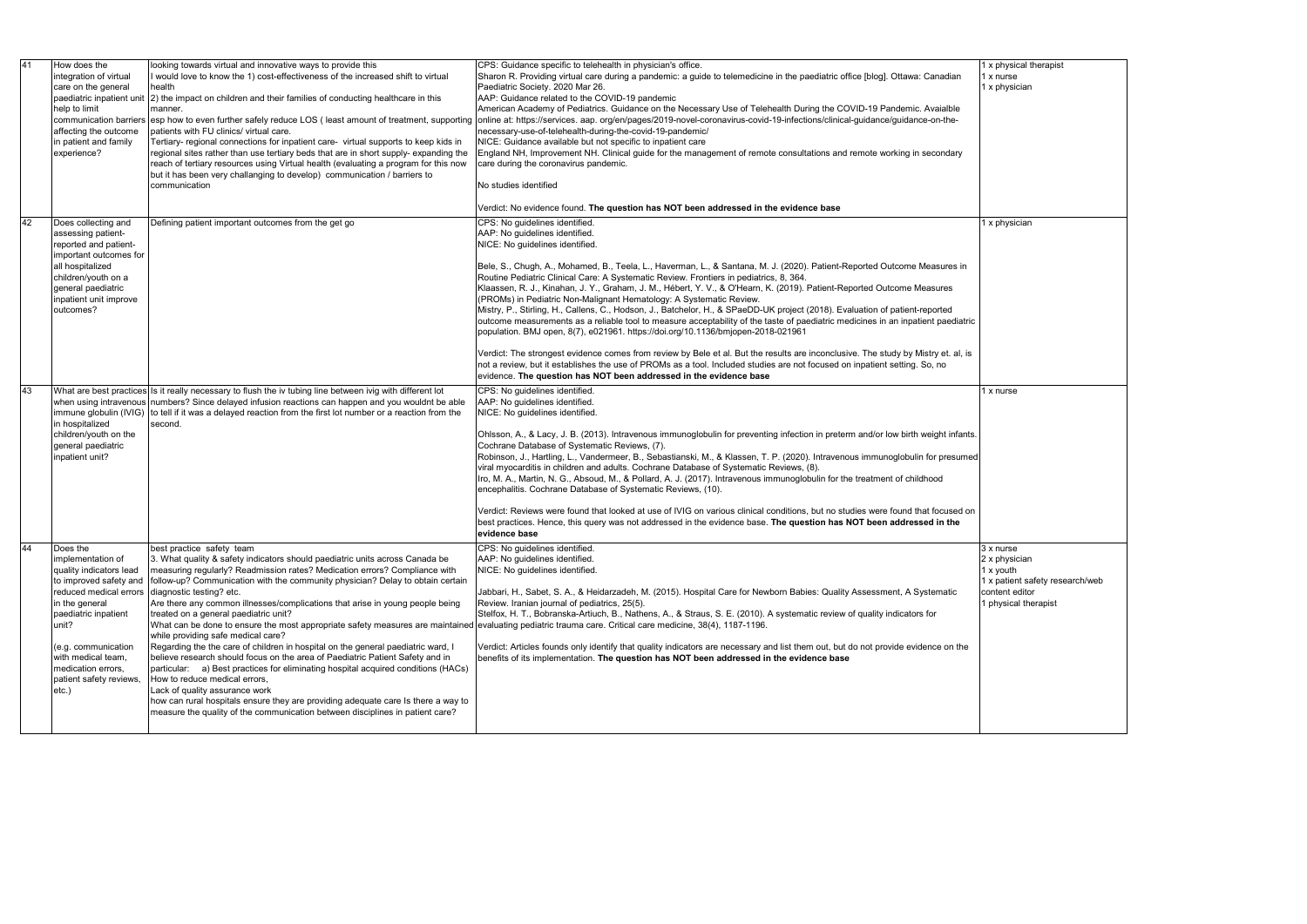| 41 |    | How does the<br>integration of virtual<br>care on the general<br>paediatric inpatient unit<br>help to limit<br>affecting the outcome<br>in patient and family<br>experience?                                                                                              | looking towards virtual and innovative ways to provide this<br>I would love to know the 1) cost-effectiveness of the increased shift to virtual<br>health<br>[2] the impact on children and their families of conducting healthcare in this<br>manner.<br>communication barriers esp how to even further safely reduce LOS (least amount of treatment, supporting<br>patients with FU clinics/ virtual care.<br>Tertiary- regional connections for inpatient care- virtual supports to keep kids in<br>regional sites rather than use tertiary beds that are in short supply- expanding the<br>reach of tertiary resources using Virtual health (evaluating a program for this now<br>but it has been very challanging to develop) communication / barriers to<br>communication                                                                                                                                                                                                                                                                                                                                                        | CPS: Guidance specific to telehealth in physician's office.<br>Sharon R. Providing virtual care during a pandemic: a guide to telemedicine in the paediatric office [blog]. Ottawa: Canadian<br>Paediatric Society. 2020 Mar 26.<br>AAP: Guidance related to the COVID-19 pandemic<br>American Academy of Pediatrics. Guidance on the Necessary Use of Telehealth During the COVID-19 Pandemic. Avaialble<br>online at: https://services. aap. org/en/pages/2019-novel-coronavirus-covid-19-infections/clinical-guidance/guidance-on-the-<br>necessary-use-of-telehealth-during-the-covid-19-pandemic/<br>NICE: Guidance available but not specific to inpatient care<br>England NH, Improvement NH. Clinical guide for the management of remote consultations and remote working in secondary<br>care during the coronavirus pandemic.<br>No studies identified<br>Verdict: No evidence found. The question has NOT been addressed in the evidence base                                                                                                                                                                                                                                                                    |  |
|----|----|---------------------------------------------------------------------------------------------------------------------------------------------------------------------------------------------------------------------------------------------------------------------------|----------------------------------------------------------------------------------------------------------------------------------------------------------------------------------------------------------------------------------------------------------------------------------------------------------------------------------------------------------------------------------------------------------------------------------------------------------------------------------------------------------------------------------------------------------------------------------------------------------------------------------------------------------------------------------------------------------------------------------------------------------------------------------------------------------------------------------------------------------------------------------------------------------------------------------------------------------------------------------------------------------------------------------------------------------------------------------------------------------------------------------------|-----------------------------------------------------------------------------------------------------------------------------------------------------------------------------------------------------------------------------------------------------------------------------------------------------------------------------------------------------------------------------------------------------------------------------------------------------------------------------------------------------------------------------------------------------------------------------------------------------------------------------------------------------------------------------------------------------------------------------------------------------------------------------------------------------------------------------------------------------------------------------------------------------------------------------------------------------------------------------------------------------------------------------------------------------------------------------------------------------------------------------------------------------------------------------------------------------------------------------|--|
|    | 42 | Does collecting and<br>assessing patient-<br>reported and patient-<br>important outcomes for<br>all hospitalized<br>children/youth on a<br>general paediatric<br>inpatient unit improve<br>outcomes?                                                                      | Defining patient important outcomes from the get go                                                                                                                                                                                                                                                                                                                                                                                                                                                                                                                                                                                                                                                                                                                                                                                                                                                                                                                                                                                                                                                                                    | CPS: No guidelines identified.<br>AAP: No guidelines identified.<br>NICE: No guidelines identified.<br>Bele, S., Chugh, A., Mohamed, B., Teela, L., Haverman, L., & Santana, M. J. (2020). Patient-Reported Outcome Measures in<br>Routine Pediatric Clinical Care: A Systematic Review. Frontiers in pediatrics, 8, 364.<br>Klaassen, R. J., Kinahan, J. Y., Graham, J. M., Hébert, Y. V., & O'Hearn, K. (2019). Patient-Reported Outcome Measures<br>(PROMs) in Pediatric Non-Malignant Hematology: A Systematic Review.<br>Mistry, P., Stirling, H., Callens, C., Hodson, J., Batchelor, H., & SPaeDD-UK project (2018). Evaluation of patient-reported<br>outcome measurements as a reliable tool to measure acceptability of the taste of paediatric medicines in an inpatient paediatric<br>population. BMJ open, 8(7), e021961. https://doi.org/10.1136/bmjopen-2018-021961<br>Verdict: The strongest evidence comes from review by Bele et al. But the results are inconclusive. The study by Mistry et. al, is<br>not a review, but it establishes the use of PROMs as a tool. Included studies are not focused on inpatient setting. So, no<br>evidence. The question has NOT been addressed in the evidence base |  |
|    | 43 | immune globulin (IVIG)<br>in hospitalized<br>children/youth on the<br>general paediatric<br>inpatient unit?                                                                                                                                                               | What are best practices Is it really necessary to flush the iv tubing line between ivig with different lot<br>when using intravenous numbers? Since delayed infusion reactions can happen and you wouldnt be able<br>to tell if it was a delayed reaction from the first lot number or a reaction from the<br>second.                                                                                                                                                                                                                                                                                                                                                                                                                                                                                                                                                                                                                                                                                                                                                                                                                  | CPS: No guidelines identified.<br>AAP: No guidelines identified.<br>NICE: No guidelines identified.<br>Ohlsson, A., & Lacy, J. B. (2013). Intravenous immunoglobulin for preventing infection in preterm and/or low birth weight infants.<br>Cochrane Database of Systematic Reviews, (7).<br>Robinson, J., Hartling, L., Vandermeer, B., Sebastianski, M., & Klassen, T. P. (2020). Intravenous immunoglobulin for presumed<br>viral myocarditis in children and adults. Cochrane Database of Systematic Reviews, (8).<br>Iro, M. A., Martin, N. G., Absoud, M., & Pollard, A. J. (2017). Intravenous immunoglobulin for the treatment of childhood<br>encephalitis. Cochrane Database of Systematic Reviews, (10).<br>Verdict: Reviews were found that looked at use of IVIG on various clinical conditions, but no studies were found that focused on<br>best practices. Hence, this query was not addressed in the evidence base. The question has NOT been addressed in the<br>evidence base                                                                                                                                                                                                                           |  |
|    |    | Does the<br>implementation of<br>quality indicators lead<br>to improved safety and<br>reduced medical errors<br>in the general<br>paediatric inpatient<br>unit?<br>(e.g. communication<br>with medical team,<br>medication errors,<br>patient safety reviews,<br>$etc.$ ) | best practice safety team<br>3. What quality & safety indicators should paediatric units across Canada be<br>measuring regularly? Readmission rates? Medication errors? Compliance with<br>follow-up? Communication with the community physician? Delay to obtain certain<br>diagnostic testing? etc.<br>Are there any common illnesses/complications that arise in young people being<br>treated on a general paediatric unit?<br>What can be done to ensure the most appropriate safety measures are maintained evaluating pediatric trauma care. Critical care medicine, 38(4), 1187-1196.<br>while providing safe medical care?<br>Regarding the the care of children in hospital on the general paediatric ward, I<br>believe research should focus on the area of Paediatric Patient Safety and in<br>particular: a) Best practices for eliminating hospital acquired conditions (HACs)<br>How to reduce medical errors,<br>Lack of quality assurance work<br>how can rural hospitals ensure they are providing adequate care Is there a way to<br>measure the quality of the communication between disciplines in patient care? | CPS: No guidelines identified.<br>AAP: No quidelines identified.<br>NICE: No guidelines identified.<br>Jabbari, H., Sabet, S. A., & Heidarzadeh, M. (2015). Hospital Care for Newborn Babies: Quality Assessment, A Systematic<br>Review. Iranian journal of pediatrics, 25(5).<br>Stelfox, H. T., Bobranska-Artiuch, B., Nathens, A., & Straus, S. E. (2010). A systematic review of quality indicators for<br>Verdict: Articles founds only identify that quality indicators are necessary and list them out, but do not provide evidence on the<br>benefits of its implementation. The question has NOT been addressed in the evidence base                                                                                                                                                                                                                                                                                                                                                                                                                                                                                                                                                                              |  |

|  | 1 x physical therapist<br>1 x nurse          |
|--|----------------------------------------------|
|  | 1 x physician                                |
|  |                                              |
|  |                                              |
|  |                                              |
|  |                                              |
|  |                                              |
|  |                                              |
|  |                                              |
|  | 1 x physician                                |
|  |                                              |
|  |                                              |
|  |                                              |
|  |                                              |
|  |                                              |
|  |                                              |
|  |                                              |
|  |                                              |
|  | $\overline{1}$ x nurse                       |
|  |                                              |
|  |                                              |
|  |                                              |
|  |                                              |
|  |                                              |
|  |                                              |
|  |                                              |
|  |                                              |
|  | 3 x nurse                                    |
|  | 2 x physician                                |
|  | 1 x youth<br>1 x patient safety research/web |
|  | content editor                               |
|  | 1 physical therapist                         |
|  |                                              |
|  |                                              |
|  |                                              |
|  |                                              |
|  |                                              |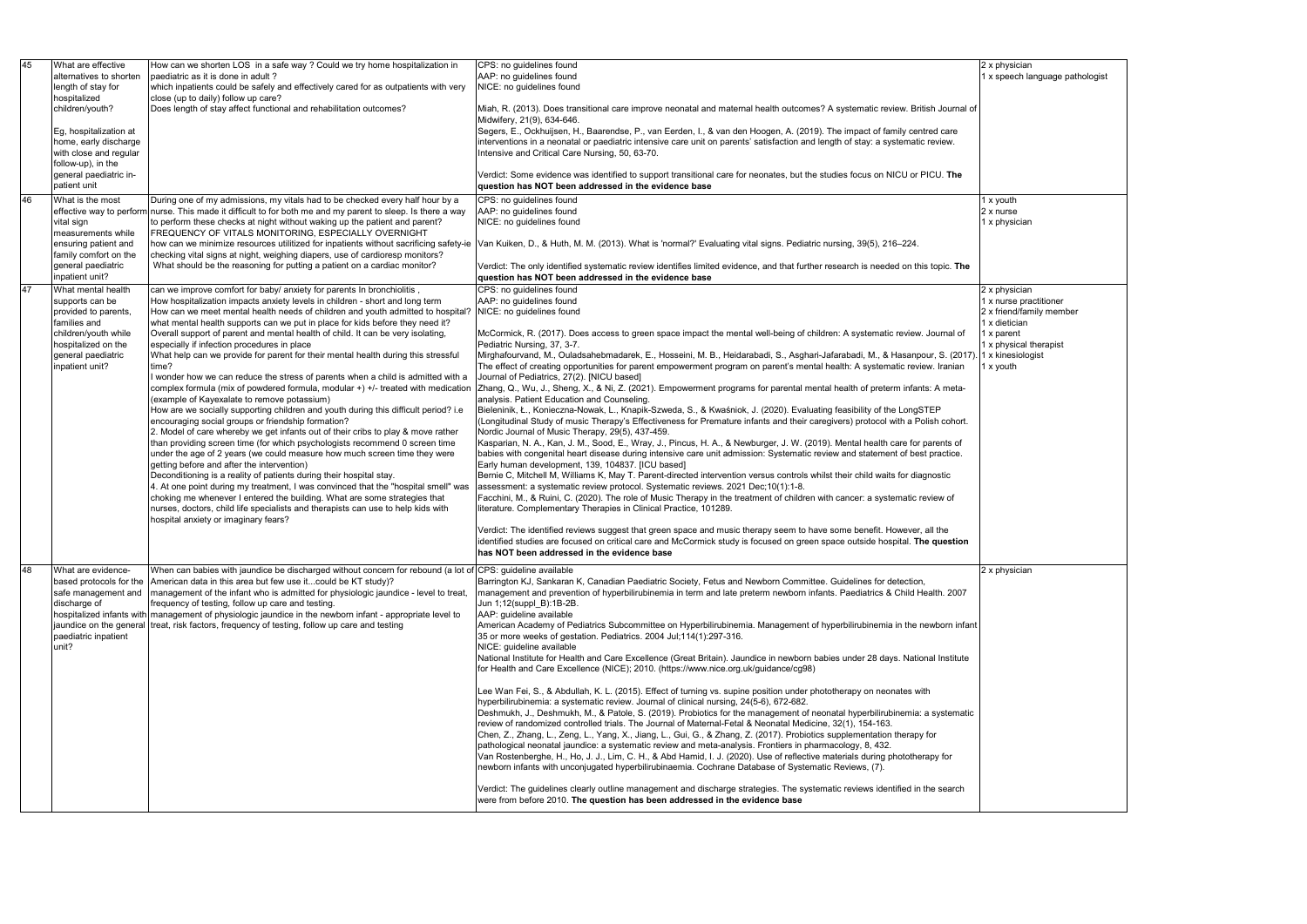| 45 | What are effective      | How can we shorten LOS in a safe way ? Could we try home hospitalization in                                  | CPS: no guidelines found                                                                                                           |  |
|----|-------------------------|--------------------------------------------------------------------------------------------------------------|------------------------------------------------------------------------------------------------------------------------------------|--|
|    | alternatives to shorten | paediatric as it is done in adult?                                                                           | AAP: no guidelines found                                                                                                           |  |
|    | length of stay for      | which inpatients could be safely and effectively cared for as outpatients with very                          | NICE: no guidelines found                                                                                                          |  |
|    |                         |                                                                                                              |                                                                                                                                    |  |
|    | hospitalized            | close (up to daily) follow up care?                                                                          |                                                                                                                                    |  |
|    | children/youth?         | Does length of stay affect functional and rehabilitation outcomes?                                           | Miah, R. (2013). Does transitional care improve neonatal and maternal health outcomes? A systematic review. British Journal of     |  |
|    |                         |                                                                                                              | Midwifery, 21(9), 634-646.                                                                                                         |  |
|    | Eg, hospitalization at  |                                                                                                              | Segers, E., Ockhuijsen, H., Baarendse, P., van Eerden, I., & van den Hoogen, A. (2019). The impact of family centred care          |  |
|    | home, early discharge   |                                                                                                              | interventions in a neonatal or paediatric intensive care unit on parents' satisfaction and length of stay: a systematic review.    |  |
|    | with close and regular  |                                                                                                              | Intensive and Critical Care Nursing, 50, 63-70.                                                                                    |  |
|    | follow-up), in the      |                                                                                                              |                                                                                                                                    |  |
|    | general paediatric in-  |                                                                                                              | Verdict: Some evidence was identified to support transitional care for neonates, but the studies focus on NICU or PICU. The        |  |
|    | patient unit            |                                                                                                              | question has NOT been addressed in the evidence base                                                                               |  |
|    |                         |                                                                                                              |                                                                                                                                    |  |
| 46 | What is the most        | During one of my admissions, my vitals had to be checked every half hour by a                                | CPS: no guidelines found                                                                                                           |  |
|    |                         | effective way to perform nurse. This made it difficult to for both me and my parent to sleep. Is there a way | AAP: no guidelines found                                                                                                           |  |
|    | vital sign              | to perform these checks at night without waking up the patient and parent?                                   | NICE: no guidelines found                                                                                                          |  |
|    | measurements while      | FREQUENCY OF VITALS MONITORING, ESPECIALLY OVERNIGHT                                                         |                                                                                                                                    |  |
|    | ensuring patient and    | how can we minimize resources utilitized for inpatients without sacrificing safety-ie                        | Van Kuiken, D., & Huth, M. M. (2013). What is 'normal?' Evaluating vital signs. Pediatric nursing, 39(5), 216-224.                 |  |
|    | family comfort on the   | checking vital signs at night, weighing diapers, use of cardioresp monitors?                                 |                                                                                                                                    |  |
|    | general paediatric      | What should be the reasoning for putting a patient on a cardiac monitor?                                     | Verdict: The only identified systematic review identifies limited evidence, and that further research is needed on this topic. The |  |
|    | inpatient unit?         |                                                                                                              | question has NOT been addressed in the evidence base                                                                               |  |
|    |                         |                                                                                                              |                                                                                                                                    |  |
| 47 | What mental health      | can we improve comfort for baby/ anxiety for parents In bronchiolitis,                                       | CPS: no guidelines found                                                                                                           |  |
|    | supports can be         | How hospitalization impacts anxiety levels in children - short and long term                                 | AAP: no guidelines found                                                                                                           |  |
|    | provided to parents,    | How can we meet mental health needs of children and youth admitted to hospital?                              | NICE: no guidelines found                                                                                                          |  |
|    | families and            | what mental health supports can we put in place for kids before they need it?                                |                                                                                                                                    |  |
|    | children/youth while    | Overall support of parent and mental health of child. It can be very isolating,                              | McCormick, R. (2017). Does access to green space impact the mental well-being of children: A systematic review. Journal of         |  |
|    | hospitalized on the     | especially if infection procedures in place                                                                  | Pediatric Nursing, 37, 3-7.                                                                                                        |  |
|    | general paediatric      | What help can we provide for parent for their mental health during this stressful                            | Mirghafourvand, M., Ouladsahebmadarek, E., Hosseini, M. B., Heidarabadi, S., Asghari-Jafarabadi, M., & Hasanpour, S. (2017).       |  |
|    | inpatient unit?         | time?                                                                                                        | The effect of creating opportunities for parent empowerment program on parent's mental health: A systematic review. Iranian        |  |
|    |                         | wonder how we can reduce the stress of parents when a child is admitted with a                               | Journal of Pediatrics, 27(2). [NICU based]                                                                                         |  |
|    |                         |                                                                                                              |                                                                                                                                    |  |
|    |                         | complex formula (mix of powdered formula, modular +) +/- treated with medication                             | Zhang, Q., Wu, J., Sheng, X., & Ni, Z. (2021). Empowerment programs for parental mental health of preterm infants: A meta-         |  |
|    |                         | (example of Kayexalate to remove potassium)                                                                  | analysis. Patient Education and Counseling.                                                                                        |  |
|    |                         | How are we socially supporting children and youth during this difficult period? i.e                          | Bieleninik, Ł., Konieczna-Nowak, L., Knapik-Szweda, S., & Kwaśniok, J. (2020). Evaluating feasibility of the LongSTEP              |  |
|    |                         | encouraging social groups or friendship formation?                                                           | (Longitudinal Study of music Therapy's Effectiveness for Premature infants and their caregivers) protocol with a Polish cohort.    |  |
|    |                         | 2. Model of care whereby we get infants out of their cribs to play & move rather                             | Nordic Journal of Music Therapy, 29(5), 437-459.                                                                                   |  |
|    |                         | than providing screen time (for which psychologists recommend 0 screen time                                  | Kasparian, N. A., Kan, J. M., Sood, E., Wray, J., Pincus, H. A., & Newburger, J. W. (2019). Mental health care for parents of      |  |
|    |                         | under the age of 2 years (we could measure how much screen time they were                                    | babies with congenital heart disease during intensive care unit admission: Systematic review and statement of best practice.       |  |
|    |                         | getting before and after the intervention)                                                                   | Early human development, 139, 104837. [ICU based]                                                                                  |  |
|    |                         | Deconditioning is a reality of patients during their hospital stay.                                          | Bernie C, Mitchell M, Williams K, May T. Parent-directed intervention versus controls whilst their child waits for diagnostic      |  |
|    |                         | 4. At one point during my treatment, I was convinced that the "hospital smell" was                           | assessment: a systematic review protocol. Systematic reviews. 2021 Dec;10(1):1-8.                                                  |  |
|    |                         |                                                                                                              |                                                                                                                                    |  |
|    |                         | choking me whenever I entered the building. What are some strategies that                                    | Facchini, M., & Ruini, C. (2020). The role of Music Therapy in the treatment of children with cancer: a systematic review of       |  |
|    |                         | nurses, doctors, child life specialists and therapists can use to help kids with                             | literature. Complementary Therapies in Clinical Practice, 101289.                                                                  |  |
|    |                         | hospital anxiety or imaginary fears?                                                                         |                                                                                                                                    |  |
|    |                         |                                                                                                              | Verdict: The identified reviews suggest that green space and music therapy seem to have some benefit. However, all the             |  |
|    |                         |                                                                                                              | identified studies are focused on critical care and McCormick study is focused on green space outside hospital. The question       |  |
|    |                         |                                                                                                              | has NOT been addressed in the evidence base                                                                                        |  |
|    |                         |                                                                                                              |                                                                                                                                    |  |
| 48 | What are evidence-      | When can babies with jaundice be discharged without concern for rebound (a lot of CPS: guideline available   |                                                                                                                                    |  |
|    | based protocols for the | American data in this area but few use itcould be KT study)?                                                 | Barrington KJ, Sankaran K, Canadian Paediatric Society, Fetus and Newborn Committee. Guidelines for detection,                     |  |
|    | safe management and     | management of the infant who is admitted for physiologic jaundice - level to treat,                          | management and prevention of hyperbilirubinemia in term and late preterm newborn infants. Paediatrics & Child Health. 2007         |  |
|    | discharge of            | frequency of testing, follow up care and testing.                                                            | Jun 1;12(suppl B):1B-2B.                                                                                                           |  |
|    |                         | hospitalized infants with management of physiologic jaundice in the newborn infant - appropriate level to    | AAP: guideline available                                                                                                           |  |
|    | jaundice on the general | treat, risk factors, frequency of testing, follow up care and testing                                        | American Academy of Pediatrics Subcommittee on Hyperbilirubinemia. Management of hyperbilirubinemia in the newborn infant          |  |
|    |                         |                                                                                                              |                                                                                                                                    |  |
|    | paediatric inpatient    |                                                                                                              | 35 or more weeks of gestation. Pediatrics. 2004 Jul; 114(1): 297-316.                                                              |  |
|    | unit?                   |                                                                                                              | NICE: guideline available                                                                                                          |  |
|    |                         |                                                                                                              | National Institute for Health and Care Excellence (Great Britain). Jaundice in newborn babies under 28 days. National Institute    |  |
|    |                         |                                                                                                              | for Health and Care Excellence (NICE); 2010. (https://www.nice.org.uk/guidance/cg98)                                               |  |
|    |                         |                                                                                                              |                                                                                                                                    |  |
|    |                         |                                                                                                              | Lee Wan Fei, S., & Abdullah, K. L. (2015). Effect of turning vs. supine position under phototherapy on neonates with               |  |
|    |                         |                                                                                                              | hyperbilirubinemia: a systematic review. Journal of clinical nursing, 24(5-6), 672-682.                                            |  |
|    |                         |                                                                                                              | Deshmukh, J., Deshmukh, M., & Patole, S. (2019). Probiotics for the management of neonatal hyperbilirubinemia: a systematic        |  |
|    |                         |                                                                                                              | review of randomized controlled trials. The Journal of Maternal-Fetal & Neonatal Medicine, 32(1), 154-163.                         |  |
|    |                         |                                                                                                              | Chen, Z., Zhang, L., Zeng, L., Yang, X., Jiang, L., Gui, G., & Zhang, Z. (2017). Probiotics supplementation therapy for            |  |
|    |                         |                                                                                                              | pathological neonatal jaundice: a systematic review and meta-analysis. Frontiers in pharmacology, 8, 432.                          |  |
|    |                         |                                                                                                              | Van Rostenberghe, H., Ho, J. J., Lim, C. H., & Abd Hamid, I. J. (2020). Use of reflective materials during phototherapy for        |  |
|    |                         |                                                                                                              |                                                                                                                                    |  |
|    |                         |                                                                                                              | newborn infants with unconjugated hyperbilirubinaemia. Cochrane Database of Systematic Reviews, (7).                               |  |
|    |                         |                                                                                                              |                                                                                                                                    |  |
|    |                         |                                                                                                              | Verdict: The guidelines clearly outline management and discharge strategies. The systematic reviews identified in the search       |  |
|    |                         |                                                                                                              | were from before 2010. The question has been addressed in the evidence base                                                        |  |
|    |                         |                                                                                                              |                                                                                                                                    |  |

|  | 2 x physician<br>1 x speech language pathologist                    |
|--|---------------------------------------------------------------------|
|  |                                                                     |
|  | 1 x youth                                                           |
|  | 2 x nurse<br>1 x physician                                          |
|  | 2 x physician                                                       |
|  | 1 x nurse practitioner<br>2 x friend/family member<br>1 x dietician |
|  | 1 x parent<br>1 x physical therapist                                |
|  | 1 x kinesiologist<br>1 x youth                                      |
|  |                                                                     |
|  |                                                                     |
|  |                                                                     |
|  |                                                                     |
|  |                                                                     |
|  |                                                                     |
|  | 2 x physician                                                       |
|  |                                                                     |
|  |                                                                     |
|  |                                                                     |
|  |                                                                     |
|  |                                                                     |
|  |                                                                     |
|  |                                                                     |
|  |                                                                     |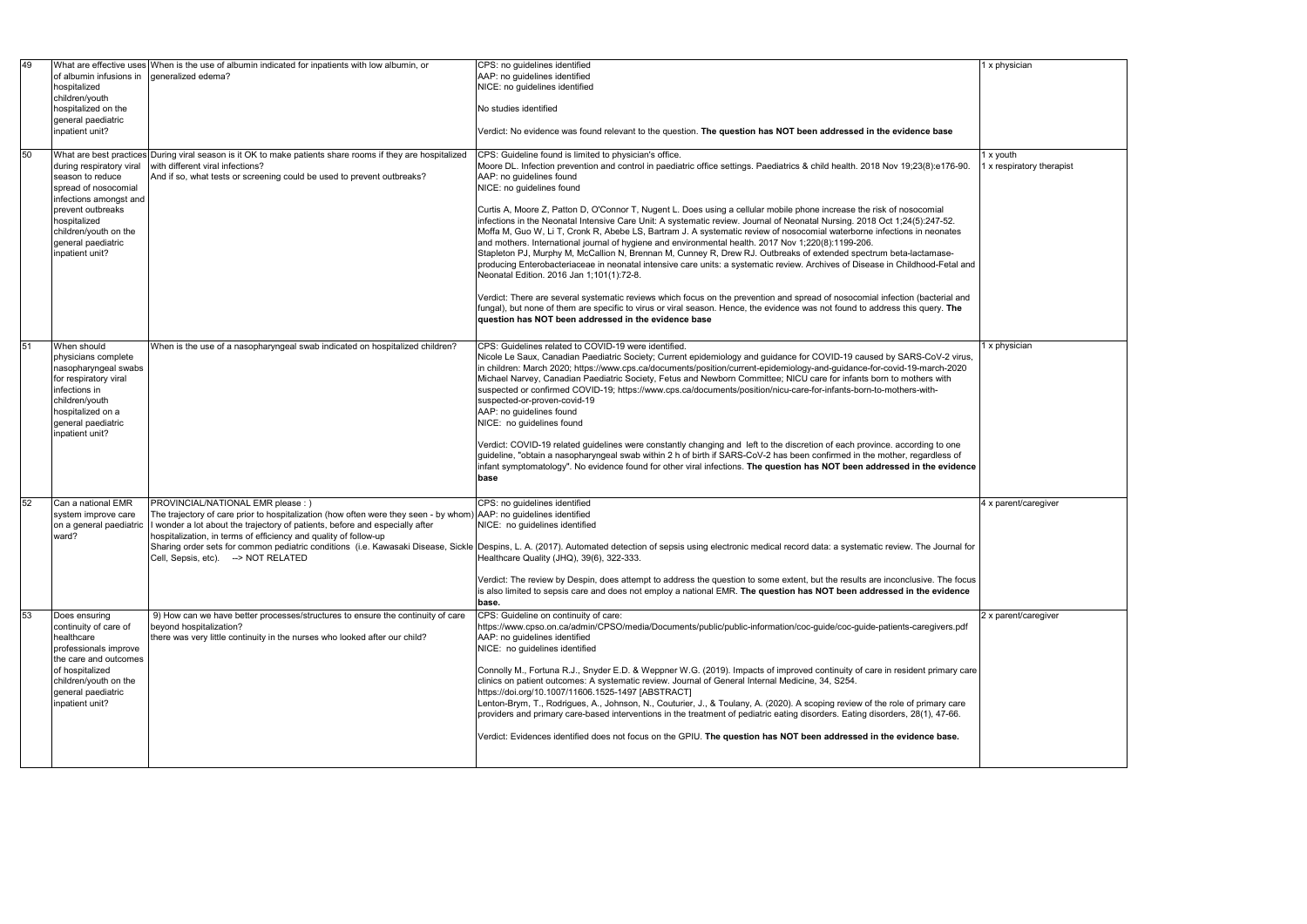|                      | 1 x physician             |
|----------------------|---------------------------|
|                      |                           |
|                      |                           |
|                      |                           |
|                      |                           |
|                      | 1 x youth                 |
| 90.                  | 1 x respiratory therapist |
|                      |                           |
|                      |                           |
|                      |                           |
|                      |                           |
|                      |                           |
| and                  |                           |
|                      |                           |
| nd                   |                           |
| ļ                    |                           |
|                      |                           |
|                      | 1 x physician             |
| υs,                  |                           |
| $\overline{0}$       |                           |
|                      |                           |
|                      |                           |
|                      |                           |
|                      |                           |
| $\ddot{\phantom{0}}$ |                           |
| nce                  |                           |
|                      |                           |
|                      | 4 x parent/caregiver      |
|                      |                           |
|                      |                           |
| l for                |                           |
|                      |                           |
| ocus                 |                           |
| ce                   |                           |
|                      | 2 x parent/caregiver      |
| df                   |                           |
|                      |                           |
| care                 |                           |
|                      |                           |
| e                    |                           |
|                      |                           |
|                      |                           |
|                      |                           |
|                      |                           |

| 49 | of albumin infusions in<br>hospitalized<br>children/youth<br>hospitalized on the<br>general paediatric<br>inpatient unit?                                                                             | What are effective uses When is the use of albumin indicated for inpatients with low albumin, or<br>deneralized edema?                                                                                                                                                                                                                              | CPS: no guidelines identified<br>AAP: no guidelines identified<br>NICE: no guidelines identified<br>No studies identified<br>Verdict: No evidence was found relevant to the question. The question has NOT been addressed in the evidence base                                                                                                                                                                                                                                                                                                                                                                                                                                                                                                                                                                                                                                                                                                                                                                                                                                                                                                                                                                                                                                                                                                                            | 1 x physician                          |
|----|-------------------------------------------------------------------------------------------------------------------------------------------------------------------------------------------------------|-----------------------------------------------------------------------------------------------------------------------------------------------------------------------------------------------------------------------------------------------------------------------------------------------------------------------------------------------------|---------------------------------------------------------------------------------------------------------------------------------------------------------------------------------------------------------------------------------------------------------------------------------------------------------------------------------------------------------------------------------------------------------------------------------------------------------------------------------------------------------------------------------------------------------------------------------------------------------------------------------------------------------------------------------------------------------------------------------------------------------------------------------------------------------------------------------------------------------------------------------------------------------------------------------------------------------------------------------------------------------------------------------------------------------------------------------------------------------------------------------------------------------------------------------------------------------------------------------------------------------------------------------------------------------------------------------------------------------------------------|----------------------------------------|
| 50 | during respiratory viral<br>season to reduce<br>spread of nosocomial<br>infections amongst and<br>prevent outbreaks<br>hospitalized<br>children/youth on the<br>general paediatric<br>inpatient unit? | What are best practices During viral season is it OK to make patients share rooms if they are hospitalized<br>with different viral infections?<br>And if so, what tests or screening could be used to prevent outbreaks?                                                                                                                            | CPS: Guideline found is limited to physician's office.<br>Moore DL. Infection prevention and control in paediatric office settings. Paediatrics & child health. 2018 Nov 19;23(8):e176-90<br>AAP: no guidelines found<br>NICE: no guidelines found<br>Curtis A, Moore Z, Patton D, O'Connor T, Nugent L. Does using a cellular mobile phone increase the risk of nosocomial<br>infections in the Neonatal Intensive Care Unit: A systematic review. Journal of Neonatal Nursing. 2018 Oct 1;24(5):247-52.<br>Moffa M, Guo W, Li T, Cronk R, Abebe LS, Bartram J. A systematic review of nosocomial waterborne infections in neonates<br>and mothers. International journal of hygiene and environmental health. 2017 Nov 1;220(8):1199-206.<br>Stapleton PJ, Murphy M, McCallion N, Brennan M, Cunney R, Drew RJ. Outbreaks of extended spectrum beta-lactamase-<br>producing Enterobacteriaceae in neonatal intensive care units: a systematic review. Archives of Disease in Childhood-Fetal and<br>Neonatal Edition. 2016 Jan 1:101(1):72-8.<br>Verdict: There are several systematic reviews which focus on the prevention and spread of nosocomial infection (bacterial and<br>fungal), but none of them are specific to virus or viral season. Hence, the evidence was not found to address this query. The<br>question has NOT been addressed in the evidence base | l x youth<br>1 x respiratory therapist |
| 51 | When should<br>physicians complete<br>nasopharyngeal swabs<br>for respiratory viral<br>infections in<br>children/youth<br>hospitalized on a<br>general paediatric<br>inpatient unit?                  | When is the use of a nasopharyngeal swab indicated on hospitalized children?                                                                                                                                                                                                                                                                        | CPS: Guidelines related to COVID-19 were identified.<br>Nicole Le Saux, Canadian Paediatric Society; Current epidemiology and guidance for COVID-19 caused by SARS-CoV-2 virus,<br>in children: March 2020; https://www.cps.ca/documents/position/current-epidemiology-and-guidance-for-covid-19-march-2020<br>Michael Narvey, Canadian Paediatric Society, Fetus and Newborn Committee; NICU care for infants born to mothers with<br>suspected or confirmed COVID-19; https://www.cps.ca/documents/position/nicu-care-for-infants-born-to-mothers-with-<br>suspected-or-proven-covid-19<br>AAP: no guidelines found<br>NICE: no guidelines found<br>Verdict: COVID-19 related guidelines were constantly changing and left to the discretion of each province. according to one<br>guideline, "obtain a nasopharyngeal swab within 2 h of birth if SARS-CoV-2 has been confirmed in the mother, regardless of<br>infant symptomatology". No evidence found for other viral infections. The question has NOT been addressed in the evidence<br>base                                                                                                                                                                                                                                                                                                                      | 1 x physician                          |
| 52 | Can a national EMR<br>system improve care<br>on a general paediatric<br>ward?                                                                                                                         | PROVINCIAL/NATIONAL EMR please : )<br>The trajectory of care prior to hospitalization (how often were they seen - by whom) AAP: no guidelines identified<br>I wonder a lot about the trajectory of patients, before and especially after<br>hospitalization, in terms of efficiency and quality of follow-up<br>Cell, Sepsis, etc). --> NOT RELATED | CPS: no guidelines identified<br>NICE: no quidelines identified<br>Sharing order sets for common pediatric conditions (i.e. Kawasaki Disease, Sickle Despins, L. A. (2017). Automated detection of sepsis using electronic medical record data: a systematic review. The Journal for<br>Healthcare Quality (JHQ), 39(6), 322-333.<br>Verdict: The review by Despin, does attempt to address the question to some extent, but the results are inconclusive. The focus<br>is also limited to sepsis care and does not employ a national EMR. The question has NOT been addressed in the evidence<br>base.                                                                                                                                                                                                                                                                                                                                                                                                                                                                                                                                                                                                                                                                                                                                                                   | 4 x parent/caregiver                   |
| 53 | Does ensuring<br>continuity of care of<br>healthcare<br>professionals improve<br>the care and outcomes<br>of hospitalized<br>children/youth on the<br>general paediatric<br>inpatient unit?           | 9) How can we have better processes/structures to ensure the continuity of care<br>beyond hospitalization?<br>there was very little continuity in the nurses who looked after our child?                                                                                                                                                            | CPS: Guideline on continuity of care:<br>https://www.cpso.on.ca/admin/CPSO/media/Documents/public/public-information/coc-guide/coc-guide-patients-caregivers.pdf<br>AAP: no guidelines identified<br>NICE: no guidelines identified<br>Connolly M., Fortuna R.J., Snyder E.D. & Weppner W.G. (2019). Impacts of improved continuity of care in resident primary care<br>clinics on patient outcomes: A systematic review. Journal of General Internal Medicine, 34, S254.<br>https://doi.org/10.1007/11606.1525-1497 [ABSTRACT]<br>Lenton-Brym, T., Rodrigues, A., Johnson, N., Couturier, J., & Toulany, A. (2020). A scoping review of the role of primary care<br>providers and primary care-based interventions in the treatment of pediatric eating disorders. Eating disorders, 28(1), 47-66.<br>Verdict: Evidences identified does not focus on the GPIU. The question has NOT been addressed in the evidence base.                                                                                                                                                                                                                                                                                                                                                                                                                                                | 2 x parent/caregiver                   |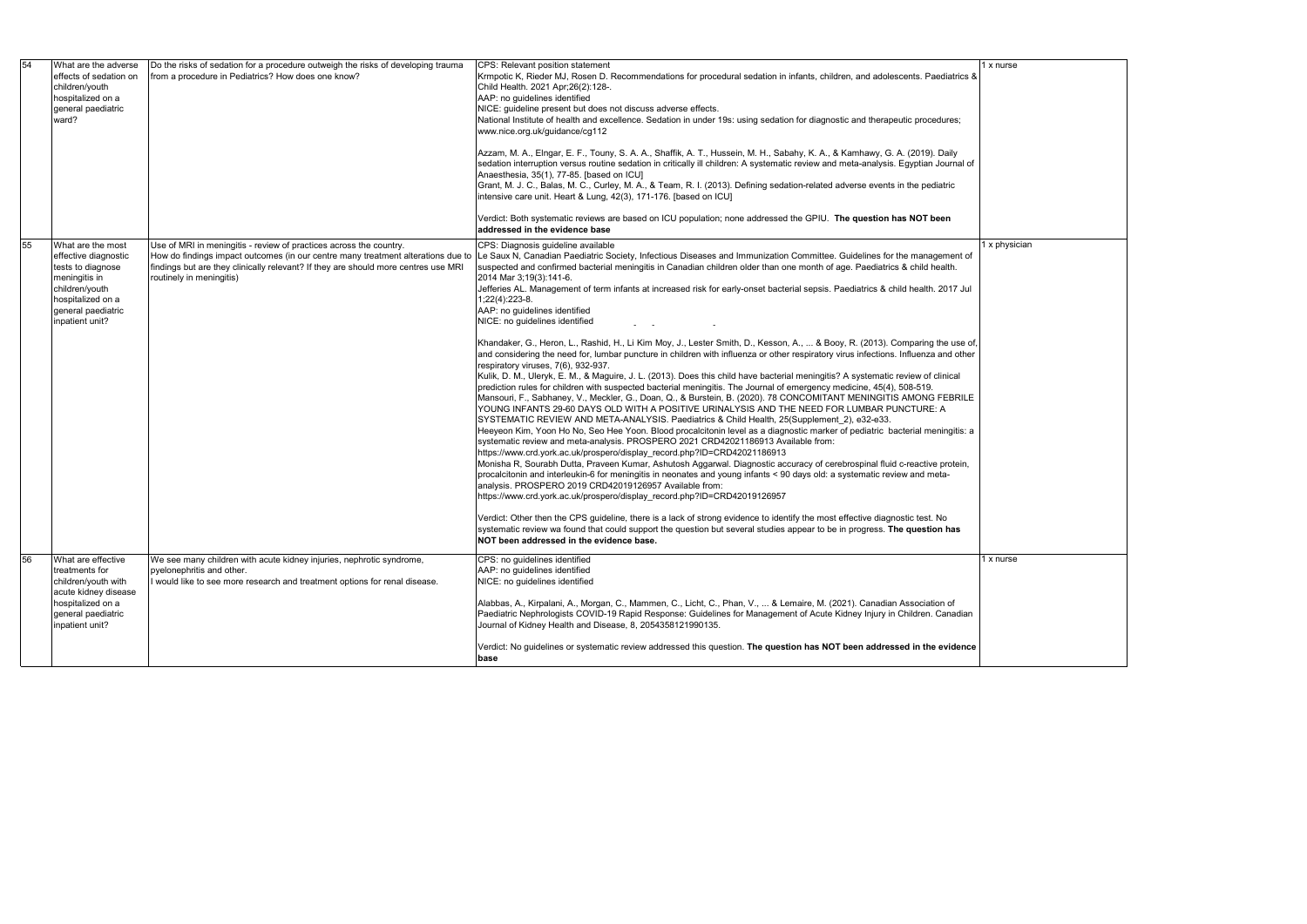| 54 | What are the adverse<br>effects of sedation on<br>children/youth<br>hospitalized on a<br>general paediatric<br>ward?                                            | Do the risks of sedation for a procedure outweigh the risks of developing trauma<br>from a procedure in Pediatrics? How does one know?                                               | CPS: Relevant position statement<br>Krmpotic K, Rieder MJ, Rosen D. Recommendations for procedural sedation in infants, children, and adolescents. Paediatrics &<br>Child Health. 2021 Apr;26(2):128-.<br>AAP: no guidelines identified<br>NICE: guideline present but does not discuss adverse effects.<br>National Institute of health and excellence. Sedation in under 19s: using sedation for diagnostic and therapeutic procedures;<br>www.nice.org.uk/guidance/cg112<br>Azzam, M. A., Elngar, E. F., Touny, S. A. A., Shaffik, A. T., Hussein, M. H., Sabahy, K. A., & Kamhawy, G. A. (2019). Daily<br>sedation interruption versus routine sedation in critically ill children: A systematic review and meta-analysis. Egyptian Journal of<br>Anaesthesia, 35(1), 77-85. [based on ICU]<br>Grant, M. J. C., Balas, M. C., Curley, M. A., & Team, R. I. (2013). Defining sedation-related adverse events in the pediatric<br>intensive care unit. Heart & Lung, 42(3), 171-176. [based on ICU]<br>Verdict: Both systematic reviews are based on ICU population; none addressed the GPIU. The question has NOT been<br>addressed in the evidence base                                                                                                                                                                                                                                                                                                                                                                                                                                                                                                                                                                                                                                                                                                                                                                                                                                                                                                                                                                                                                                                                                                                                                                                                                                                                                                                                                                                                                                      |  |
|----|-----------------------------------------------------------------------------------------------------------------------------------------------------------------|--------------------------------------------------------------------------------------------------------------------------------------------------------------------------------------|--------------------------------------------------------------------------------------------------------------------------------------------------------------------------------------------------------------------------------------------------------------------------------------------------------------------------------------------------------------------------------------------------------------------------------------------------------------------------------------------------------------------------------------------------------------------------------------------------------------------------------------------------------------------------------------------------------------------------------------------------------------------------------------------------------------------------------------------------------------------------------------------------------------------------------------------------------------------------------------------------------------------------------------------------------------------------------------------------------------------------------------------------------------------------------------------------------------------------------------------------------------------------------------------------------------------------------------------------------------------------------------------------------------------------------------------------------------------------------------------------------------------------------------------------------------------------------------------------------------------------------------------------------------------------------------------------------------------------------------------------------------------------------------------------------------------------------------------------------------------------------------------------------------------------------------------------------------------------------------------------------------------------------------------------------------------------------------------------------------------------------------------------------------------------------------------------------------------------------------------------------------------------------------------------------------------------------------------------------------------------------------------------------------------------------------------------------------------------------------------------------------------------------------------------------------------------------------------------|--|
| 55 | What are the most<br>effective diagnostic<br>tests to diagnose<br>meningitis in<br>children/youth<br>hospitalized on a<br>general paediatric<br>inpatient unit? | Use of MRI in meningitis - review of practices across the country.<br>findings but are they clinically relevant? If they are should more centres use MRI<br>routinely in meningitis) | CPS: Diagnosis guideline available<br>How do findings impact outcomes (in our centre many treatment alterations due to  Le Saux N, Canadian Paediatric Society, Infectious Diseases and Immunization Committee. Guidelines for the management of<br>suspected and confirmed bacterial meningitis in Canadian children older than one month of age. Paediatrics & child health.<br>2014 Mar 3;19(3):141-6.<br>Jefferies AL. Management of term infants at increased risk for early-onset bacterial sepsis. Paediatrics & child health. 2017 Jul<br>$1,22(4)$ : 223-8.<br>AAP: no guidelines identified<br>NICE: no guidelines identified<br>$\omega_{\rm{max}}$ and $\omega_{\rm{max}}$<br>Khandaker, G., Heron, L., Rashid, H., Li Kim Moy, J., Lester Smith, D., Kesson, A.,  & Booy, R. (2013). Comparing the use of,<br>and considering the need for, lumbar puncture in children with influenza or other respiratory virus infections. Influenza and other<br>respiratory viruses, 7(6), 932-937.<br>Kulik, D. M., Uleryk, E. M., & Maguire, J. L. (2013). Does this child have bacterial meningitis? A systematic review of clinical<br>prediction rules for children with suspected bacterial meningitis. The Journal of emergency medicine, 45(4), 508-519.<br>Mansouri, F., Sabhaney, V., Meckler, G., Doan, Q., & Burstein, B. (2020). 78 CONCOMITANT MENINGITIS AMONG FEBRILE<br>YOUNG INFANTS 29-60 DAYS OLD WITH A POSITIVE URINALYSIS AND THE NEED FOR LUMBAR PUNCTURE: A<br>SYSTEMATIC REVIEW AND META-ANALYSIS. Paediatrics & Child Health, 25(Supplement_2), e32-e33.<br>Heeyeon Kim, Yoon Ho No, Seo Hee Yoon. Blood procalcitonin level as a diagnostic marker of pediatric bacterial meningitis: a<br>systematic review and meta-analysis. PROSPERO 2021 CRD42021186913 Available from:<br>https://www.crd.york.ac.uk/prospero/display_record.php?ID=CRD42021186913<br>Monisha R, Sourabh Dutta, Praveen Kumar, Ashutosh Aggarwal. Diagnostic accuracy of cerebrospinal fluid c-reactive protein,<br>procalcitonin and interleukin-6 for meningitis in neonates and young infants < 90 days old: a systematic review and meta-<br>analysis. PROSPERO 2019 CRD42019126957 Available from:<br>https://www.crd.york.ac.uk/prospero/display_record.php?ID=CRD42019126957<br>Verdict: Other then the CPS guideline, there is a lack of strong evidence to identify the most effective diagnostic test. No<br>systematic review wa found that could support the question but several studies appear to be in progress. The question has<br>NOT been addressed in the evidence base. |  |
| 56 | What are effective<br>treatments for<br>children/youth with<br>acute kidney disease<br>hospitalized on a<br>general paediatric<br>inpatient unit?               | We see many children with acute kidney injuries, nephrotic syndrome,<br>pyelonephritis and other.<br>I would like to see more research and treatment options for renal disease.      | CPS: no guidelines identified<br>AAP: no guidelines identified<br>NICE: no guidelines identified<br>Alabbas, A., Kirpalani, A., Morgan, C., Mammen, C., Licht, C., Phan, V.,  & Lemaire, M. (2021). Canadian Association of<br>Paediatric Nephrologists COVID-19 Rapid Response: Guidelines for Management of Acute Kidney Injury in Children. Canadian<br>Journal of Kidney Health and Disease, 8, 2054358121990135.                                                                                                                                                                                                                                                                                                                                                                                                                                                                                                                                                                                                                                                                                                                                                                                                                                                                                                                                                                                                                                                                                                                                                                                                                                                                                                                                                                                                                                                                                                                                                                                                                                                                                                                                                                                                                                                                                                                                                                                                                                                                                                                                                                            |  |
|    |                                                                                                                                                                 |                                                                                                                                                                                      | Verdict: No guidelines or systematic review addressed this question. The question has NOT been addressed in the evidence<br>base                                                                                                                                                                                                                                                                                                                                                                                                                                                                                                                                                                                                                                                                                                                                                                                                                                                                                                                                                                                                                                                                                                                                                                                                                                                                                                                                                                                                                                                                                                                                                                                                                                                                                                                                                                                                                                                                                                                                                                                                                                                                                                                                                                                                                                                                                                                                                                                                                                                                 |  |

|  | 1 x nurse     |  |  |
|--|---------------|--|--|
|  |               |  |  |
|  |               |  |  |
|  |               |  |  |
|  |               |  |  |
|  |               |  |  |
|  |               |  |  |
|  |               |  |  |
|  |               |  |  |
|  |               |  |  |
|  |               |  |  |
|  |               |  |  |
|  |               |  |  |
|  | 1 x physician |  |  |
|  |               |  |  |
|  |               |  |  |
|  |               |  |  |
|  |               |  |  |
|  |               |  |  |
|  |               |  |  |
|  |               |  |  |
|  |               |  |  |
|  |               |  |  |
|  |               |  |  |
|  |               |  |  |
|  |               |  |  |
|  |               |  |  |
|  |               |  |  |
|  |               |  |  |
|  |               |  |  |
|  |               |  |  |
|  |               |  |  |
|  |               |  |  |
|  |               |  |  |
|  |               |  |  |
|  | 1 x nurse     |  |  |
|  |               |  |  |
|  |               |  |  |
|  |               |  |  |
|  |               |  |  |
|  |               |  |  |
|  |               |  |  |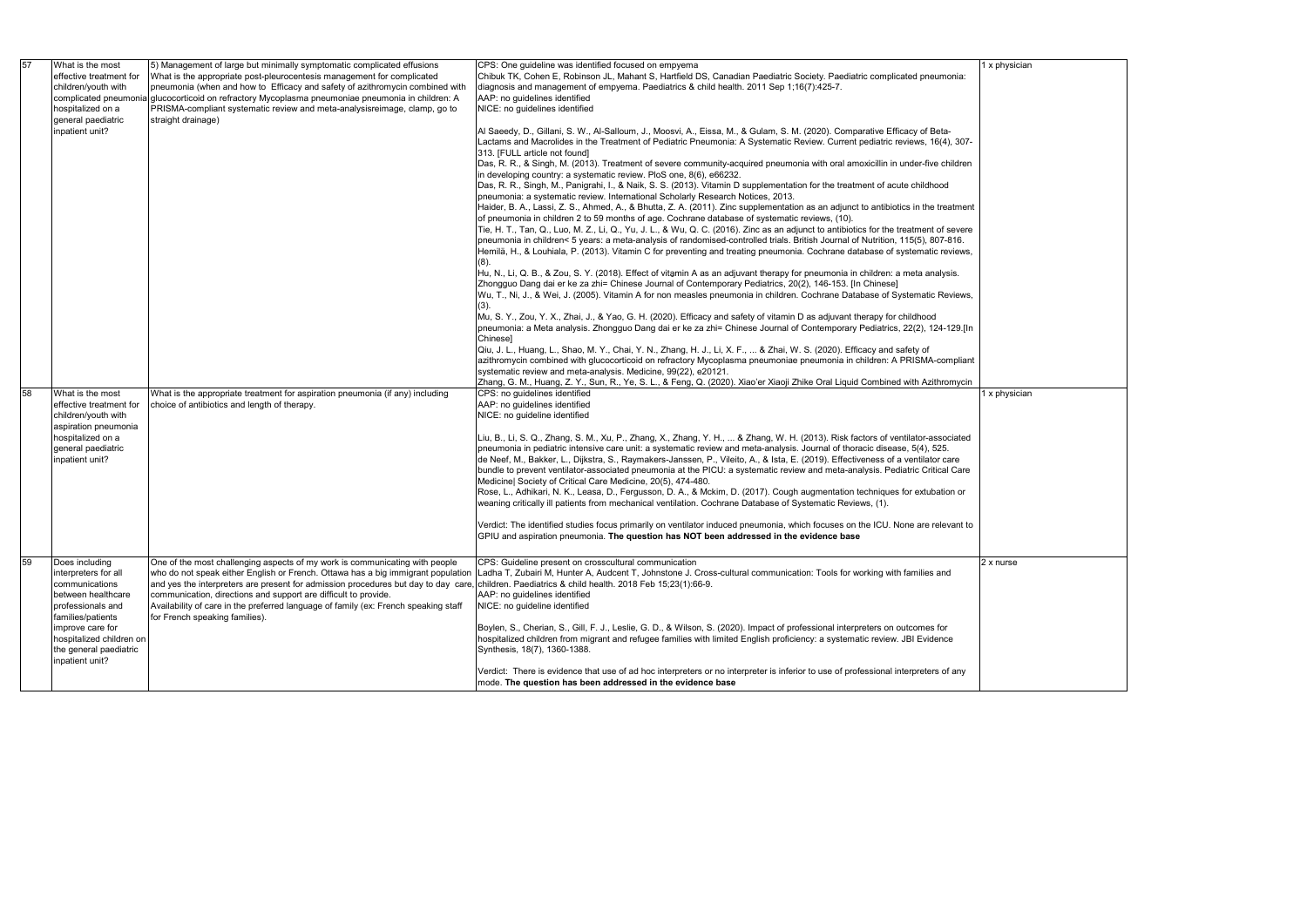| pnia:                    | 1 x physician    |
|--------------------------|------------------|
|                          |                  |
|                          |                  |
| $, 307 -$                |                  |
| iildren                  |                  |
|                          |                  |
| atment                   |                  |
| severe<br>316.<br>views, |                  |
| is.                      |                  |
| views,                   |                  |
| 129.[In                  |                  |
| npliant                  |                  |
| mycin                    |                  |
|                          | 1 x physician    |
| ciated                   |                  |
| are                      |                  |
| Care                     |                  |
| n or                     |                  |
| ant to                   |                  |
|                          |                  |
| I                        | $2 \times$ nurse |
|                          |                  |
|                          |                  |
| e                        |                  |
|                          |                  |
| any                      |                  |
|                          |                  |

| 57 |    | What is the most<br>effective treatment for<br>children/youth with<br>complicated pneumon<br>hospitalized on a<br>general paediatric<br>inpatient unit? | 5) Management of large but minimally symptomatic complicated effusions<br>What is the appropriate post-pleurocentesis management for complicated<br>pneumonia (when and how to Efficacy and safety of azithromycin combined with<br>a glucocorticoid on refractory Mycoplasma pneumoniae pneumonia in children: A<br>PRISMA-compliant systematic review and meta-analysisreimage, clamp, go to<br>straight drainage)                              | CPS: One guideline was identified focused on empyema<br>Chibuk TK, Cohen E, Robinson JL, Mahant S, Hartfield DS, Canadian Paediatric Society. Paediatric complicated pneumonia:<br>diagnosis and management of empyema. Paediatrics & child health. 2011 Sep 1;16(7):425-7.<br>AAP: no guidelines identified<br>NICE: no guidelines identified<br>Al Saeedy, D., Gillani, S. W., Al-Salloum, J., Moosvi, A., Eissa, M., & Gulam, S. M. (2020). Comparative Efficacy of Beta-                                                                                                                                                                                                                                                        | 1 x phy  |
|----|----|---------------------------------------------------------------------------------------------------------------------------------------------------------|---------------------------------------------------------------------------------------------------------------------------------------------------------------------------------------------------------------------------------------------------------------------------------------------------------------------------------------------------------------------------------------------------------------------------------------------------|-------------------------------------------------------------------------------------------------------------------------------------------------------------------------------------------------------------------------------------------------------------------------------------------------------------------------------------------------------------------------------------------------------------------------------------------------------------------------------------------------------------------------------------------------------------------------------------------------------------------------------------------------------------------------------------------------------------------------------------|----------|
|    |    |                                                                                                                                                         |                                                                                                                                                                                                                                                                                                                                                                                                                                                   | Lactams and Macrolides in the Treatment of Pediatric Pneumonia: A Systematic Review. Current pediatric reviews, 16(4), 307-<br>313. [FULL article not found]<br>Das, R. R., & Singh, M. (2013). Treatment of severe community-acquired pneumonia with oral amoxicillin in under-five children<br>in developing country: a systematic review. PloS one, 8(6), e66232.<br>Das, R. R., Singh, M., Panigrahi, I., & Naik, S. S. (2013). Vitamin D supplementation for the treatment of acute childhood                                                                                                                                                                                                                                  |          |
|    |    |                                                                                                                                                         |                                                                                                                                                                                                                                                                                                                                                                                                                                                   | pneumonia: a systematic review. International Scholarly Research Notices, 2013.<br>Haider, B. A., Lassi, Z. S., Ahmed, A., & Bhutta, Z. A. (2011). Zinc supplementation as an adjunct to antibiotics in the treatment<br>of pneumonia in children 2 to 59 months of age. Cochrane database of systematic reviews, (10).<br>Tie, H. T., Tan, Q., Luo, M. Z., Li, Q., Yu, J. L., & Wu, Q. C. (2016). Zinc as an adjunct to antibiotics for the treatment of severe<br>pneumonia in children< 5 years: a meta-analysis of randomised-controlled trials. British Journal of Nutrition, 115(5), 807-816.<br>Hemilä, H., & Louhiala, P. (2013). Vitamin C for preventing and treating pneumonia. Cochrane database of systematic reviews, |          |
|    |    |                                                                                                                                                         |                                                                                                                                                                                                                                                                                                                                                                                                                                                   | Hu, N., Li, Q. B., & Zou, S. Y. (2018). Effect of vitamin A as an adjuvant therapy for pneumonia in children: a meta analysis.<br>Zhongguo Dang dai er ke za zhi= Chinese Journal of Contemporary Pediatrics, 20(2), 146-153. [In Chinese]<br>Wu, T., Ni, J., & Wei, J. (2005). Vitamin A for non measles pneumonia in children. Cochrane Database of Systematic Reviews,<br>(3).                                                                                                                                                                                                                                                                                                                                                   |          |
|    |    |                                                                                                                                                         |                                                                                                                                                                                                                                                                                                                                                                                                                                                   | Mu, S. Y., Zou, Y. X., Zhai, J., & Yao, G. H. (2020). Efficacy and safety of vitamin D as adjuvant therapy for childhood<br>pneumonia: a Meta analysis. Zhongguo Dang dai er ke za zhi= Chinese Journal of Contemporary Pediatrics, 22(2), 124-129.[In<br>Chinese]<br>Qiu, J. L., Huang, L., Shao, M. Y., Chai, Y. N., Zhang, H. J., Li, X. F.,  & Zhai, W. S. (2020). Efficacy and safety of                                                                                                                                                                                                                                                                                                                                       |          |
|    |    |                                                                                                                                                         |                                                                                                                                                                                                                                                                                                                                                                                                                                                   | azithromycin combined with glucocorticoid on refractory Mycoplasma pneumoniae pneumonia in children: A PRISMA-compliant<br>systematic review and meta-analysis. Medicine, 99(22), e20121.<br>Zhang, G. M., Huang, Z. Y., Sun, R., Ye, S. L., & Feng, Q. (2020). Xiao'er Xiaoji Zhike Oral Liquid Combined with Azithromycin                                                                                                                                                                                                                                                                                                                                                                                                         |          |
|    | 58 | What is the most<br>effective treatment for<br>children/youth with<br>aspiration pneumonia                                                              | What is the appropriate treatment for aspiration pneumonia (if any) including<br>choice of antibiotics and length of therapy.                                                                                                                                                                                                                                                                                                                     | CPS: no guidelines identified<br>AAP: no guidelines identified<br>NICE: no guideline identified                                                                                                                                                                                                                                                                                                                                                                                                                                                                                                                                                                                                                                     | 1 x phy  |
|    |    | hospitalized on a<br>general paediatric<br>inpatient unit?                                                                                              |                                                                                                                                                                                                                                                                                                                                                                                                                                                   | Liu, B., Li, S. Q., Zhang, S. M., Xu, P., Zhang, X., Zhang, Y. H.,  & Zhang, W. H. (2013). Risk factors of ventilator-associated<br>pneumonia in pediatric intensive care unit: a systematic review and meta-analysis. Journal of thoracic disease, 5(4), 525.<br>de Neef, M., Bakker, L., Dijkstra, S., Raymakers-Janssen, P., Vileito, A., & Ista, E. (2019). Effectiveness of a ventilator care<br>bundle to prevent ventilator-associated pneumonia at the PICU: a systematic review and meta-analysis. Pediatric Critical Care                                                                                                                                                                                                 |          |
|    |    |                                                                                                                                                         |                                                                                                                                                                                                                                                                                                                                                                                                                                                   | Medicine  Society of Critical Care Medicine, 20(5), 474-480.<br>Rose, L., Adhikari, N. K., Leasa, D., Fergusson, D. A., & Mckim, D. (2017). Cough augmentation techniques for extubation or<br>weaning critically ill patients from mechanical ventilation. Cochrane Database of Systematic Reviews, (1).                                                                                                                                                                                                                                                                                                                                                                                                                           |          |
|    |    |                                                                                                                                                         |                                                                                                                                                                                                                                                                                                                                                                                                                                                   | Verdict: The identified studies focus primarily on ventilator induced pneumonia, which focuses on the ICU. None are relevant to<br>GPIU and aspiration pneumonia. The question has NOT been addressed in the evidence base                                                                                                                                                                                                                                                                                                                                                                                                                                                                                                          |          |
|    | 59 | Does including<br>interpreters for all<br>communications<br>between healthcare<br>professionals and<br>families/patients                                | One of the most challenging aspects of my work is communicating with people<br>who do not speak either English or French. Ottawa has a big immigrant population<br>and yes the interpreters are present for admission procedures but day to day care,<br>communication, directions and support are difficult to provide.<br>Availability of care in the preferred language of family (ex: French speaking staff<br>for French speaking families). | CPS: Guideline present on crosscultural communication<br>Ladha T, Zubairi M, Hunter A, Audcent T, Johnstone J. Cross-cultural communication: Tools for working with families and<br>children. Paediatrics & child health. 2018 Feb 15;23(1):66-9.<br>AAP: no guidelines identified<br>NICE: no guideline identified                                                                                                                                                                                                                                                                                                                                                                                                                 | 2 x nurs |
|    |    | improve care for<br>hospitalized children on<br>the general paediatric<br>inpatient unit?                                                               |                                                                                                                                                                                                                                                                                                                                                                                                                                                   | Boylen, S., Cherian, S., Gill, F. J., Leslie, G. D., & Wilson, S. (2020). Impact of professional interpreters on outcomes for<br>hospitalized children from migrant and refugee families with limited English proficiency: a systematic review. JBI Evidence<br>Synthesis, 18(7), 1360-1388.                                                                                                                                                                                                                                                                                                                                                                                                                                        |          |
|    |    |                                                                                                                                                         |                                                                                                                                                                                                                                                                                                                                                                                                                                                   | Verdict: There is evidence that use of ad hoc interpreters or no interpreter is inferior to use of professional interpreters of any<br>mode. The question has been addressed in the evidence base                                                                                                                                                                                                                                                                                                                                                                                                                                                                                                                                   |          |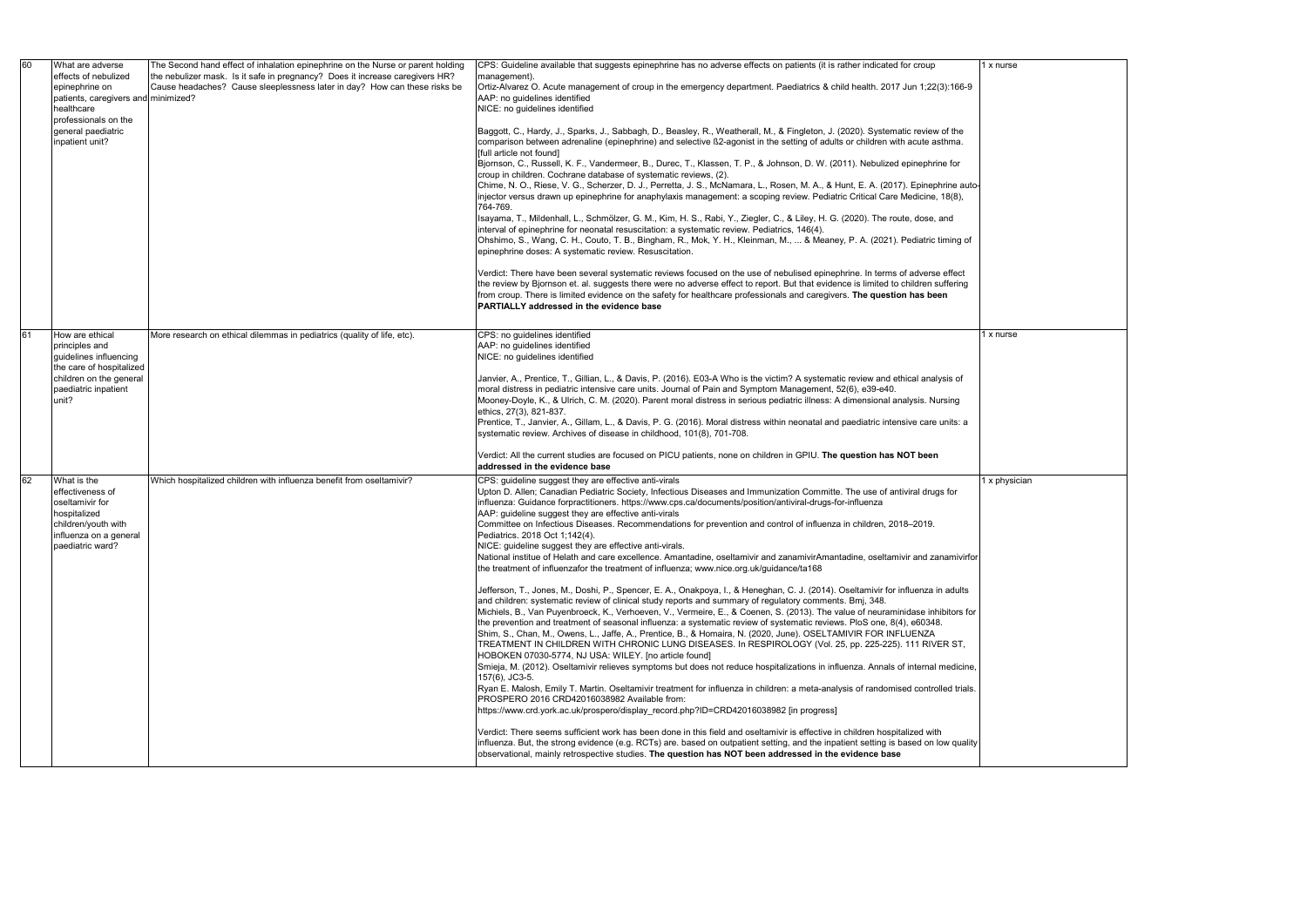| 60 | What are adverse<br>effects of nebulized<br>epinephrine on<br>patients, caregivers and minimized?<br>healthcare<br>professionals on the<br>general paediatric<br>inpatient unit? | The Second hand effect of inhalation epinephrine on the Nurse or parent holding<br>the nebulizer mask. Is it safe in pregnancy? Does it increase caregivers HR?<br>Cause headaches? Cause sleeplessness later in day? How can these risks be | CPS: Guideline available that suggests epinephrine has no adverse effects on patients (it is rather indicated for croup<br>management).<br>Ortiz-Alvarez O. Acute management of croup in the emergency department. Paediatrics & child health. 2017 Jun 1;22(3):166-9<br>AAP: no guidelines identified<br>NICE: no guidelines identified<br>Baggott, C., Hardy, J., Sparks, J., Sabbagh, D., Beasley, R., Weatherall, M., & Fingleton, J. (2020). Systematic review of the<br>comparison between adrenaline (epinephrine) and selective ß2-agonist in the setting of adults or children with acute asthma.<br>[full article not found]<br>Bjornson, C., Russell, K. F., Vandermeer, B., Durec, T., Klassen, T. P., & Johnson, D. W. (2011). Nebulized epinephrine for<br>croup in children. Cochrane database of systematic reviews, (2).<br>Chime, N. O., Riese, V. G., Scherzer, D. J., Perretta, J. S., McNamara, L., Rosen, M. A., & Hunt, E. A. (2017). Epinephrine auto-<br>injector versus drawn up epinephrine for anaphylaxis management: a scoping review. Pediatric Critical Care Medicine, 18(8),<br>764-769.<br>Isayama, T., Mildenhall, L., Schmölzer, G. M., Kim, H. S., Rabi, Y., Ziegler, C., & Liley, H. G. (2020). The route, dose, and<br>interval of epinephrine for neonatal resuscitation: a systematic review. Pediatrics, 146(4).<br>Ohshimo, S., Wang, C. H., Couto, T. B., Bingham, R., Mok, Y. H., Kleinman, M.,  & Meaney, P. A. (2021). Pediatric timing of<br>epinephrine doses: A systematic review. Resuscitation.<br>Verdict: There have been several systematic reviews focused on the use of nebulised epinephrine. In terms of adverse effect<br>the review by Bjornson et. al. suggests there were no adverse effect to report. But that evidence is limited to children suffering<br>from croup. There is limited evidence on the safety for healthcare professionals and caregivers. The question has been<br><b>PARTIALLY addressed in the evidence base</b>                                                                                                                                                                                                                                                                                                                                                                                                                           | 1 x nurse     |
|----|----------------------------------------------------------------------------------------------------------------------------------------------------------------------------------|----------------------------------------------------------------------------------------------------------------------------------------------------------------------------------------------------------------------------------------------|---------------------------------------------------------------------------------------------------------------------------------------------------------------------------------------------------------------------------------------------------------------------------------------------------------------------------------------------------------------------------------------------------------------------------------------------------------------------------------------------------------------------------------------------------------------------------------------------------------------------------------------------------------------------------------------------------------------------------------------------------------------------------------------------------------------------------------------------------------------------------------------------------------------------------------------------------------------------------------------------------------------------------------------------------------------------------------------------------------------------------------------------------------------------------------------------------------------------------------------------------------------------------------------------------------------------------------------------------------------------------------------------------------------------------------------------------------------------------------------------------------------------------------------------------------------------------------------------------------------------------------------------------------------------------------------------------------------------------------------------------------------------------------------------------------------------------------------------------------------------------------------------------------------------------------------------------------------------------------------------------------------------------------------------------------------------------------------------------------------------------------------------------------------------------------------------------------------------------------------------------------------------------------------------------------------------------------------------------------------------------------------------------------------------------------|---------------|
| 61 | How are ethical<br>principles and<br>quidelines influencing<br>the care of hospitalized<br>children on the general<br>paediatric inpatient<br>unit?                              | More research on ethical dilemmas in pediatrics (quality of life, etc).                                                                                                                                                                      | CPS: no guidelines identified<br>AAP: no guidelines identified<br>NICE: no guidelines identified<br>Janvier, A., Prentice, T., Gillian, L., & Davis, P. (2016). E03-A Who is the victim? A systematic review and ethical analysis of<br>moral distress in pediatric intensive care units. Journal of Pain and Symptom Management, 52(6), e39-e40.<br>Mooney-Doyle, K., & Ulrich, C. M. (2020). Parent moral distress in serious pediatric illness: A dimensional analysis. Nursing<br>ethics, 27(3), 821-837.<br>Prentice, T., Janvier, A., Gillam, L., & Davis, P. G. (2016). Moral distress within neonatal and paediatric intensive care units: a<br>systematic review. Archives of disease in childhood, 101(8), 701-708.<br>Verdict: All the current studies are focused on PICU patients, none on children in GPIU. The question has NOT been<br>addressed in the evidence base                                                                                                                                                                                                                                                                                                                                                                                                                                                                                                                                                                                                                                                                                                                                                                                                                                                                                                                                                                                                                                                                                                                                                                                                                                                                                                                                                                                                                                                                                                                                           | 1 x nurse     |
| 62 | What is the<br>effectiveness of<br>oseltamivir for<br>hospitalized<br>children/youth with<br>influenza on a general<br>paediatric ward?                                          | Which hospitalized children with influenza benefit from oseltamivir?                                                                                                                                                                         | CPS: guideline suggest they are effective anti-virals<br>Upton D. Allen; Canadian Pediatric Society, Infectious Diseases and Immunization Committe. The use of antiviral drugs for<br>influenza: Guidance forpractitioners. https://www.cps.ca/documents/position/antiviral-drugs-for-influenza<br>AAP: guideline suggest they are effective anti-virals<br>Committee on Infectious Diseases. Recommendations for prevention and control of influenza in children, 2018-2019.<br>Pediatrics. 2018 Oct 1:142(4).<br>NICE: guideline suggest they are effective anti-virals.<br>National institue of Helath and care excellence. Amantadine, oseltamivir and zanamivirAmantadine, oseltamivir and zanamivirfor<br>the treatment of influenzafor the treatment of influenza; www.nice.org.uk/guidance/ta168<br>Jefferson, T., Jones, M., Doshi, P., Spencer, E. A., Onakpoya, I., & Heneghan, C. J. (2014). Oseltamivir for influenza in adults<br>and children: systematic review of clinical study reports and summary of regulatory comments. Bmj, 348.<br>Michiels, B., Van Puyenbroeck, K., Verhoeven, V., Vermeire, E., & Coenen, S. (2013). The value of neuraminidase inhibitors for<br>the prevention and treatment of seasonal influenza: a systematic review of systematic reviews. PloS one, 8(4), e60348.<br>Shim, S., Chan, M., Owens, L., Jaffe, A., Prentice, B., & Homaira, N. (2020, June). OSELTAMIVIR FOR INFLUENZA<br>TREATMENT IN CHILDREN WITH CHRONIC LUNG DISEASES. In RESPIROLOGY (Vol. 25, pp. 225-225). 111 RIVER ST,<br>HOBOKEN 07030-5774, NJ USA: WILEY. [no article found]<br>Smieja, M. (2012). Oseltamivir relieves symptoms but does not reduce hospitalizations in influenza. Annals of internal medicine,<br>$157(6)$ , JC3-5.<br>Ryan E. Malosh, Emily T. Martin. Oseltamivir treatment for influenza in children: a meta-analysis of randomised controlled trials.<br>PROSPERO 2016 CRD42016038982 Available from:<br>https://www.crd.york.ac.uk/prospero/display_record.php?ID=CRD42016038982 [in progress]<br>Verdict: There seems sufficient work has been done in this field and oseltamivir is effective in children hospitalized with<br>influenza. But, the strong evidence (e.g. RCTs) are. based on outpatient setting, and the inpatient setting is based on low quality<br>observational, mainly retrospective studies. The question has NOT been addressed in the evidence base | 1 x physician |

| er indicated for croup                                                                     | 1 x nurse     |
|--------------------------------------------------------------------------------------------|---------------|
| nealth. 2017 Jun 1;22(3):166-9                                                             |               |
|                                                                                            |               |
|                                                                                            |               |
| 20). Systematic review of the<br>children with acute asthma.                               |               |
| ). Nebulized epinephrine for                                                               |               |
| , E. A. (2017). Epinephrine auto-<br>Critical Care Medicine, 18(8),                        |               |
| 20). The route, dose, and                                                                  |               |
| A. (2021). Pediatric timing of                                                             |               |
| e. In terms of adverse effect<br>is limited to children suffering<br>The question has been |               |
|                                                                                            | 1 x nurse     |
|                                                                                            |               |
|                                                                                            |               |
| eview and ethical analysis of                                                              |               |
| ), e39-e40.                                                                                |               |
| nensional analysis. Nursing                                                                |               |
| ediatric intensive care units: a                                                           |               |
|                                                                                            |               |
| estion has NOT been                                                                        |               |
|                                                                                            | 1 x physician |
| e use of antiviral drugs for<br>fluenza                                                    |               |
| children, 2018–2019.                                                                       |               |
| ne, oseltamivir and zanamivirfor                                                           |               |
| ltamivir for influenza in adults                                                           |               |
| mi, 348.<br>e of neuraminidase inhibitors for                                              |               |
| loS one, 8(4), e60348.                                                                     |               |
| IR FOR INFLUENZA<br>p. 225-225). 111 RIVER ST,                                             |               |
|                                                                                            |               |
| za. Annals of internal medicine,                                                           |               |
| of randomised controlled trials.                                                           |               |
|                                                                                            |               |
| ildren hospitalized with<br>it setting is based on low quality<br>dence base               |               |
|                                                                                            |               |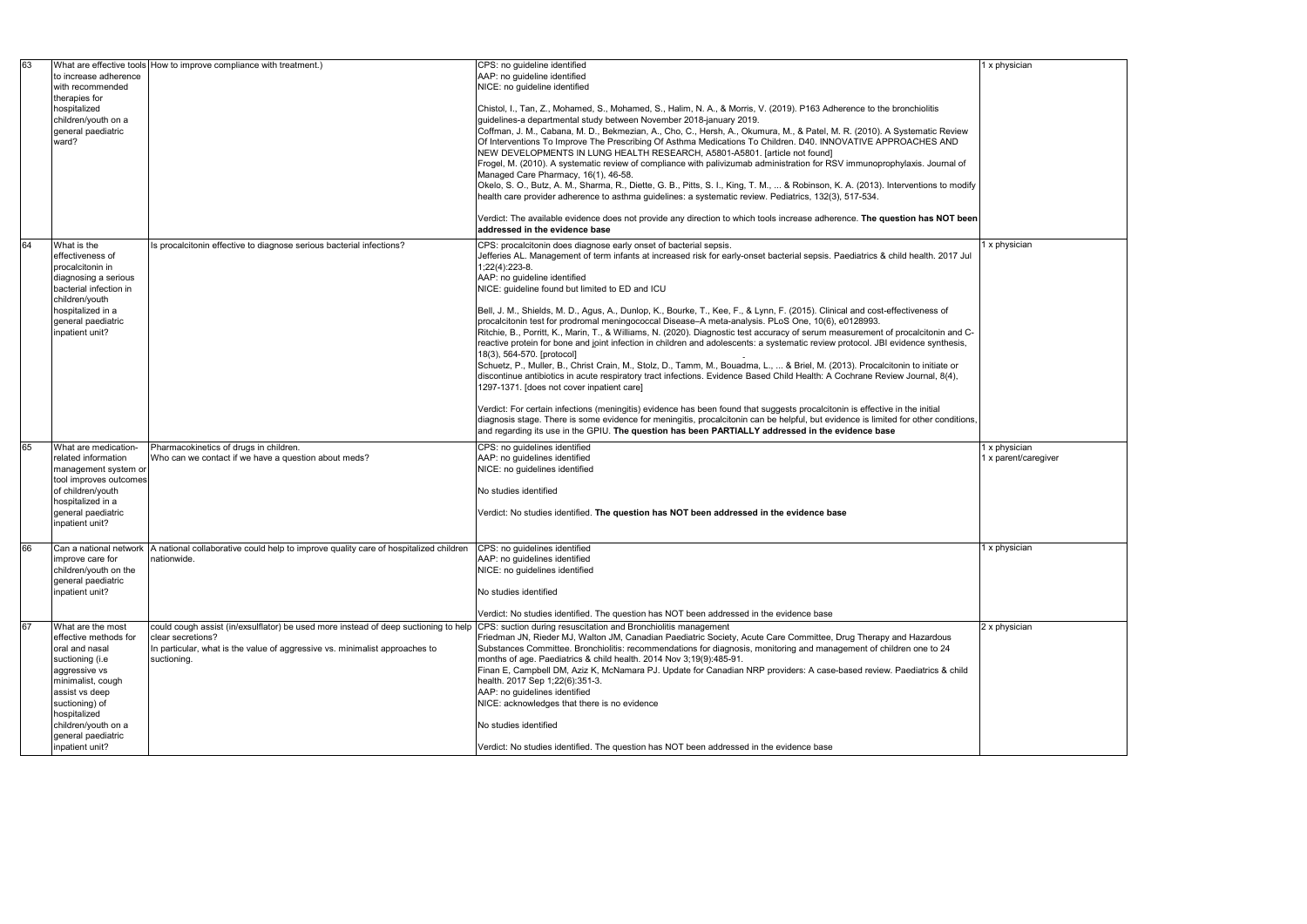| 63 |                        | What are effective tools How to improve compliance with treatment.)                                                                           | CPS: no guideline identified                                                                                                        |  |
|----|------------------------|-----------------------------------------------------------------------------------------------------------------------------------------------|-------------------------------------------------------------------------------------------------------------------------------------|--|
|    | to increase adherence  |                                                                                                                                               | AAP: no guideline identified                                                                                                        |  |
|    | with recommended       |                                                                                                                                               | NICE: no guideline identified                                                                                                       |  |
|    | therapies for          |                                                                                                                                               |                                                                                                                                     |  |
|    | hospitalized           |                                                                                                                                               | Chistol, I., Tan, Z., Mohamed, S., Mohamed, S., Halim, N. A., & Morris, V. (2019). P163 Adherence to the bronchiolitis              |  |
|    | children/youth on a    |                                                                                                                                               | guidelines-a departmental study between November 2018-january 2019.                                                                 |  |
|    | general paediatric     |                                                                                                                                               | Coffman, J. M., Cabana, M. D., Bekmezian, A., Cho, C., Hersh, A., Okumura, M., & Patel, M. R. (2010). A Systematic Review           |  |
|    | ward?                  |                                                                                                                                               | Of Interventions To Improve The Prescribing Of Asthma Medications To Children. D40. INNOVATIVE APPROACHES AND                       |  |
|    |                        |                                                                                                                                               | NEW DEVELOPMENTS IN LUNG HEALTH RESEARCH, A5801-A5801. [article not found]                                                          |  |
|    |                        |                                                                                                                                               | Frogel, M. (2010). A systematic review of compliance with palivizumab administration for RSV immunoprophylaxis. Journal of          |  |
|    |                        |                                                                                                                                               | Managed Care Pharmacy, 16(1), 46-58.                                                                                                |  |
|    |                        |                                                                                                                                               | Okelo, S. O., Butz, A. M., Sharma, R., Diette, G. B., Pitts, S. I., King, T. M.,  & Robinson, K. A. (2013). Interventions to modify |  |
|    |                        |                                                                                                                                               | health care provider adherence to asthma guidelines: a systematic review. Pediatrics, 132(3), 517-534.                              |  |
|    |                        |                                                                                                                                               |                                                                                                                                     |  |
|    |                        |                                                                                                                                               | Verdict: The available evidence does not provide any direction to which tools increase adherence. The question has NOT been         |  |
|    |                        |                                                                                                                                               | addressed in the evidence base                                                                                                      |  |
| 64 | What is the            | Is procalcitonin effective to diagnose serious bacterial infections?                                                                          | CPS: procalcitonin does diagnose early onset of bacterial sepsis.                                                                   |  |
|    | effectiveness of       |                                                                                                                                               | Jefferies AL. Management of term infants at increased risk for early-onset bacterial sepsis. Paediatrics & child health. 2017 Jul   |  |
|    | procalcitonin in       |                                                                                                                                               | 1;22(4):223-8.                                                                                                                      |  |
|    | diagnosing a serious   |                                                                                                                                               | AAP: no guideline identified                                                                                                        |  |
|    | bacterial infection in |                                                                                                                                               | NICE: guideline found but limited to ED and ICU                                                                                     |  |
|    | children/youth         |                                                                                                                                               |                                                                                                                                     |  |
|    | hospitalized in a      |                                                                                                                                               | Bell, J. M., Shields, M. D., Agus, A., Dunlop, K., Bourke, T., Kee, F., & Lynn, F. (2015). Clinical and cost-effectiveness of       |  |
|    | general paediatric     |                                                                                                                                               | procalcitonin test for prodromal meningococcal Disease-A meta-analysis. PLoS One, 10(6), e0128993.                                  |  |
|    | inpatient unit?        |                                                                                                                                               | Ritchie, B., Porritt, K., Marin, T., & Williams, N. (2020). Diagnostic test accuracy of serum measurement of procalcitonin and C-   |  |
|    |                        |                                                                                                                                               | reactive protein for bone and joint infection in children and adolescents: a systematic review protocol. JBI evidence synthesis,    |  |
|    |                        |                                                                                                                                               | 18(3), 564-570. [protocol]                                                                                                          |  |
|    |                        |                                                                                                                                               | Schuetz, P., Muller, B., Christ Crain, M., Stolz, D., Tamm, M., Bouadma, L.,  & Briel, M. (2013). Procalcitonin to initiate or      |  |
|    |                        |                                                                                                                                               | discontinue antibiotics in acute respiratory tract infections. Evidence Based Child Health: A Cochrane Review Journal, 8(4),        |  |
|    |                        |                                                                                                                                               | 1297-1371. [does not cover inpatient care]                                                                                          |  |
|    |                        |                                                                                                                                               |                                                                                                                                     |  |
|    |                        |                                                                                                                                               | Verdict: For certain infections (meningitis) evidence has been found that suggests procalcitonin is effective in the initial        |  |
|    |                        |                                                                                                                                               | diagnosis stage. There is some evidence for meningitis, procalcitonin can be helpful, but evidence is limited for other conditions, |  |
|    |                        |                                                                                                                                               | and regarding its use in the GPIU. The question has been PARTIALLY addressed in the evidence base                                   |  |
| 65 | What are medication-   | Pharmacokinetics of drugs in children.                                                                                                        | CPS: no guidelines identified                                                                                                       |  |
|    | related information    | Who can we contact if we have a question about meds?                                                                                          | AAP: no guidelines identified                                                                                                       |  |
|    | management system or   |                                                                                                                                               | NICE: no guidelines identified                                                                                                      |  |
|    | tool improves outcomes |                                                                                                                                               |                                                                                                                                     |  |
|    | of children/youth      |                                                                                                                                               | No studies identified                                                                                                               |  |
|    | hospitalized in a      |                                                                                                                                               |                                                                                                                                     |  |
|    | general paediatric     |                                                                                                                                               | Verdict: No studies identified. The question has NOT been addressed in the evidence base                                            |  |
|    | inpatient unit?        |                                                                                                                                               |                                                                                                                                     |  |
|    |                        |                                                                                                                                               |                                                                                                                                     |  |
| 66 |                        | Can a national network   A national collaborative could help to improve quality care of hospitalized children   CPS: no guidelines identified |                                                                                                                                     |  |
|    | improve care for       | nationwide.                                                                                                                                   | AAP: no guidelines identified                                                                                                       |  |
|    | children/youth on the  |                                                                                                                                               | NICE: no guidelines identified                                                                                                      |  |
|    | general paediatric     |                                                                                                                                               |                                                                                                                                     |  |
|    | inpatient unit?        |                                                                                                                                               | No studies identified                                                                                                               |  |
|    |                        |                                                                                                                                               |                                                                                                                                     |  |
|    |                        |                                                                                                                                               | Verdict: No studies identified. The question has NOT been addressed in the evidence base                                            |  |
| 67 | What are the most      | could cough assist (in/exsulflator) be used more instead of deep suctioning to help                                                           | CPS: suction during resuscitation and Bronchiolitis management                                                                      |  |
|    | effective methods for  | clear secretions?                                                                                                                             | Friedman JN, Rieder MJ, Walton JM, Canadian Paediatric Society, Acute Care Committee, Drug Therapy and Hazardous                    |  |
|    | oral and nasal         | In particular, what is the value of aggressive vs. minimalist approaches to                                                                   | Substances Committee. Bronchiolitis: recommendations for diagnosis, monitoring and management of children one to 24                 |  |
|    | suctioning (i.e        | suctioning.                                                                                                                                   | months of age. Paediatrics & child health. 2014 Nov 3;19(9):485-91.                                                                 |  |
|    | aggressive vs          |                                                                                                                                               | Finan E, Campbell DM, Aziz K, McNamara PJ. Update for Canadian NRP providers: A case-based review. Paediatrics & child              |  |
|    | minimalist, cough      |                                                                                                                                               | health. 2017 Sep 1;22(6):351-3.                                                                                                     |  |
|    | assist vs deep         |                                                                                                                                               | AAP: no guidelines identified                                                                                                       |  |
|    | suctioning) of         |                                                                                                                                               | NICE: acknowledges that there is no evidence                                                                                        |  |
|    | hospitalized           |                                                                                                                                               |                                                                                                                                     |  |
|    | children/youth on a    |                                                                                                                                               | No studies identified                                                                                                               |  |
|    | general paediatric     |                                                                                                                                               |                                                                                                                                     |  |
|    | inpatient unit?        |                                                                                                                                               | Verdict: No studies identified. The question has NOT been addressed in the evidence base                                            |  |

|  | 1 x physician        |
|--|----------------------|
|  |                      |
|  |                      |
|  |                      |
|  |                      |
|  |                      |
|  |                      |
|  |                      |
|  |                      |
|  |                      |
|  |                      |
|  |                      |
|  | 1 x physician        |
|  |                      |
|  |                      |
|  |                      |
|  |                      |
|  |                      |
|  |                      |
|  |                      |
|  |                      |
|  |                      |
|  |                      |
|  |                      |
|  |                      |
|  |                      |
|  | 1 x physician        |
|  | 1 x parent/caregiver |
|  |                      |
|  |                      |
|  |                      |
|  |                      |
|  |                      |
|  | $1 \times$ physician |
|  |                      |
|  |                      |
|  |                      |
|  |                      |
|  |                      |
|  | 2 x physician        |
|  |                      |
|  |                      |
|  |                      |
|  |                      |
|  |                      |
|  |                      |
|  |                      |
|  |                      |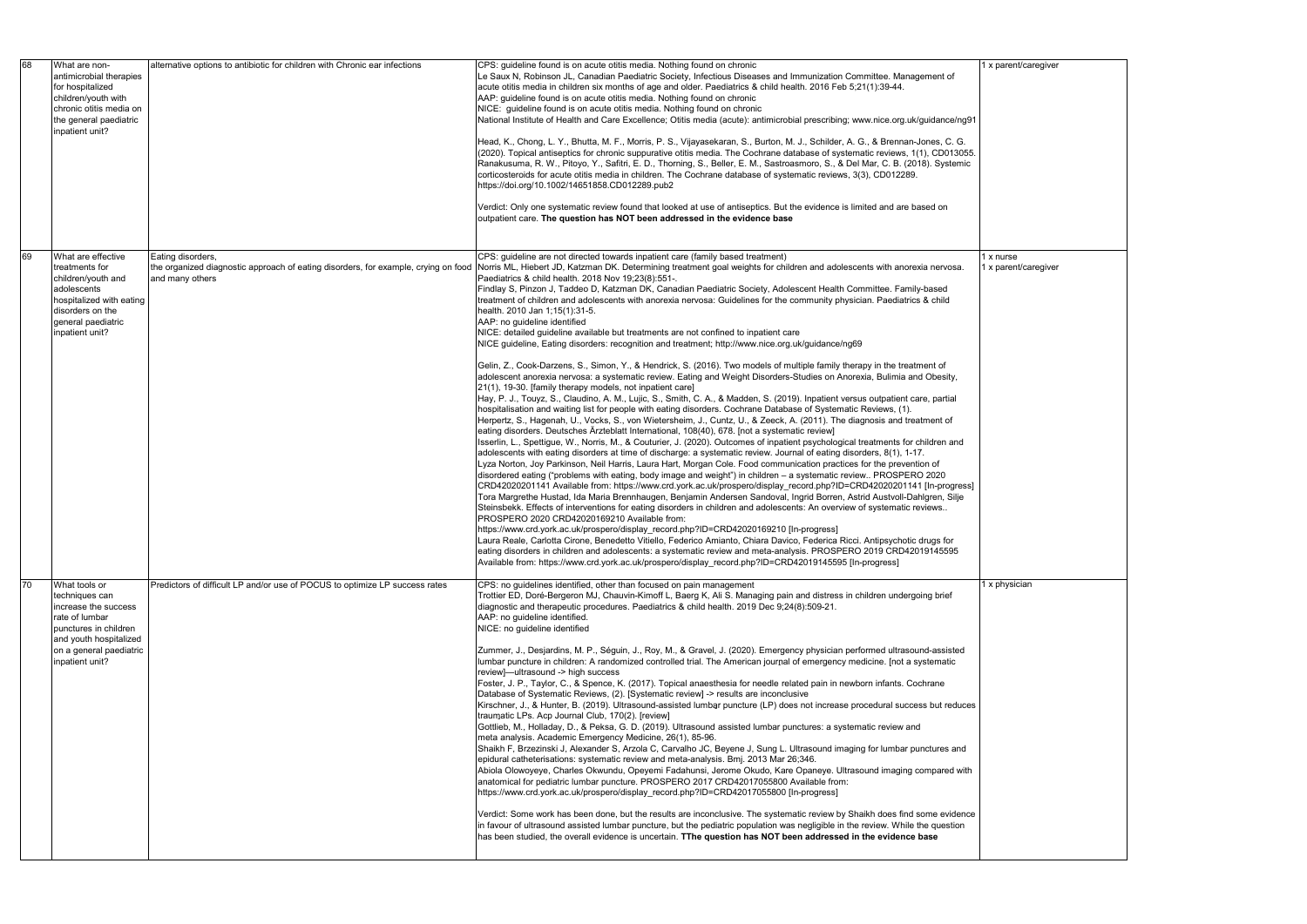| 68  | What are non-<br>antimicrobial therapies<br>for hospitalized<br>children/youth with<br>chronic otitis media on<br>the general paediatric<br>inpatient unit?                | alternative options to antibiotic for children with Chronic ear infections                                                 | CPS: guideline found is on acute otitis media. Nothing found on chronic<br>Le Saux N, Robinson JL, Canadian Paediatric Society, Infectious Diseases and Immunization Committee. Management of<br>acute otitis media in children six months of age and older. Paediatrics & child health. 2016 Feb 5;21(1):39-44.<br>AAP: guideline found is on acute otitis media. Nothing found on chronic<br>NICE: guideline found is on acute otitis media. Nothing found on chronic<br>National Institute of Health and Care Excellence; Otitis media (acute): antimicrobial prescribing; www.nice.org.uk/guidance/ng91<br>Head, K., Chong, L. Y., Bhutta, M. F., Morris, P. S., Vijayasekaran, S., Burton, M. J., Schilder, A. G., & Brennan-Jones, C. G.<br>(2020). Topical antiseptics for chronic suppurative otitis media. The Cochrane database of systematic reviews, 1(1), CD013055.<br>Ranakusuma, R. W., Pitoyo, Y., Safitri, E. D., Thorning, S., Beller, E. M., Sastroasmoro, S., & Del Mar, C. B. (2018). Systemic<br>corticosteroids for acute otitis media in children. The Cochrane database of systematic reviews, 3(3), CD012289.<br>https://doi.org/10.1002/14651858.CD012289.pub2<br>Verdict: Only one systematic review found that looked at use of antiseptics. But the evidence is limited and are based on<br>outpatient care. The question has NOT been addressed in the evidence base                                                                                                                                                                                                                                                                                                                                                                                                                                                                                                                                                                                                                                                                                                                                                                                                                                                                                                                                                                                                                                                                                                                                                                                                                                                                                                                                                                                                                                                                                                                                                                                           |
|-----|----------------------------------------------------------------------------------------------------------------------------------------------------------------------------|----------------------------------------------------------------------------------------------------------------------------|-----------------------------------------------------------------------------------------------------------------------------------------------------------------------------------------------------------------------------------------------------------------------------------------------------------------------------------------------------------------------------------------------------------------------------------------------------------------------------------------------------------------------------------------------------------------------------------------------------------------------------------------------------------------------------------------------------------------------------------------------------------------------------------------------------------------------------------------------------------------------------------------------------------------------------------------------------------------------------------------------------------------------------------------------------------------------------------------------------------------------------------------------------------------------------------------------------------------------------------------------------------------------------------------------------------------------------------------------------------------------------------------------------------------------------------------------------------------------------------------------------------------------------------------------------------------------------------------------------------------------------------------------------------------------------------------------------------------------------------------------------------------------------------------------------------------------------------------------------------------------------------------------------------------------------------------------------------------------------------------------------------------------------------------------------------------------------------------------------------------------------------------------------------------------------------------------------------------------------------------------------------------------------------------------------------------------------------------------------------------------------------------------------------------------------------------------------------------------------------------------------------------------------------------------------------------------------------------------------------------------------------------------------------------------------------------------------------------------------------------------------------------------------------------------------------------------------------------------------------------------------------------------------------------------------------------------------------------------------------------------|
| 69  | What are effective<br>treatments for<br>children/youth and<br>adolescents<br>hospitalized with eating<br>disorders on the<br>general paediatric<br>inpatient unit?         | Eating disorders,<br>the organized diagnostic approach of eating disorders, for example, crying on food<br>and many others | CPS: guideline are not directed towards inpatient care (family based treatment)<br>Norris ML, Hiebert JD, Katzman DK. Determining treatment goal weights for children and adolescents with anorexia nervosa.<br>Paediatrics & child health. 2018 Nov 19;23(8):551-.<br>Findlay S, Pinzon J, Taddeo D, Katzman DK, Canadian Paediatric Society, Adolescent Health Committee. Family-based<br>treatment of children and adolescents with anorexia nervosa: Guidelines for the community physician. Paediatrics & child<br>health. 2010 Jan 1;15(1):31-5.<br>AAP: no guideline identified<br>NICE: detailed guideline available but treatments are not confined to inpatient care<br>NICE guideline, Eating disorders: recognition and treatment; http://www.nice.org.uk/guidance/ng69<br>Gelin, Z., Cook-Darzens, S., Simon, Y., & Hendrick, S. (2016). Two models of multiple family therapy in the treatment of<br>adolescent anorexia nervosa: a systematic review. Eating and Weight Disorders-Studies on Anorexia, Bulimia and Obesity,<br>21(1), 19-30. [family therapy models, not inpatient care]<br>Hay, P. J., Touyz, S., Claudino, A. M., Lujic, S., Smith, C. A., & Madden, S. (2019). Inpatient versus outpatient care, partial<br>hospitalisation and waiting list for people with eating disorders. Cochrane Database of Systematic Reviews, (1).<br>Herpertz, S., Hagenah, U., Vocks, S., von Wietersheim, J., Cuntz, U., & Zeeck, A. (2011). The diagnosis and treatment of<br>eating disorders. Deutsches Ärzteblatt International, 108(40), 678. [not a systematic review]<br>Isserlin, L., Spettigue, W., Norris, M., & Couturier, J. (2020). Outcomes of inpatient psychological treatments for children and<br>adolescents with eating disorders at time of discharge: a systematic review. Journal of eating disorders, 8(1), 1-17.<br>Lyza Norton, Joy Parkinson, Neil Harris, Laura Hart, Morgan Cole. Food communication practices for the prevention of<br>disordered eating ("problems with eating, body image and weight") in children - a systematic review PROSPERO 2020<br>CRD42020201141 Available from: https://www.crd.york.ac.uk/prospero/display_record.php?ID=CRD42020201141 [In-progress]<br>Tora Margrethe Hustad, Ida Maria Brennhaugen, Benjamin Andersen Sandoval, Ingrid Borren, Astrid Austvoll-Dahlgren, Silje<br>Steinsbekk. Effects of interventions for eating disorders in children and adolescents: An overview of systematic reviews<br>PROSPERO 2020 CRD42020169210 Available from:<br>https://www.crd.york.ac.uk/prospero/display_record.php?ID=CRD42020169210 [In-progress]<br>Laura Reale, Carlotta Cirone, Benedetto Vitiello, Federico Amianto, Chiara Davico, Federica Ricci. Antipsychotic drugs for<br>eating disorders in children and adolescents: a systematic review and meta-analysis. PROSPERO 2019 CRD42019145595<br>Available from: https://www.crd.york.ac.uk/prospero/display record.php?ID=CRD42019145595 [In-progress] |
| 170 | What tools or<br>techniques can<br>increase the success<br>rate of lumbar<br>punctures in children<br>and youth hospitalized<br>on a general paediatric<br>inpatient unit? | Predictors of difficult LP and/or use of POCUS to optimize LP success rates                                                | CPS: no guidelines identified, other than focused on pain management<br>Trottier ED, Doré-Bergeron MJ, Chauvin-Kimoff L, Baerg K, Ali S. Managing pain and distress in children undergoing brief<br>diagnostic and therapeutic procedures. Paediatrics & child health. 2019 Dec 9;24(8):509-21.<br>AAP: no guideline identified.<br>NICE: no guideline identified<br>Zummer, J., Desjardins, M. P., Séguin, J., Roy, M., & Gravel, J. (2020). Emergency physician performed ultrasound-assisted<br>lumbar puncture in children: A randomized controlled trial. The American journal of emergency medicine. [not a systematic<br>review]-ultrasound -> high success<br>Foster, J. P., Taylor, C., & Spence, K. (2017). Topical anaesthesia for needle related pain in newborn infants. Cochrane<br>Database of Systematic Reviews, (2). [Systematic review] -> results are inconclusive<br>Kirschner, J., & Hunter, B. (2019). Ultrasound-assisted lumbar puncture (LP) does not increase procedural success but reduces<br>traumatic LPs. Acp Journal Club, 170(2). [review]<br>Gottlieb, M., Holladay, D., & Peksa, G. D. (2019). Ultrasound assisted lumbar punctures: a systematic review and<br>meta analysis. Academic Emergency Medicine, 26(1), 85-96.<br>Shaikh F, Brzezinski J, Alexander S, Arzola C, Carvalho JC, Beyene J, Sung L. Ultrasound imaging for lumbar punctures and<br>epidural catheterisations: systematic review and meta-analysis. Bmj. 2013 Mar 26;346.<br>Abiola Olowoyeye, Charles Okwundu, Opeyemi Fadahunsi, Jerome Okudo, Kare Opaneye. Ultrasound imaging compared with<br>anatomical for pediatric lumbar puncture. PROSPERO 2017 CRD42017055800 Available from:<br>https://www.crd.york.ac.uk/prospero/display_record.php?ID=CRD42017055800 [In-progress]<br>Verdict: Some work has been done, but the results are inconclusive. The systematic review by Shaikh does find some evidence<br>in favour of ultrasound assisted lumbar puncture, but the pediatric population was negligible in the review. While the question<br>has been studied, the overall evidence is uncertain. TThe question has NOT been addressed in the evidence base                                                                                                                                                                                                                                                                                                                                                                                                                                                                                                                                                                                                                                                                                                                                                                                                             |

|                      | 1 x parent/caregiver              |
|----------------------|-----------------------------------|
| g91                  |                                   |
| ì.<br>)55.<br>ic     |                                   |
|                      |                                   |
|                      |                                   |
| $\ddot{\phantom{0}}$ | 1 x nurse<br>1 x parent/caregiver |
|                      |                                   |
|                      |                                   |
|                      |                                   |
|                      |                                   |
| ł                    |                                   |
| es]<br>e             |                                   |
|                      |                                   |
|                      |                                   |
|                      | 1 x physician                     |
|                      |                                   |
| Ł                    |                                   |
|                      |                                   |
| ces                  |                                   |
| d                    |                                   |
| <i>i</i> ith         |                                   |
| nce<br>h             |                                   |
|                      |                                   |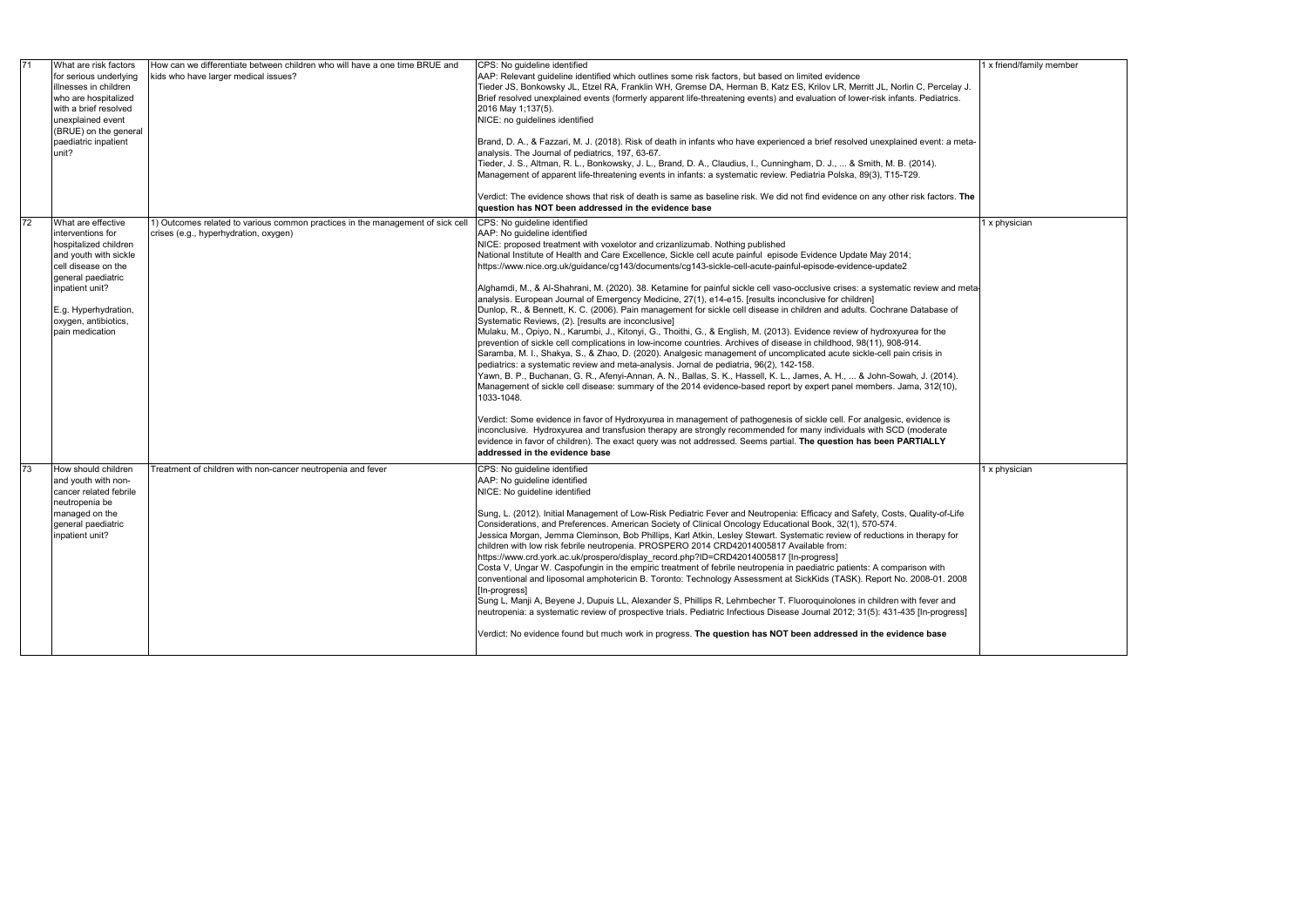| 71        | What are risk factors<br>for serious underlying<br>illnesses in children<br>who are hospitalized<br>with a brief resolved<br>unexplained event<br>(BRUE) on the general<br>paediatric inpatient<br>unit?                     | How can we differentiate between children who will have a one time BRUE and<br>kids who have larger medical issues?     | CPS: No guideline identified<br>AAP: Relevant guideline identified which outlines some risk factors, but based on limited evidence<br>Tieder JS, Bonkowsky JL, Etzel RA, Franklin WH, Gremse DA, Herman B, Katz ES, Krilov LR, Merritt JL, Norlin C, Percelay J.<br>Brief resolved unexplained events (formerly apparent life-threatening events) and evaluation of lower-risk infants. Pediatrics.<br>2016 May 1;137(5).<br>NICE: no guidelines identified<br>Brand, D. A., & Fazzari, M. J. (2018). Risk of death in infants who have experienced a brief resolved unexplained event: a meta-<br>analysis. The Journal of pediatrics, 197, 63-67.<br>Tieder, J. S., Altman, R. L., Bonkowsky, J. L., Brand, D. A., Claudius, I., Cunningham, D. J.,  & Smith, M. B. (2014).<br>Management of apparent life-threatening events in infants: a systematic review. Pediatria Polska, 89(3), T15-T29.<br>Verdict: The evidence shows that risk of death is same as baseline risk. We did not find evidence on any other risk factors. The<br>question has NOT been addressed in the evidence base                                                                                                                                                                                                                                                                                                                                                                                                                                                                                                                                                                                                                                                                                                                                                                                                                                                                  |
|-----------|------------------------------------------------------------------------------------------------------------------------------------------------------------------------------------------------------------------------------|-------------------------------------------------------------------------------------------------------------------------|-----------------------------------------------------------------------------------------------------------------------------------------------------------------------------------------------------------------------------------------------------------------------------------------------------------------------------------------------------------------------------------------------------------------------------------------------------------------------------------------------------------------------------------------------------------------------------------------------------------------------------------------------------------------------------------------------------------------------------------------------------------------------------------------------------------------------------------------------------------------------------------------------------------------------------------------------------------------------------------------------------------------------------------------------------------------------------------------------------------------------------------------------------------------------------------------------------------------------------------------------------------------------------------------------------------------------------------------------------------------------------------------------------------------------------------------------------------------------------------------------------------------------------------------------------------------------------------------------------------------------------------------------------------------------------------------------------------------------------------------------------------------------------------------------------------------------------------------------------------------------------------------------------------------------------------------------------------------|
| <b>72</b> | What are effective<br>interventions for<br>hospitalized children<br>and youth with sickle<br>cell disease on the<br>general paediatric<br>inpatient unit?<br>E.g. Hyperhydration,<br>oxygen, antibiotics,<br>pain medication | 1) Outcomes related to various common practices in the management of sick cell<br>crises (e.g., hyperhydration, oxygen) | CPS: No guideline identified<br>AAP: No guideline identified<br>NICE: proposed treatment with voxelotor and crizanlizumab. Nothing published<br>National Institute of Health and Care Excellence, Sickle cell acute painful episode Evidence Update May 2014;<br>https://www.nice.org.uk/guidance/cg143/documents/cg143-sickle-cell-acute-painful-episode-evidence-update2<br>Alghamdi, M., & Al-Shahrani, M. (2020). 38. Ketamine for painful sickle cell vaso-occlusive crises: a systematic review and meta<br>analysis. European Journal of Emergency Medicine, 27(1), e14-e15. [results inconclusive for children]<br>Dunlop, R., & Bennett, K. C. (2006). Pain management for sickle cell disease in children and adults. Cochrane Database of<br>Systematic Reviews, (2). [results are inconclusive]<br>Mulaku, M., Opiyo, N., Karumbi, J., Kitonyi, G., Thoithi, G., & English, M. (2013). Evidence review of hydroxyurea for the<br>prevention of sickle cell complications in low-income countries. Archives of disease in childhood, 98(11), 908-914.<br>Saramba, M. I., Shakya, S., & Zhao, D. (2020). Analgesic management of uncomplicated acute sickle-cell pain crisis in<br>pediatrics: a systematic review and meta-analysis. Jornal de pediatria, 96(2), 142-158.<br>Yawn, B. P., Buchanan, G. R., Afenyi-Annan, A. N., Ballas, S. K., Hassell, K. L., James, A. H.,  & John-Sowah, J. (2014).<br>Management of sickle cell disease: summary of the 2014 evidence-based report by expert panel members. Jama, 312(10),<br>1033-1048.<br>Verdict: Some evidence in favor of Hydroxyurea in management of pathogenesis of sickle cell. For analgesic, evidence is<br>inconclusive. Hydroxyurea and transfusion therapy are strongly recommended for many individuals with SCD (moderate<br>evidence in favor of children). The exact query was not addressed. Seems partial. The question has been PARTIALLY<br>addressed in the evidence base |
| <b>73</b> | How should children<br>and youth with non-<br>cancer related febrile<br>neutropenia be<br>managed on the<br>general paediatric<br>inpatient unit?                                                                            | Treatment of children with non-cancer neutropenia and fever                                                             | CPS: No guideline identified<br>AAP: No guideline identified<br>NICE: No guideline identified<br>Sung, L. (2012). Initial Management of Low-Risk Pediatric Fever and Neutropenia: Efficacy and Safety, Costs, Quality-of-Life<br>Considerations, and Preferences. American Society of Clinical Oncology Educational Book, 32(1), 570-574.<br>Jessica Morgan, Jemma Cleminson, Bob Phillips, Karl Atkin, Lesley Stewart. Systematic review of reductions in therapy for<br>children with low risk febrile neutropenia. PROSPERO 2014 CRD42014005817 Available from:<br>https://www.crd.york.ac.uk/prospero/display record.php?ID=CRD42014005817 [In-progress]<br>Costa V, Ungar W. Caspofungin in the empiric treatment of febrile neutropenia in paediatric patients: A comparison with<br>conventional and liposomal amphotericin B. Toronto: Technology Assessment at SickKids (TASK). Report No. 2008-01. 2008<br>[In-progress]<br>Sung L, Manji A, Beyene J, Dupuis LL, Alexander S, Phillips R, Lehrnbecher T. Fluoroquinolones in children with fever and<br>neutropenia: a systematic review of prospective trials. Pediatric Infectious Disease Journal 2012; 31(5): 431-435 [In-progress]<br>Verdict: No evidence found but much work in progress. The question has NOT been addressed in the evidence base                                                                                                                                                                                                                                                                                                                                                                                                                                                                                                                                                                                                                                            |

|  | 1 x friend/family member |  |  |  |
|--|--------------------------|--|--|--|
|  |                          |  |  |  |
|  |                          |  |  |  |
|  |                          |  |  |  |
|  |                          |  |  |  |
|  |                          |  |  |  |
|  |                          |  |  |  |
|  |                          |  |  |  |
|  |                          |  |  |  |
|  |                          |  |  |  |
|  | 1 x physician            |  |  |  |
|  |                          |  |  |  |
|  |                          |  |  |  |
|  |                          |  |  |  |
|  |                          |  |  |  |
|  |                          |  |  |  |
|  |                          |  |  |  |
|  |                          |  |  |  |
|  |                          |  |  |  |
|  |                          |  |  |  |
|  |                          |  |  |  |
|  |                          |  |  |  |
|  |                          |  |  |  |
|  |                          |  |  |  |
|  |                          |  |  |  |
|  |                          |  |  |  |
|  |                          |  |  |  |
|  | 1 x physician            |  |  |  |
|  |                          |  |  |  |
|  |                          |  |  |  |
|  |                          |  |  |  |
|  |                          |  |  |  |
|  |                          |  |  |  |
|  |                          |  |  |  |
|  |                          |  |  |  |
|  |                          |  |  |  |
|  |                          |  |  |  |
|  |                          |  |  |  |
|  |                          |  |  |  |
|  |                          |  |  |  |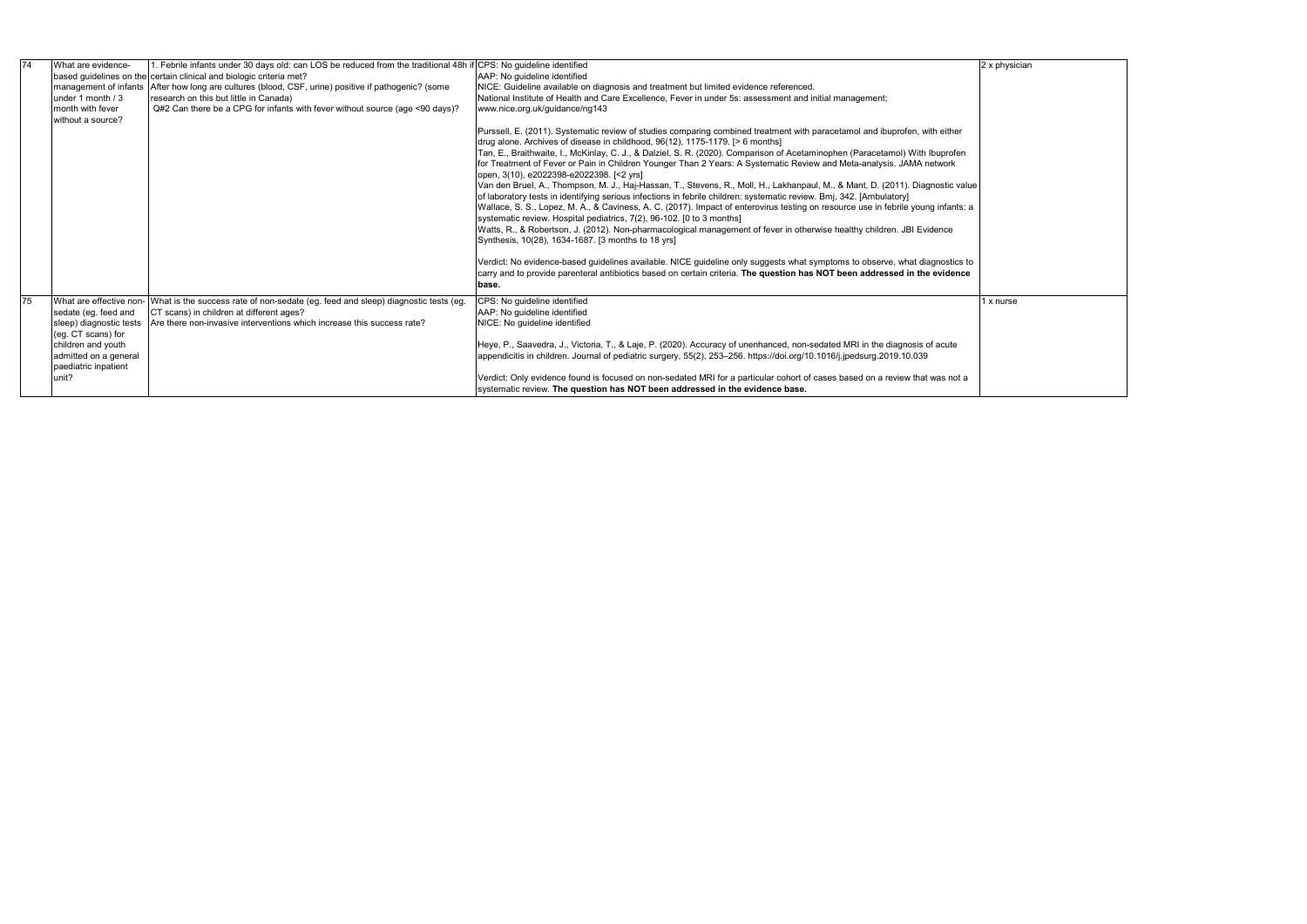| 74 | 1. Febrile infants under 30 days old: can LOS be reduced from the traditional 48h if<br>What are evidence-<br>based quidelines on the certain clinical and biologic criteria met?<br>management of infants   After how long are cultures (blood, CSF, urine) positive if pathogenic? (some<br>research on this but little in Canada)<br>under 1 month $/3$<br>Q#2 Can there be a CPG for infants with fever without source (age <90 days)?<br>month with fever |                                                                                                                                                                                                                                 | CPS: No guideline identified<br>AAP: No quideline identified<br>NICE: Guideline available on diagnosis and treatment but limited evidence referenced.<br>National Institute of Health and Care Excellence, Fever in under 5s: assessment and initial management;<br>www.nice.org.uk/guidance/ng143                                                                                                                                                                                                                                                                                                                                                                                                                                                                                                                                                                                                                                                                                                                                                                                                                                                                                                                                                                                                                                                                                                                                            |  |  |  |  |
|----|----------------------------------------------------------------------------------------------------------------------------------------------------------------------------------------------------------------------------------------------------------------------------------------------------------------------------------------------------------------------------------------------------------------------------------------------------------------|---------------------------------------------------------------------------------------------------------------------------------------------------------------------------------------------------------------------------------|-----------------------------------------------------------------------------------------------------------------------------------------------------------------------------------------------------------------------------------------------------------------------------------------------------------------------------------------------------------------------------------------------------------------------------------------------------------------------------------------------------------------------------------------------------------------------------------------------------------------------------------------------------------------------------------------------------------------------------------------------------------------------------------------------------------------------------------------------------------------------------------------------------------------------------------------------------------------------------------------------------------------------------------------------------------------------------------------------------------------------------------------------------------------------------------------------------------------------------------------------------------------------------------------------------------------------------------------------------------------------------------------------------------------------------------------------|--|--|--|--|
|    | without a source?                                                                                                                                                                                                                                                                                                                                                                                                                                              |                                                                                                                                                                                                                                 | Purssell, E. (2011). Systematic review of studies comparing combined treatment with paracetamol and ibuprofen, with either<br>drug alone. Archives of disease in childhood, 96(12), 1175-1179. [> 6 months]<br>Tan, E., Braithwaite, I., McKinlay, C. J., & Dalziel, S. R. (2020). Comparison of Acetaminophen (Paracetamol) With Ibuprofen<br>for Treatment of Fever or Pain in Children Younger Than 2 Years: A Systematic Review and Meta-analysis. JAMA network<br>open, 3(10), e2022398-e2022398. [<2 yrs]<br>Van den Bruel, A., Thompson, M. J., Haj-Hassan, T., Stevens, R., Moll, H., Lakhanpaul, M., & Mant, D. (2011). Diagnostic value<br>of laboratory tests in identifying serious infections in febrile children: systematic review. Bmj, 342. [Ambulatory]<br>Wallace, S. S., Lopez, M. A., & Caviness, A. C. (2017). Impact of enterovirus testing on resource use in febrile young infants: a<br>systematic review. Hospital pediatrics, 7(2), 96-102. [0 to 3 months]<br>Watts, R., & Robertson, J. (2012). Non-pharmacological management of fever in otherwise healthy children. JBI Evidence<br>Synthesis, 10(28), 1634-1687. [3 months to 18 yrs]<br>Verdict: No evidence-based guidelines available. NICE guideline only suggests what symptoms to observe, what diagnostics to<br>carry and to provide parenteral antibiotics based on certain criteria. The question has NOT been addressed in the evidence<br>base. |  |  |  |  |
| 75 | sedate (eq. feed and<br>sleep) diagnostic tests<br>(eg. CT scans) for<br>children and youth<br>admitted on a general<br>paediatric inpatient<br>unit?                                                                                                                                                                                                                                                                                                          | What are effective non- What is the success rate of non-sedate (eg. feed and sleep) diagnostic tests (eg.<br>CT scans) in children at different ages?<br>Are there non-invasive interventions which increase this success rate? | CPS: No guideline identified<br>AAP: No quideline identified<br>NICE: No guideline identified<br>Heye, P., Saavedra, J., Victoria, T., & Laje, P. (2020). Accuracy of unenhanced, non-sedated MRI in the diagnosis of acute<br>appendicitis in children. Journal of pediatric surgery, 55(2), 253-256. https://doi.org/10.1016/j.jpedsurg.2019.10.039<br>Verdict: Only evidence found is focused on non-sedated MRI for a particular cohort of cases based on a review that was not a<br>systematic review. The question has NOT been addressed in the evidence base.                                                                                                                                                                                                                                                                                                                                                                                                                                                                                                                                                                                                                                                                                                                                                                                                                                                                         |  |  |  |  |

| 2 x physician |  |  |
|---------------|--|--|
|               |  |  |
|               |  |  |
|               |  |  |
|               |  |  |
|               |  |  |
|               |  |  |
|               |  |  |
|               |  |  |
|               |  |  |
|               |  |  |
|               |  |  |
|               |  |  |
|               |  |  |
|               |  |  |
|               |  |  |
|               |  |  |
|               |  |  |
|               |  |  |
| 1 x nurse     |  |  |
|               |  |  |
|               |  |  |
|               |  |  |
|               |  |  |
|               |  |  |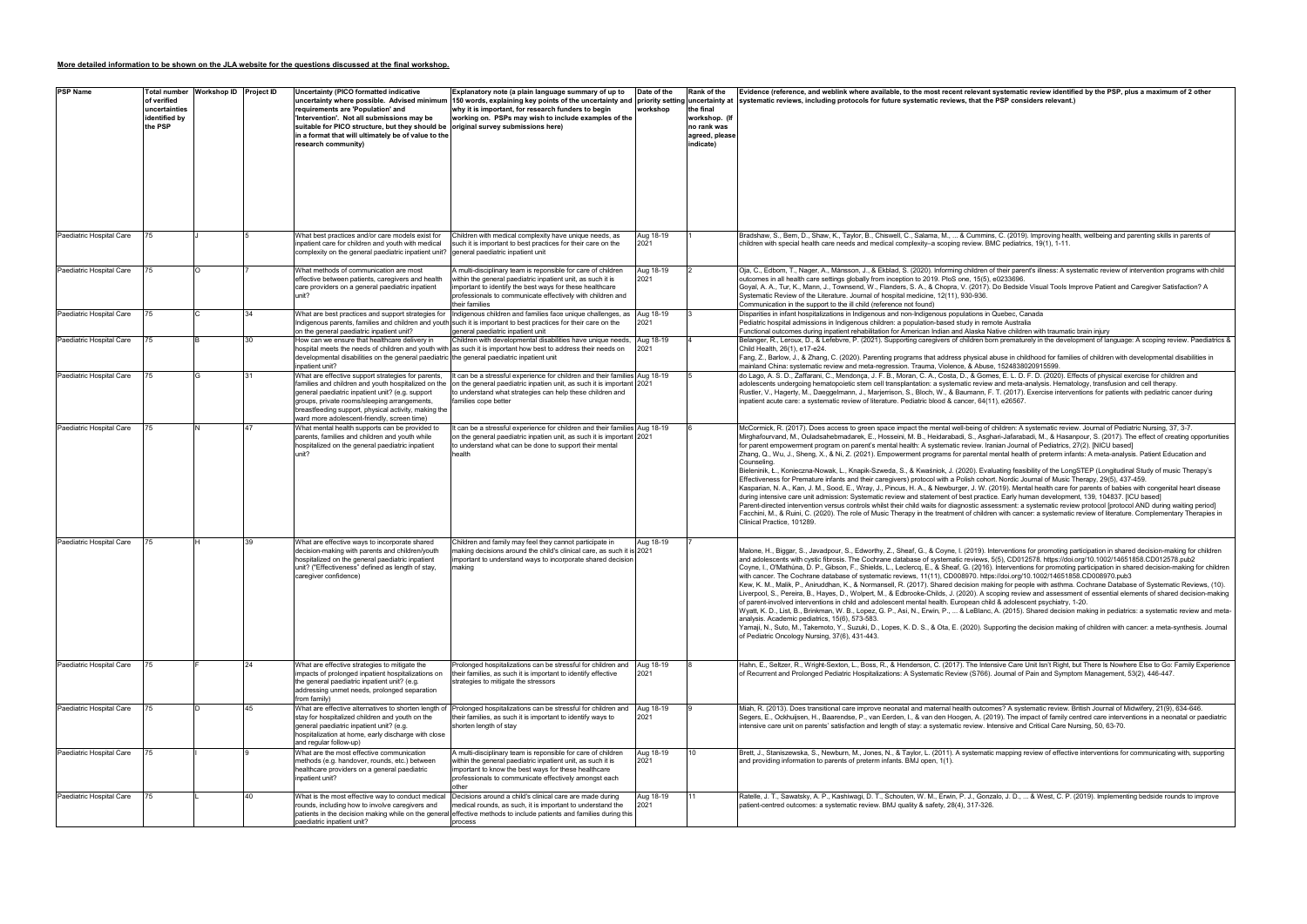## **More detailed information to be shown on the JLA website for the questions discussed at the final workshop.**

| <b>PSP Name</b>          | of verified<br>uncertainties<br>identified by<br>the PSP | Total number Workshop ID Project ID |    | Uncertainty (PICO formatted indicative<br>uncertainty where possible. Advised minimum<br>requirements are 'Population' and<br>'Intervention'. Not all submissions may be<br>suitable for PICO structure, but they should be<br>in a format that will ultimately be of value to the<br>research community)            | Explanatory note (a plain language summary of up to<br>why it is important, for research funders to begin<br>working on. PSPs may wish to include examples of the<br>original survey submissions here)                                                                  | Date of the<br>workshop | Rank of the<br>the final<br>workshop. (If<br>no rank was<br>agreed, please<br>indicate) | Evidence (reference, and weblink where available, to the most recent relevant systematic review identified by the PSP, plus a maximum of 2 other<br>150 words, explaining key points of the uncertainty and  priority setting uncertainty at  systematic reviews, including protocols for future systematic reviews, that the PSP considers relevant.)                                                                                                                                                                                                                                                                                                                                                                                                                                                                                                                                                                                                                                                                                                                                                                                                                                                                                                                                                                                                                                                                                                                                                                                                                                                                                                  |
|--------------------------|----------------------------------------------------------|-------------------------------------|----|----------------------------------------------------------------------------------------------------------------------------------------------------------------------------------------------------------------------------------------------------------------------------------------------------------------------|-------------------------------------------------------------------------------------------------------------------------------------------------------------------------------------------------------------------------------------------------------------------------|-------------------------|-----------------------------------------------------------------------------------------|---------------------------------------------------------------------------------------------------------------------------------------------------------------------------------------------------------------------------------------------------------------------------------------------------------------------------------------------------------------------------------------------------------------------------------------------------------------------------------------------------------------------------------------------------------------------------------------------------------------------------------------------------------------------------------------------------------------------------------------------------------------------------------------------------------------------------------------------------------------------------------------------------------------------------------------------------------------------------------------------------------------------------------------------------------------------------------------------------------------------------------------------------------------------------------------------------------------------------------------------------------------------------------------------------------------------------------------------------------------------------------------------------------------------------------------------------------------------------------------------------------------------------------------------------------------------------------------------------------------------------------------------------------|
| Paediatric Hospital Care | 75                                                       |                                     |    | What best practices and/or care models exist for<br>inpatient care for children and youth with medical<br>complexity on the general paediatric inpatient unit?                                                                                                                                                       | Children with medical complexity have unique needs, as<br>such it is important to best practices for their care on the<br>general paediatric inpatient unit                                                                                                             | Aug 18-19<br>2021       |                                                                                         | Bradshaw, S., Bem, D., Shaw, K., Taylor, B., Chiswell, C., Salama, M.,  & Cummins, C. (2019). Improving health, wellbeing and parenting skills in parents of<br>children with special health care needs and medical complexity–a scoping review. BMC pediatrics, 19(1), 1-11.                                                                                                                                                                                                                                                                                                                                                                                                                                                                                                                                                                                                                                                                                                                                                                                                                                                                                                                                                                                                                                                                                                                                                                                                                                                                                                                                                                           |
| Paediatric Hospital Care |                                                          |                                     |    | What methods of communication are most<br>effective between patients, caregivers and health<br>care providers on a general paediatric inpatient<br>unit?                                                                                                                                                             | A multi-disciplinary team is reponsible for care of children<br>within the general paediatric inpatient unit, as such it is<br>important to identify the best ways for these healthcare<br>professionals to communicate effectively with children and<br>their families | Aug 18-19<br>2021       |                                                                                         | Oja, C., Edbom, T., Nager, A., Månsson, J., & Ekblad, S. (2020). Informing children of their parent's illness: A systematic review of intervention programs with child<br>outcomes in all health care settings globally from inception to 2019. PloS one, 15(5), e0233696<br>Goyal, A. A., Tur, K., Mann, J., Townsend, W., Flanders, S. A., & Chopra, V. (2017). Do Bedside Visual Tools Improve Patient and Caregiver Satisfaction? A<br>Systematic Review of the Literature. Journal of hospital medicine, 12(11), 930-936.<br>Communication in the support to the ill child (reference not found)                                                                                                                                                                                                                                                                                                                                                                                                                                                                                                                                                                                                                                                                                                                                                                                                                                                                                                                                                                                                                                                   |
| Paediatric Hospital Care | 75                                                       |                                     | 34 | What are best practices and support strategies for<br>on the general paediatric inpatient unit?                                                                                                                                                                                                                      | Indigenous children and families face unique challenges, as<br>Indigenous parents, families and children and youth such it is important to best practices for their care on the<br>general paediatric inpatient unit                                                    | Aug 18-19<br>2021       |                                                                                         | Disparities in infant hospitalizations in Indigenous and non-Indigenous populations in Quebec, Canada<br>Pediatric hospital admissions in Indigenous children: a population-based study in remote Australia<br>Functional outcomes during inpatient rehabilitation for American Indian and Alaska Native children with traumatic brain injury                                                                                                                                                                                                                                                                                                                                                                                                                                                                                                                                                                                                                                                                                                                                                                                                                                                                                                                                                                                                                                                                                                                                                                                                                                                                                                           |
| Paediatric Hospital Care | 75                                                       |                                     | 30 | How can we ensure that healthcare delivery in<br>hospital meets the needs of children and youth with<br>developmental disabilities on the general paediatric the general paediatric inpatient unit<br>inpatient unit?                                                                                                | Children with developmental disabilities have unique needs,<br>as such it is important how best to address their needs on                                                                                                                                               | Aug 18-19<br>2021       |                                                                                         | Belanger, R., Leroux, D., & Lefebvre, P. (2021). Supporting caregivers of children born prematurely in the development of language: A scoping review. Paediatrics &<br>Child Health, 26(1), e17-e24.<br>Fang, Z., Barlow, J., & Zhang, C. (2020). Parenting programs that address physical abuse in childhood for families of children with developmental disabilities in<br>mainland China: systematic review and meta-regression. Trauma, Violence, & Abuse, 1524838020915599.                                                                                                                                                                                                                                                                                                                                                                                                                                                                                                                                                                                                                                                                                                                                                                                                                                                                                                                                                                                                                                                                                                                                                                        |
| Paediatric Hospital Care |                                                          |                                     | 31 | What are effective support strategies for parents,<br>families and children and youth hospitalized on the<br>general paediatric inpatient unit? (e.g. support<br>groups, private rooms/sleeping arrangements,<br>breastfeeding support, physical activity, making the<br>ward more adolescent-friendly, screen time) | It can be a stressful experience for children and their families Aug 18-19<br>on the general paediatric inpatien unit, as such it is important 2021<br>to understand what strategies can help these children and<br>families cope better                                |                         |                                                                                         | do Lago, A. S. D., Zaffarani, C., Mendonça, J. F. B., Moran, C. A., Costa, D., & Gomes, E. L. D. F. D. (2020). Effects of physical exercise for children and<br>adolescents undergoing hematopoietic stem cell transplantation: a systematic review and meta-analysis. Hematology, transfusion and cell therapy.<br>Rustler, V., Hagerty, M., Daeggelmann, J., Marjerrison, S., Bloch, W., & Baumann, F. T. (2017). Exercise interventions for patients with pediatric cancer during<br>inpatient acute care: a systematic review of literature. Pediatric blood & cancer, 64(11), e26567.                                                                                                                                                                                                                                                                                                                                                                                                                                                                                                                                                                                                                                                                                                                                                                                                                                                                                                                                                                                                                                                              |
| Paediatric Hospital Care |                                                          |                                     |    | What mental health supports can be provided to<br>parents, families and children and youth while<br>hospitalized on the general paediatric inpatient<br>init?                                                                                                                                                        | t can be a stressful experience for children and their families Aug 18-19<br>on the general paediatric inpatien unit, as such it is important 2021<br>to understand what can be done to support their mental<br>health                                                  |                         |                                                                                         | McCormick, R. (2017). Does access to green space impact the mental well-being of children: A systematic review. Journal of Pediatric Nursing, 37, 3-7.<br>Mirghafourvand, M., Ouladsahebmadarek, E., Hosseini, M. B., Heidarabadi, S., Asghari-Jafarabadi, M., & Hasanpour, S. (2017). The effect of creating opportunities<br>for parent empowerment program on parent's mental health: A systematic review. Iranian Journal of Pediatrics, 27(2). [NICU based]<br>Zhang, Q., Wu, J., Sheng, X., & Ni, Z. (2021). Empowerment programs for parental mental health of preterm infants: A meta-analysis. Patient Education and<br>Counseling.<br>Bieleninik, Ł., Konieczna-Nowak, L., Knapik-Szweda, S., & Kwaśniok, J. (2020). Evaluating feasibility of the LongSTEP (Longitudinal Study of music Therapy's<br>Effectiveness for Premature infants and their caregivers) protocol with a Polish cohort. Nordic Journal of Music Therapy, 29(5), 437-459.<br>Kasparian, N. A., Kan, J. M., Sood, E., Wray, J., Pincus, H. A., & Newburger, J. W. (2019). Mental health care for parents of babies with congenital heart disease<br>during intensive care unit admission: Systematic review and statement of best practice. Early human development, 139, 104837. [ICU based]<br>Parent-directed intervention versus controls whilst their child waits for diagnostic assessment: a systematic review protocol [protocol AND during waiting period]<br>Facchini, M., & Ruini, C. (2020). The role of Music Therapy in the treatment of children with cancer: a systematic review of literature. Complementary Therapies in<br>Clinical Practice, 101289. |
| Paediatric Hospital Care |                                                          |                                     | 39 | What are effective ways to incorporate shared<br>decision-making with parents and children/youth<br>hospitalized on the general paediatric inpatient<br>unit? ("Effectiveness" defined as length of stay,<br>caregiver confidence)                                                                                   | Children and family may feel they cannot participate in<br>naking decisions around the child's clinical care, as such it is 2021<br>important to understand ways to incorporate shared decision<br>making                                                               | Aug 18-19               |                                                                                         | Malone, H., Biggar, S., Javadpour, S., Edworthy, Z., Sheaf, G., & Coyne, I. (2019). Interventions for promoting participation in shared decision-making for children<br>and adolescents with cystic fibrosis. The Cochrane database of systematic reviews, 5(5), CD012578. https://doi.org/10.1002/14651858.CD012578.pub2<br>Coyne, I., O'Mathúna, D. P., Gibson, F., Shields, L., Leclercq, E., & Sheaf, G. (2016). Interventions for promoting participation in shared decision-making for children<br>with cancer. The Cochrane database of systematic reviews, 11(11), CD008970. https://doi.org/10.1002/14651858.CD008970.pub3<br>Kew, K. M., Malik, P., Aniruddhan, K., & Normansell, R. (2017). Shared decision making for people with asthma. Cochrane Database of Systematic Reviews, (10).<br>Liverpool, S., Pereira, B., Hayes, D., Wolpert, M., & Edbrooke-Childs, J. (2020). A scoping review and assessment of essential elements of shared decision-making<br>of parent-involved interventions in child and adolescent mental health. European child & adolescent psychiatry, 1-20.<br>Wyatt, K. D., List, B., Brinkman, W. B., Lopez, G. P., Asi, N., Erwin, P.,  & LeBlanc, A. (2015). Shared decision making in pediatrics: a systematic review and meta-<br>analysis. Academic pediatrics, 15(6), 573-583.<br>Yamaji, N., Suto, M., Takemoto, Y., Suzuki, D., Lopes, K. D. S., & Ota, E. (2020). Supporting the decision making of children with cancer: a meta-synthesis. Journal<br>of Pediatric Oncology Nursing, 37(6), 431-443.                                                                                                 |
| Paediatric Hospital Care | 75                                                       |                                     | 24 | What are effective strategies to mitigate the<br>impacts of prolonged inpatient hospitalizations on<br>the general paediatric inpatient unit? (e.g.<br>addressing unmet needs, prolonged separation<br>from family)                                                                                                  | Prolonged hospitalizations can be stressful for children and Aug 18-19<br>their families, as such it is important to identify effective<br>strategies to mitigate the stressors                                                                                         | 2021                    |                                                                                         | Hahn, E., Seltzer, R., Wright-Sexton, L., Boss, R., & Henderson, C. (2017). The Intensive Care Unit Isn't Right, but There Is Nowhere Else to Go: Family Experience<br>of Recurrent and Prolonged Pediatric Hospitalizations: A Systematic Review (S766). Journal of Pain and Symptom Management, 53(2), 446-447.                                                                                                                                                                                                                                                                                                                                                                                                                                                                                                                                                                                                                                                                                                                                                                                                                                                                                                                                                                                                                                                                                                                                                                                                                                                                                                                                       |
| Paediatric Hospital Care | 75                                                       |                                     | 45 | What are effective alternatives to shorten length of<br>stay for hospitalized children and youth on the<br>general paediatric inpatient unit? (e.g.<br>hospitalization at home, early discharge with close<br>and regular follow-up)                                                                                 | Prolonged hospitalizations can be stressful for children and Aug 18-19<br>their families, as such it is important to identify ways to<br>shorten length of stay                                                                                                         | 2021                    |                                                                                         | Miah, R. (2013). Does transitional care improve neonatal and maternal health outcomes? A systematic review. British Journal of Midwifery, 21(9), 634-646.<br>Segers, E., Ockhuijsen, H., Baarendse, P., van Eerden, I., & van den Hoogen, A. (2019). The impact of family centred care interventions in a neonatal or paediatric<br>intensive care unit on parents' satisfaction and length of stay: a systematic review. Intensive and Critical Care Nursing, 50, 63-70.                                                                                                                                                                                                                                                                                                                                                                                                                                                                                                                                                                                                                                                                                                                                                                                                                                                                                                                                                                                                                                                                                                                                                                               |
| Paediatric Hospital Care |                                                          |                                     |    | What are the most effective communication<br>methods (e.g. handover, rounds, etc.) between<br>healthcare providers on a general paediatric<br>inpatient unit?                                                                                                                                                        | A multi-disciplinary team is reponsible for care of children<br>within the general paediatric inpatient unit, as such it is<br>important to know the best ways for these healthcare<br>professionals to communicate effectively amongst each<br>other                   | Aug 18-19<br>2021       |                                                                                         | Brett, J., Staniszewska, S., Newburn, M., Jones, N., & Taylor, L. (2011). A systematic mapping review of effective interventions for communicating with, supporting<br>and providing information to parents of preterm infants. BMJ open, 1(1).                                                                                                                                                                                                                                                                                                                                                                                                                                                                                                                                                                                                                                                                                                                                                                                                                                                                                                                                                                                                                                                                                                                                                                                                                                                                                                                                                                                                         |
| Paediatric Hospital Care | 75                                                       |                                     | 40 | What is the most effective way to conduct medical<br>rounds, including how to involve caregivers and<br>patients in the decision making while on the general<br>paediatric inpatient unit?                                                                                                                           | Decisions around a child's clinical care are made during<br>medical rounds, as such, it is important to understand the<br>effective methods to include patients and families during this<br>process                                                                     | Aug 18-19<br>2021       |                                                                                         | Ratelle, J. T., Sawatsky, A. P., Kashiwagi, D. T., Schouten, W. M., Erwin, P. J., Gonzalo, J. D.,  & West, C. P. (2019). Implementing bedside rounds to improve<br>patient-centred outcomes: a systematic review. BMJ quality & safety, 28(4), 317-326.                                                                                                                                                                                                                                                                                                                                                                                                                                                                                                                                                                                                                                                                                                                                                                                                                                                                                                                                                                                                                                                                                                                                                                                                                                                                                                                                                                                                 |

| ant systematic review identified by the PSP, plus a maximum of 2 other<br>the PSP considers relevant.)                                                                                                                                                                                                                                                                                                                                                                                                                                                                                                  |
|---------------------------------------------------------------------------------------------------------------------------------------------------------------------------------------------------------------------------------------------------------------------------------------------------------------------------------------------------------------------------------------------------------------------------------------------------------------------------------------------------------------------------------------------------------------------------------------------------------|
|                                                                                                                                                                                                                                                                                                                                                                                                                                                                                                                                                                                                         |
|                                                                                                                                                                                                                                                                                                                                                                                                                                                                                                                                                                                                         |
| mins, C. (2019). Improving health, wellbeing and parenting skills in parents of<br>. BMC pediatrics, 19(1), 1-11.                                                                                                                                                                                                                                                                                                                                                                                                                                                                                       |
| en of their parent's illness: A systematic review of intervention programs with child<br>(5), e0233696.<br>17). Do Bedside Visual Tools Improve Patient and Caregiver Satisfaction? A<br>١6.                                                                                                                                                                                                                                                                                                                                                                                                            |
| s in Quebec, Canada<br>remote Australia<br>a Native children with traumatic brain injury                                                                                                                                                                                                                                                                                                                                                                                                                                                                                                                |
| 1 born prematurely in the development of language: A scoping review. Paediatrics &<br>cal abuse in childhood for families of children with developmental disabilities in<br>puse, 1524838020915599.                                                                                                                                                                                                                                                                                                                                                                                                     |
| iomes, E. L. D. F. D. (2020). Effects of physical exercise for children and<br>riew and meta-analysis. Hematology, transfusion and cell therapy.<br>n, F. T. (2017). Exercise interventions for patients with pediatric cancer during<br>4(11), e26567.                                                                                                                                                                                                                                                                                                                                                 |
| of children: A systematic review. Journal of Pediatric Nursing, 37, 3-7.<br>\sghari-Jafarabadi, M., & Hasanpour, S. (2017). The effect of creating opportunities<br>. Iranian Journal of Pediatrics, 27(2). [NICU based]<br>tal mental health of preterm infants: A meta-analysis. Patient Education and                                                                                                                                                                                                                                                                                                |
| Evaluating feasibility of the LongSTEP (Longitudinal Study of music Therapy's<br>ohort. Nordic Journal of Music Therapy, 29(5), 437-459.<br>V. (2019). Mental health care for parents of babies with congenital heart disease<br>actice. Early human development, 139, 104837. [ICU based]<br>assessment: a systematic review protocol [protocol AND during waiting period]<br>ildren with cancer: a systematic review of literature. Complementary Therapies in                                                                                                                                        |
| ). Interventions for promoting participation in shared decision-making for children<br>ws, 5(5), CD012578. https://doi.org/10.1002/14651858.CD012578.pub2<br>16). Interventions for promoting participation in shared decision-making for children<br>https://doi.org/10.1002/14651858.CD008970.pub3<br>making for people with asthma. Cochrane Database of Systematic Reviews, (10).<br>A scoping review and assessment of essential elements of shared decision-making<br>child & adolescent psychiatry, 1-20.<br>anc, A. (2015). Shared decision making in pediatrics: a systematic review and meta- |
| Supporting the decision making of children with cancer: a meta-synthesis. Journal                                                                                                                                                                                                                                                                                                                                                                                                                                                                                                                       |
| ntensive Care Unit Isn't Right, but There Is Nowhere Else to Go: Family Experience<br>66). Journal of Pain and Symptom Management, 53(2), 446-447.                                                                                                                                                                                                                                                                                                                                                                                                                                                      |
| tcomes? A systematic review. British Journal of Midwifery, 21(9), 634-646.<br>(2019). The impact of family centred care interventions in a neonatal or paediatric<br>v. Intensive and Critical Care Nursing, 50, 63-70.                                                                                                                                                                                                                                                                                                                                                                                 |
| natic mapping review of effective interventions for communicating with, supporting                                                                                                                                                                                                                                                                                                                                                                                                                                                                                                                      |
| ionzalo, J. D.,  & West, C. P. (2019). Implementing bedside rounds to improve<br>326.                                                                                                                                                                                                                                                                                                                                                                                                                                                                                                                   |